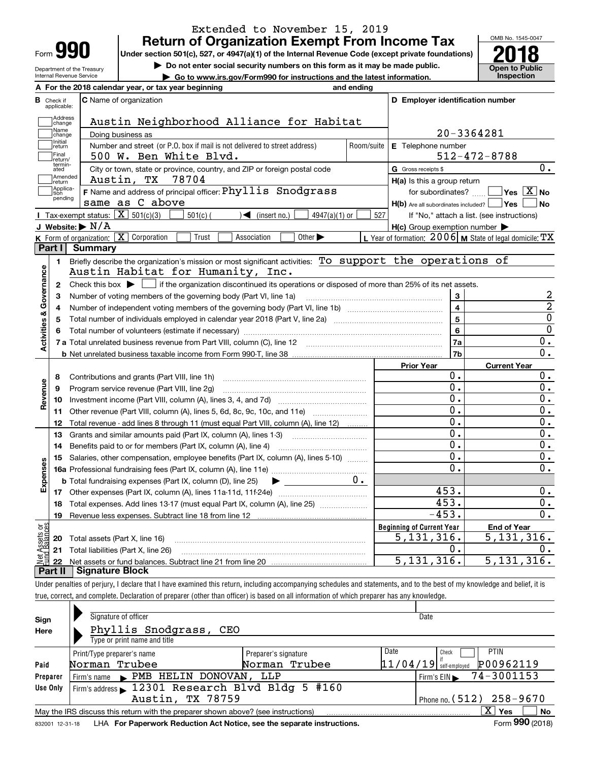| Form |  |
|------|--|

### **Return of Organization Exempt From Income Tax** Extended to November 15, 2019

Under section 501(c), 527, or 4947(a)(1) of the Internal Revenue Code (except private foundations) **2018** 

Department of the Treasury Internal Revenue Service

**| Do not enter social security numbers on this form as it may be made public.**

**| Go to www.irs.gov/Form990 for instructions and the latest information. Inspection**



|                         |                         | A For the 2018 calendar year, or tax year beginning                                                                                           | and ending |                                                  |                                                           |
|-------------------------|-------------------------|-----------------------------------------------------------------------------------------------------------------------------------------------|------------|--------------------------------------------------|-----------------------------------------------------------|
| В                       | Check if<br>applicable: | <b>C</b> Name of organization                                                                                                                 |            | D Employer identification number                 |                                                           |
|                         | Address<br>change       | Austin Neighborhood Alliance for Habitat                                                                                                      |            |                                                  |                                                           |
|                         | Name<br>change          | Doing business as                                                                                                                             |            |                                                  | 20-3364281                                                |
|                         | Initial<br>return       | Number and street (or P.O. box if mail is not delivered to street address)                                                                    | Room/suite | <b>E</b> Telephone number                        |                                                           |
|                         | Final<br>return/        | 500 W. Ben White Blvd.                                                                                                                        |            |                                                  | $512 - 472 - 8788$                                        |
|                         | termin-<br>ated         | City or town, state or province, country, and ZIP or foreign postal code                                                                      |            | G Gross receipts \$                              | 0.                                                        |
|                         | Amended<br>return       | 78704<br>Austin, TX                                                                                                                           |            | H(a) Is this a group return                      |                                                           |
|                         | Applica-<br>tion        | F Name and address of principal officer: Phyllis Snodgrass                                                                                    |            | for subordinates?                                | $\overline{\ }$ Yes $\overline{\phantom{X}}$ No           |
|                         | pending                 | same as C above                                                                                                                               |            | $H(b)$ Are all subordinates included? $\Box$ Yes | No                                                        |
|                         |                         | Tax-exempt status: $\boxed{\mathbf{X}}$ 501(c)(3) [<br>$\mathcal{A}$ (insert no.)<br>$501(c)$ (<br>$4947(a)(1)$ or                            | 527        |                                                  | If "No," attach a list. (see instructions)                |
|                         |                         | J Website: $\triangleright$ N/A                                                                                                               |            | H(c) Group exemption number                      |                                                           |
|                         |                         | K Form of organization: X Corporation<br>Other $\blacktriangleright$<br>Trust<br>Association                                                  |            |                                                  | L Year of formation: $2006$ M State of legal domicile: TX |
|                         | Part I                  | Summary                                                                                                                                       |            |                                                  |                                                           |
|                         | 1.                      | Briefly describe the organization's mission or most significant activities: To support the operations of                                      |            |                                                  |                                                           |
|                         |                         | Austin Habitat for Humanity, Inc.                                                                                                             |            |                                                  |                                                           |
|                         |                         | 2 Check this box $\blacktriangleright$ $\Box$ if the organization discontinued its operations or disposed of more than 25% of its net assets. |            |                                                  |                                                           |
|                         | 3                       | Number of voting members of the governing body (Part VI, line 1a)                                                                             |            | 3                                                | 2                                                         |
|                         | 4                       | Number of independent voting members of the governing body (Part VI, line 1b)                                                                 |            | $\overline{\mathbf{4}}$                          | $\overline{a}$                                            |
|                         | 5                       |                                                                                                                                               |            | 5                                                | $\overline{0}$                                            |
|                         | 6                       |                                                                                                                                               |            | 6                                                | $\mathbf 0$                                               |
| Activities & Governance |                         |                                                                                                                                               |            | 7a                                               | $\overline{0}$ .                                          |
|                         |                         |                                                                                                                                               |            | 7b                                               | $\overline{0}$ .                                          |
|                         |                         |                                                                                                                                               |            | <b>Prior Year</b>                                | <b>Current Year</b>                                       |
|                         | 8                       | Contributions and grants (Part VIII, line 1h)                                                                                                 |            | 0.                                               | $0$ .                                                     |
| Revenue                 | 9                       | Program service revenue (Part VIII, line 2g)                                                                                                  |            | $\overline{0}$ .                                 | $\overline{0}$ .                                          |
|                         | 10                      |                                                                                                                                               |            | $\overline{0}$ .                                 | $\overline{0}$ .                                          |
|                         | 11                      | Other revenue (Part VIII, column (A), lines 5, 6d, 8c, 9c, 10c, and 11e)                                                                      |            | 0.                                               | $\overline{0}$ .                                          |
|                         | 12                      | Total revenue - add lines 8 through 11 (must equal Part VIII, column (A), line 12)                                                            |            | $0$ .                                            | 0.                                                        |
|                         | 13                      | Grants and similar amounts paid (Part IX, column (A), lines 1-3)                                                                              |            | $0$ .                                            | 0.                                                        |
|                         | 14                      |                                                                                                                                               |            | 0.                                               | 0.                                                        |
|                         | 15                      | Salaries, other compensation, employee benefits (Part IX, column (A), lines 5-10)                                                             |            | $\overline{0}$ .                                 | 0.                                                        |
| Expenses                |                         |                                                                                                                                               |            | $\overline{0}$ .                                 | 0.                                                        |
|                         |                         | <b>b</b> Total fundraising expenses (Part IX, column (D), line 25)<br>$\blacktriangleright$ and $\blacktriangleright$                         | $0 \cdot$  |                                                  |                                                           |
|                         |                         |                                                                                                                                               |            | 453.                                             | 0.                                                        |
|                         |                         | 18 Total expenses. Add lines 13-17 (must equal Part IX, column (A), line 25)                                                                  |            | 453.                                             | 0.                                                        |
|                         | 19                      |                                                                                                                                               |            | $-453.$                                          | 0.                                                        |
| äğ                      |                         |                                                                                                                                               |            | <b>Beginning of Current Year</b>                 | <b>End of Year</b>                                        |
| <b>Assets</b>           |                         | <b>20</b> Total assets (Part X, line 16)                                                                                                      |            | 5, 131, 316.                                     | 5,131,316.                                                |
|                         |                         | 21 Total liabilities (Part X, line 26)                                                                                                        |            | 0.                                               | 0.                                                        |
|                         | 22                      |                                                                                                                                               |            | 5, 131, 316.                                     | 5, 131, 316.                                              |
|                         | Part II                 | Signature Block                                                                                                                               |            |                                                  |                                                           |

Under penalties of perjury, I declare that I have examined this return, including accompanying schedules and statements, and to the best of my knowledge and belief, it is true, correct, and complete. Declaration of preparer (other than officer) is based on all information of which preparer has any knowledge.

| Sign            | Signature of officer                                                              | Date                 |                                       |  |  |  |  |  |  |
|-----------------|-----------------------------------------------------------------------------------|----------------------|---------------------------------------|--|--|--|--|--|--|
| Here            | Phyllis Snodgrass, CEO                                                            |                      |                                       |  |  |  |  |  |  |
|                 | Type or print name and title                                                      |                      |                                       |  |  |  |  |  |  |
|                 | Print/Type preparer's name                                                        | Preparer's signature | Date<br><b>PTIN</b><br>Check          |  |  |  |  |  |  |
| Paid            | Norman Trubee                                                                     | Norman Trubee        | P00962119<br>$11/04/19$ self-employed |  |  |  |  |  |  |
| Preparer        | Firm's name PMB HELIN DONOVAN,                                                    | LLP                  | Firm's EIN $\rightarrow$ 74-3001153   |  |  |  |  |  |  |
| Use Only        | Firm's address 12301 Research Blvd Bldg 5 #160                                    |                      |                                       |  |  |  |  |  |  |
|                 | Austin, TX 78759<br>Phone no. $(512)$ 258-9670                                    |                      |                                       |  |  |  |  |  |  |
|                 | May the IRS discuss this return with the preparer shown above? (see instructions) |                      | $X$ !<br>No<br>Yes                    |  |  |  |  |  |  |
| 832001 12-31-18 | LHA For Paperwork Reduction Act Notice, see the separate instructions.            |                      | Form 990 (2018)                       |  |  |  |  |  |  |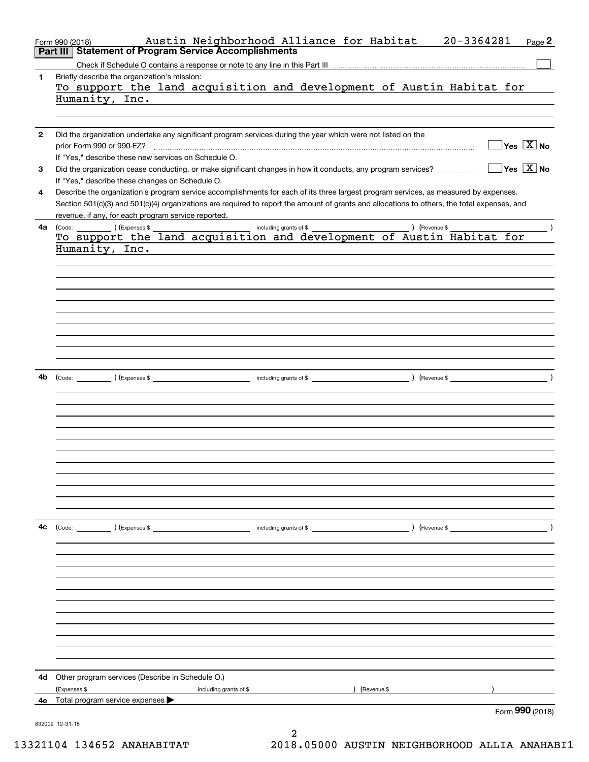| Part II      | Austin Neighborhood Alliance for Habitat<br>Form 990 (2018)<br><b>Statement of Program Service Accomplishments</b>                           |   |               | $20 - 3364281$ | Page 2                                 |
|--------------|----------------------------------------------------------------------------------------------------------------------------------------------|---|---------------|----------------|----------------------------------------|
|              |                                                                                                                                              |   |               |                |                                        |
| 1            | Briefly describe the organization's mission:                                                                                                 |   |               |                |                                        |
|              | To support the land acquisition and development of Austin Habitat for                                                                        |   |               |                |                                        |
|              | Humanity, Inc.                                                                                                                               |   |               |                |                                        |
|              |                                                                                                                                              |   |               |                |                                        |
|              |                                                                                                                                              |   |               |                |                                        |
| $\mathbf{2}$ | Did the organization undertake any significant program services during the year which were not listed on the                                 |   |               |                |                                        |
|              | prior Form 990 or 990-EZ?                                                                                                                    |   |               |                | $\sqrt{\ }$ Yes $\sqrt{\ \text{X}}$ No |
|              | If "Yes," describe these new services on Schedule O.                                                                                         |   |               |                |                                        |
| 3            | Did the organization cease conducting, or make significant changes in how it conducts, any program services?                                 |   |               |                | $\sqrt{}$ Yes $\sqrt{}$ X $\sqrt{}$ No |
|              |                                                                                                                                              |   |               |                |                                        |
|              | If "Yes," describe these changes on Schedule O.                                                                                              |   |               |                |                                        |
| 4            | Describe the organization's program service accomplishments for each of its three largest program services, as measured by expenses.         |   |               |                |                                        |
|              | Section 501(c)(3) and 501(c)(4) organizations are required to report the amount of grants and allocations to others, the total expenses, and |   |               |                |                                        |
|              | revenue, if any, for each program service reported.                                                                                          |   |               |                |                                        |
| 4a           |                                                                                                                                              |   |               |                |                                        |
|              |                                                                                                                                              |   |               |                |                                        |
|              | Humanity, Inc.                                                                                                                               |   |               |                |                                        |
|              |                                                                                                                                              |   |               |                |                                        |
|              |                                                                                                                                              |   |               |                |                                        |
|              |                                                                                                                                              |   |               |                |                                        |
|              |                                                                                                                                              |   |               |                |                                        |
|              |                                                                                                                                              |   |               |                |                                        |
|              |                                                                                                                                              |   |               |                |                                        |
|              |                                                                                                                                              |   |               |                |                                        |
|              |                                                                                                                                              |   |               |                |                                        |
|              |                                                                                                                                              |   |               |                |                                        |
|              |                                                                                                                                              |   |               |                |                                        |
| 4b           |                                                                                                                                              |   |               |                |                                        |
|              |                                                                                                                                              |   |               |                |                                        |
|              |                                                                                                                                              |   |               |                |                                        |
|              |                                                                                                                                              |   |               |                |                                        |
|              |                                                                                                                                              |   |               |                |                                        |
|              |                                                                                                                                              |   |               |                |                                        |
|              |                                                                                                                                              |   |               |                |                                        |
|              |                                                                                                                                              |   |               |                |                                        |
|              |                                                                                                                                              |   |               |                |                                        |
|              |                                                                                                                                              |   |               |                |                                        |
|              |                                                                                                                                              |   |               |                |                                        |
|              |                                                                                                                                              |   |               |                |                                        |
|              |                                                                                                                                              |   |               |                |                                        |
| 4с           |                                                                                                                                              |   |               |                |                                        |
|              | $\text{(Code:}$ $\qquad \qquad$ $\text{(Expenses $}$                                                                                         |   |               |                |                                        |
|              |                                                                                                                                              |   |               |                |                                        |
|              |                                                                                                                                              |   |               |                |                                        |
|              |                                                                                                                                              |   |               |                |                                        |
|              |                                                                                                                                              |   |               |                |                                        |
|              |                                                                                                                                              |   |               |                |                                        |
|              |                                                                                                                                              |   |               |                |                                        |
|              |                                                                                                                                              |   |               |                |                                        |
|              |                                                                                                                                              |   |               |                |                                        |
|              |                                                                                                                                              |   |               |                |                                        |
|              |                                                                                                                                              |   |               |                |                                        |
|              |                                                                                                                                              |   |               |                |                                        |
|              |                                                                                                                                              |   |               |                |                                        |
| 4d           | Other program services (Describe in Schedule O.)                                                                                             |   |               |                |                                        |
|              | (Expenses \$<br>including grants of \$                                                                                                       |   | ) (Revenue \$ |                |                                        |
|              | 4e Total program service expenses                                                                                                            |   |               |                |                                        |
|              |                                                                                                                                              |   |               |                | Form 990 (2018)                        |
|              | 832002 12-31-18                                                                                                                              |   |               |                |                                        |
|              |                                                                                                                                              | ⌒ |               |                |                                        |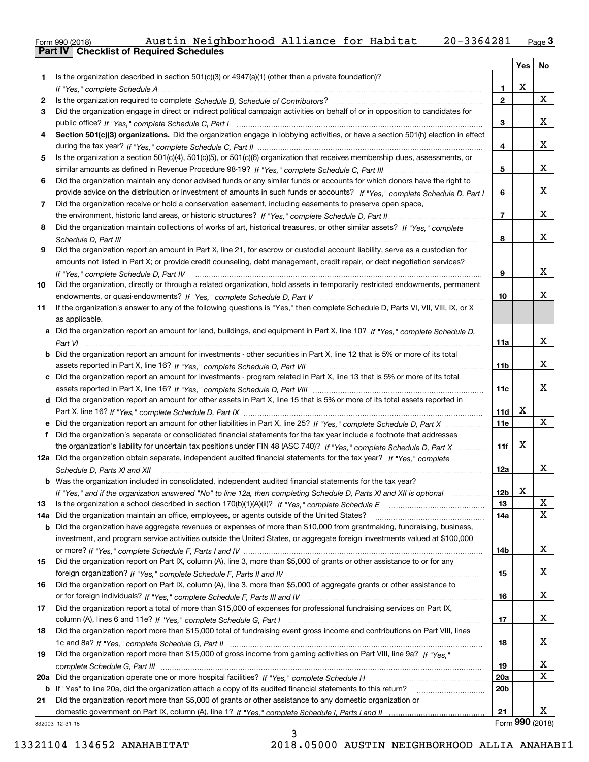| Form 990 (2018) |                                                  | Austin Neighborhood Alliance for Habitat |  | 20-3364281 | $P$ aqe $3$ |
|-----------------|--------------------------------------------------|------------------------------------------|--|------------|-------------|
|                 | <b>Part IV   Checklist of Required Schedules</b> |                                          |  |            |             |

| Is the organization described in section $501(c)(3)$ or $4947(a)(1)$ (other than a private foundation)?<br>1.<br>X<br>1<br>X<br>$\mathbf{2}$<br>2<br>Did the organization engage in direct or indirect political campaign activities on behalf of or in opposition to candidates for<br>3<br>x<br>3<br>Section 501(c)(3) organizations. Did the organization engage in lobbying activities, or have a section 501(h) election in effect<br>4<br>x<br>4<br>Is the organization a section 501(c)(4), 501(c)(5), or 501(c)(6) organization that receives membership dues, assessments, or<br>5<br>x<br>5<br>Did the organization maintain any donor advised funds or any similar funds or accounts for which donors have the right to<br>6<br>x<br>provide advice on the distribution or investment of amounts in such funds or accounts? If "Yes," complete Schedule D, Part I<br>6<br>Did the organization receive or hold a conservation easement, including easements to preserve open space,<br>7<br>x<br>7<br>Did the organization maintain collections of works of art, historical treasures, or other similar assets? If "Yes," complete<br>8<br>x<br>8<br>Did the organization report an amount in Part X, line 21, for escrow or custodial account liability, serve as a custodian for<br>9<br>amounts not listed in Part X; or provide credit counseling, debt management, credit repair, or debt negotiation services?<br>x<br>9<br>If "Yes," complete Schedule D, Part IV<br>Did the organization, directly or through a related organization, hold assets in temporarily restricted endowments, permanent<br>10<br>x<br>10<br>If the organization's answer to any of the following questions is "Yes," then complete Schedule D, Parts VI, VII, VIII, IX, or X<br>11<br>as applicable.<br>a Did the organization report an amount for land, buildings, and equipment in Part X, line 10? If "Yes," complete Schedule D,<br>x<br>11a<br><b>b</b> Did the organization report an amount for investments - other securities in Part X, line 12 that is 5% or more of its total<br>x<br>11 <sub>b</sub><br>c Did the organization report an amount for investments - program related in Part X, line 13 that is 5% or more of its total<br>x<br>11c<br>d Did the organization report an amount for other assets in Part X, line 15 that is 5% or more of its total assets reported in<br>X<br>11d<br>X<br>11e<br>Did the organization's separate or consolidated financial statements for the tax year include a footnote that addresses<br>f<br>X<br>the organization's liability for uncertain tax positions under FIN 48 (ASC 740)? If "Yes," complete Schedule D, Part X<br>11f<br>12a Did the organization obtain separate, independent audited financial statements for the tax year? If "Yes," complete<br>x<br>12a<br>Schedule D, Parts XI and XII<br><b>b</b> Was the organization included in consolidated, independent audited financial statements for the tax year?<br>12b<br>X.<br>If "Yes," and if the organization answered "No" to line 12a, then completing Schedule D, Parts XI and XII is optional<br>х<br>13<br>13<br>$\mathbf X$<br>Did the organization maintain an office, employees, or agents outside of the United States?<br>14a<br>14a<br>b Did the organization have aggregate revenues or expenses of more than \$10,000 from grantmaking, fundraising, business,<br>investment, and program service activities outside the United States, or aggregate foreign investments valued at \$100,000<br>x<br>14b<br>Did the organization report on Part IX, column (A), line 3, more than \$5,000 of grants or other assistance to or for any<br>15<br>x<br>15<br>Did the organization report on Part IX, column (A), line 3, more than \$5,000 of aggregate grants or other assistance to<br>16<br>x<br>16<br>Did the organization report a total of more than \$15,000 of expenses for professional fundraising services on Part IX,<br>17<br>х<br>17<br>Did the organization report more than \$15,000 total of fundraising event gross income and contributions on Part VIII, lines<br>18<br>x<br>18<br>Did the organization report more than \$15,000 of gross income from gaming activities on Part VIII, line 9a? If "Yes."<br>19<br>х<br>19<br>X<br><b>20a</b><br>20 <sub>b</sub><br>Did the organization report more than \$5,000 of grants or other assistance to any domestic organization or<br>21<br>х<br>21<br>Form 990 (2018)<br>332003 12-31-18 |  | Yes | No |
|--------------------------------------------------------------------------------------------------------------------------------------------------------------------------------------------------------------------------------------------------------------------------------------------------------------------------------------------------------------------------------------------------------------------------------------------------------------------------------------------------------------------------------------------------------------------------------------------------------------------------------------------------------------------------------------------------------------------------------------------------------------------------------------------------------------------------------------------------------------------------------------------------------------------------------------------------------------------------------------------------------------------------------------------------------------------------------------------------------------------------------------------------------------------------------------------------------------------------------------------------------------------------------------------------------------------------------------------------------------------------------------------------------------------------------------------------------------------------------------------------------------------------------------------------------------------------------------------------------------------------------------------------------------------------------------------------------------------------------------------------------------------------------------------------------------------------------------------------------------------------------------------------------------------------------------------------------------------------------------------------------------------------------------------------------------------------------------------------------------------------------------------------------------------------------------------------------------------------------------------------------------------------------------------------------------------------------------------------------------------------------------------------------------------------------------------------------------------------------------------------------------------------------------------------------------------------------------------------------------------------------------------------------------------------------------------------------------------------------------------------------------------------------------------------------------------------------------------------------------------------------------------------------------------------------------------------------------------------------------------------------------------------------------------------------------------------------------------------------------------------------------------------------------------------------------------------------------------------------------------------------------------------------------------------------------------------------------------------------------------------------------------------------------------------------------------------------------------------------------------------------------------------------------------------------------------------------------------------------------------------------------------------------------------------------------------------------------------------------------------------------------------------------------------------------------------------------------------------------------------------------------------------------------------------------------------------------------------------------------------------------------------------------------------------------------------------------------------------------------------------------------------------------------------------------------------------------------------------------------------------------------------------------------------------------------------------------------------------------------------------------------------------------------------------------------------------------------------------------------------------|--|-----|----|
|                                                                                                                                                                                                                                                                                                                                                                                                                                                                                                                                                                                                                                                                                                                                                                                                                                                                                                                                                                                                                                                                                                                                                                                                                                                                                                                                                                                                                                                                                                                                                                                                                                                                                                                                                                                                                                                                                                                                                                                                                                                                                                                                                                                                                                                                                                                                                                                                                                                                                                                                                                                                                                                                                                                                                                                                                                                                                                                                                                                                                                                                                                                                                                                                                                                                                                                                                                                                                                                                                                                                                                                                                                                                                                                                                                                                                                                                                                                                                                                                                                                                                                                                                                                                                                                                                                                                                                                                                                                                                                  |  |     |    |
|                                                                                                                                                                                                                                                                                                                                                                                                                                                                                                                                                                                                                                                                                                                                                                                                                                                                                                                                                                                                                                                                                                                                                                                                                                                                                                                                                                                                                                                                                                                                                                                                                                                                                                                                                                                                                                                                                                                                                                                                                                                                                                                                                                                                                                                                                                                                                                                                                                                                                                                                                                                                                                                                                                                                                                                                                                                                                                                                                                                                                                                                                                                                                                                                                                                                                                                                                                                                                                                                                                                                                                                                                                                                                                                                                                                                                                                                                                                                                                                                                                                                                                                                                                                                                                                                                                                                                                                                                                                                                                  |  |     |    |
|                                                                                                                                                                                                                                                                                                                                                                                                                                                                                                                                                                                                                                                                                                                                                                                                                                                                                                                                                                                                                                                                                                                                                                                                                                                                                                                                                                                                                                                                                                                                                                                                                                                                                                                                                                                                                                                                                                                                                                                                                                                                                                                                                                                                                                                                                                                                                                                                                                                                                                                                                                                                                                                                                                                                                                                                                                                                                                                                                                                                                                                                                                                                                                                                                                                                                                                                                                                                                                                                                                                                                                                                                                                                                                                                                                                                                                                                                                                                                                                                                                                                                                                                                                                                                                                                                                                                                                                                                                                                                                  |  |     |    |
|                                                                                                                                                                                                                                                                                                                                                                                                                                                                                                                                                                                                                                                                                                                                                                                                                                                                                                                                                                                                                                                                                                                                                                                                                                                                                                                                                                                                                                                                                                                                                                                                                                                                                                                                                                                                                                                                                                                                                                                                                                                                                                                                                                                                                                                                                                                                                                                                                                                                                                                                                                                                                                                                                                                                                                                                                                                                                                                                                                                                                                                                                                                                                                                                                                                                                                                                                                                                                                                                                                                                                                                                                                                                                                                                                                                                                                                                                                                                                                                                                                                                                                                                                                                                                                                                                                                                                                                                                                                                                                  |  |     |    |
|                                                                                                                                                                                                                                                                                                                                                                                                                                                                                                                                                                                                                                                                                                                                                                                                                                                                                                                                                                                                                                                                                                                                                                                                                                                                                                                                                                                                                                                                                                                                                                                                                                                                                                                                                                                                                                                                                                                                                                                                                                                                                                                                                                                                                                                                                                                                                                                                                                                                                                                                                                                                                                                                                                                                                                                                                                                                                                                                                                                                                                                                                                                                                                                                                                                                                                                                                                                                                                                                                                                                                                                                                                                                                                                                                                                                                                                                                                                                                                                                                                                                                                                                                                                                                                                                                                                                                                                                                                                                                                  |  |     |    |
|                                                                                                                                                                                                                                                                                                                                                                                                                                                                                                                                                                                                                                                                                                                                                                                                                                                                                                                                                                                                                                                                                                                                                                                                                                                                                                                                                                                                                                                                                                                                                                                                                                                                                                                                                                                                                                                                                                                                                                                                                                                                                                                                                                                                                                                                                                                                                                                                                                                                                                                                                                                                                                                                                                                                                                                                                                                                                                                                                                                                                                                                                                                                                                                                                                                                                                                                                                                                                                                                                                                                                                                                                                                                                                                                                                                                                                                                                                                                                                                                                                                                                                                                                                                                                                                                                                                                                                                                                                                                                                  |  |     |    |
|                                                                                                                                                                                                                                                                                                                                                                                                                                                                                                                                                                                                                                                                                                                                                                                                                                                                                                                                                                                                                                                                                                                                                                                                                                                                                                                                                                                                                                                                                                                                                                                                                                                                                                                                                                                                                                                                                                                                                                                                                                                                                                                                                                                                                                                                                                                                                                                                                                                                                                                                                                                                                                                                                                                                                                                                                                                                                                                                                                                                                                                                                                                                                                                                                                                                                                                                                                                                                                                                                                                                                                                                                                                                                                                                                                                                                                                                                                                                                                                                                                                                                                                                                                                                                                                                                                                                                                                                                                                                                                  |  |     |    |
|                                                                                                                                                                                                                                                                                                                                                                                                                                                                                                                                                                                                                                                                                                                                                                                                                                                                                                                                                                                                                                                                                                                                                                                                                                                                                                                                                                                                                                                                                                                                                                                                                                                                                                                                                                                                                                                                                                                                                                                                                                                                                                                                                                                                                                                                                                                                                                                                                                                                                                                                                                                                                                                                                                                                                                                                                                                                                                                                                                                                                                                                                                                                                                                                                                                                                                                                                                                                                                                                                                                                                                                                                                                                                                                                                                                                                                                                                                                                                                                                                                                                                                                                                                                                                                                                                                                                                                                                                                                                                                  |  |     |    |
|                                                                                                                                                                                                                                                                                                                                                                                                                                                                                                                                                                                                                                                                                                                                                                                                                                                                                                                                                                                                                                                                                                                                                                                                                                                                                                                                                                                                                                                                                                                                                                                                                                                                                                                                                                                                                                                                                                                                                                                                                                                                                                                                                                                                                                                                                                                                                                                                                                                                                                                                                                                                                                                                                                                                                                                                                                                                                                                                                                                                                                                                                                                                                                                                                                                                                                                                                                                                                                                                                                                                                                                                                                                                                                                                                                                                                                                                                                                                                                                                                                                                                                                                                                                                                                                                                                                                                                                                                                                                                                  |  |     |    |
|                                                                                                                                                                                                                                                                                                                                                                                                                                                                                                                                                                                                                                                                                                                                                                                                                                                                                                                                                                                                                                                                                                                                                                                                                                                                                                                                                                                                                                                                                                                                                                                                                                                                                                                                                                                                                                                                                                                                                                                                                                                                                                                                                                                                                                                                                                                                                                                                                                                                                                                                                                                                                                                                                                                                                                                                                                                                                                                                                                                                                                                                                                                                                                                                                                                                                                                                                                                                                                                                                                                                                                                                                                                                                                                                                                                                                                                                                                                                                                                                                                                                                                                                                                                                                                                                                                                                                                                                                                                                                                  |  |     |    |
|                                                                                                                                                                                                                                                                                                                                                                                                                                                                                                                                                                                                                                                                                                                                                                                                                                                                                                                                                                                                                                                                                                                                                                                                                                                                                                                                                                                                                                                                                                                                                                                                                                                                                                                                                                                                                                                                                                                                                                                                                                                                                                                                                                                                                                                                                                                                                                                                                                                                                                                                                                                                                                                                                                                                                                                                                                                                                                                                                                                                                                                                                                                                                                                                                                                                                                                                                                                                                                                                                                                                                                                                                                                                                                                                                                                                                                                                                                                                                                                                                                                                                                                                                                                                                                                                                                                                                                                                                                                                                                  |  |     |    |
|                                                                                                                                                                                                                                                                                                                                                                                                                                                                                                                                                                                                                                                                                                                                                                                                                                                                                                                                                                                                                                                                                                                                                                                                                                                                                                                                                                                                                                                                                                                                                                                                                                                                                                                                                                                                                                                                                                                                                                                                                                                                                                                                                                                                                                                                                                                                                                                                                                                                                                                                                                                                                                                                                                                                                                                                                                                                                                                                                                                                                                                                                                                                                                                                                                                                                                                                                                                                                                                                                                                                                                                                                                                                                                                                                                                                                                                                                                                                                                                                                                                                                                                                                                                                                                                                                                                                                                                                                                                                                                  |  |     |    |
|                                                                                                                                                                                                                                                                                                                                                                                                                                                                                                                                                                                                                                                                                                                                                                                                                                                                                                                                                                                                                                                                                                                                                                                                                                                                                                                                                                                                                                                                                                                                                                                                                                                                                                                                                                                                                                                                                                                                                                                                                                                                                                                                                                                                                                                                                                                                                                                                                                                                                                                                                                                                                                                                                                                                                                                                                                                                                                                                                                                                                                                                                                                                                                                                                                                                                                                                                                                                                                                                                                                                                                                                                                                                                                                                                                                                                                                                                                                                                                                                                                                                                                                                                                                                                                                                                                                                                                                                                                                                                                  |  |     |    |
|                                                                                                                                                                                                                                                                                                                                                                                                                                                                                                                                                                                                                                                                                                                                                                                                                                                                                                                                                                                                                                                                                                                                                                                                                                                                                                                                                                                                                                                                                                                                                                                                                                                                                                                                                                                                                                                                                                                                                                                                                                                                                                                                                                                                                                                                                                                                                                                                                                                                                                                                                                                                                                                                                                                                                                                                                                                                                                                                                                                                                                                                                                                                                                                                                                                                                                                                                                                                                                                                                                                                                                                                                                                                                                                                                                                                                                                                                                                                                                                                                                                                                                                                                                                                                                                                                                                                                                                                                                                                                                  |  |     |    |
|                                                                                                                                                                                                                                                                                                                                                                                                                                                                                                                                                                                                                                                                                                                                                                                                                                                                                                                                                                                                                                                                                                                                                                                                                                                                                                                                                                                                                                                                                                                                                                                                                                                                                                                                                                                                                                                                                                                                                                                                                                                                                                                                                                                                                                                                                                                                                                                                                                                                                                                                                                                                                                                                                                                                                                                                                                                                                                                                                                                                                                                                                                                                                                                                                                                                                                                                                                                                                                                                                                                                                                                                                                                                                                                                                                                                                                                                                                                                                                                                                                                                                                                                                                                                                                                                                                                                                                                                                                                                                                  |  |     |    |
|                                                                                                                                                                                                                                                                                                                                                                                                                                                                                                                                                                                                                                                                                                                                                                                                                                                                                                                                                                                                                                                                                                                                                                                                                                                                                                                                                                                                                                                                                                                                                                                                                                                                                                                                                                                                                                                                                                                                                                                                                                                                                                                                                                                                                                                                                                                                                                                                                                                                                                                                                                                                                                                                                                                                                                                                                                                                                                                                                                                                                                                                                                                                                                                                                                                                                                                                                                                                                                                                                                                                                                                                                                                                                                                                                                                                                                                                                                                                                                                                                                                                                                                                                                                                                                                                                                                                                                                                                                                                                                  |  |     |    |
|                                                                                                                                                                                                                                                                                                                                                                                                                                                                                                                                                                                                                                                                                                                                                                                                                                                                                                                                                                                                                                                                                                                                                                                                                                                                                                                                                                                                                                                                                                                                                                                                                                                                                                                                                                                                                                                                                                                                                                                                                                                                                                                                                                                                                                                                                                                                                                                                                                                                                                                                                                                                                                                                                                                                                                                                                                                                                                                                                                                                                                                                                                                                                                                                                                                                                                                                                                                                                                                                                                                                                                                                                                                                                                                                                                                                                                                                                                                                                                                                                                                                                                                                                                                                                                                                                                                                                                                                                                                                                                  |  |     |    |
|                                                                                                                                                                                                                                                                                                                                                                                                                                                                                                                                                                                                                                                                                                                                                                                                                                                                                                                                                                                                                                                                                                                                                                                                                                                                                                                                                                                                                                                                                                                                                                                                                                                                                                                                                                                                                                                                                                                                                                                                                                                                                                                                                                                                                                                                                                                                                                                                                                                                                                                                                                                                                                                                                                                                                                                                                                                                                                                                                                                                                                                                                                                                                                                                                                                                                                                                                                                                                                                                                                                                                                                                                                                                                                                                                                                                                                                                                                                                                                                                                                                                                                                                                                                                                                                                                                                                                                                                                                                                                                  |  |     |    |
|                                                                                                                                                                                                                                                                                                                                                                                                                                                                                                                                                                                                                                                                                                                                                                                                                                                                                                                                                                                                                                                                                                                                                                                                                                                                                                                                                                                                                                                                                                                                                                                                                                                                                                                                                                                                                                                                                                                                                                                                                                                                                                                                                                                                                                                                                                                                                                                                                                                                                                                                                                                                                                                                                                                                                                                                                                                                                                                                                                                                                                                                                                                                                                                                                                                                                                                                                                                                                                                                                                                                                                                                                                                                                                                                                                                                                                                                                                                                                                                                                                                                                                                                                                                                                                                                                                                                                                                                                                                                                                  |  |     |    |
|                                                                                                                                                                                                                                                                                                                                                                                                                                                                                                                                                                                                                                                                                                                                                                                                                                                                                                                                                                                                                                                                                                                                                                                                                                                                                                                                                                                                                                                                                                                                                                                                                                                                                                                                                                                                                                                                                                                                                                                                                                                                                                                                                                                                                                                                                                                                                                                                                                                                                                                                                                                                                                                                                                                                                                                                                                                                                                                                                                                                                                                                                                                                                                                                                                                                                                                                                                                                                                                                                                                                                                                                                                                                                                                                                                                                                                                                                                                                                                                                                                                                                                                                                                                                                                                                                                                                                                                                                                                                                                  |  |     |    |
|                                                                                                                                                                                                                                                                                                                                                                                                                                                                                                                                                                                                                                                                                                                                                                                                                                                                                                                                                                                                                                                                                                                                                                                                                                                                                                                                                                                                                                                                                                                                                                                                                                                                                                                                                                                                                                                                                                                                                                                                                                                                                                                                                                                                                                                                                                                                                                                                                                                                                                                                                                                                                                                                                                                                                                                                                                                                                                                                                                                                                                                                                                                                                                                                                                                                                                                                                                                                                                                                                                                                                                                                                                                                                                                                                                                                                                                                                                                                                                                                                                                                                                                                                                                                                                                                                                                                                                                                                                                                                                  |  |     |    |
|                                                                                                                                                                                                                                                                                                                                                                                                                                                                                                                                                                                                                                                                                                                                                                                                                                                                                                                                                                                                                                                                                                                                                                                                                                                                                                                                                                                                                                                                                                                                                                                                                                                                                                                                                                                                                                                                                                                                                                                                                                                                                                                                                                                                                                                                                                                                                                                                                                                                                                                                                                                                                                                                                                                                                                                                                                                                                                                                                                                                                                                                                                                                                                                                                                                                                                                                                                                                                                                                                                                                                                                                                                                                                                                                                                                                                                                                                                                                                                                                                                                                                                                                                                                                                                                                                                                                                                                                                                                                                                  |  |     |    |
|                                                                                                                                                                                                                                                                                                                                                                                                                                                                                                                                                                                                                                                                                                                                                                                                                                                                                                                                                                                                                                                                                                                                                                                                                                                                                                                                                                                                                                                                                                                                                                                                                                                                                                                                                                                                                                                                                                                                                                                                                                                                                                                                                                                                                                                                                                                                                                                                                                                                                                                                                                                                                                                                                                                                                                                                                                                                                                                                                                                                                                                                                                                                                                                                                                                                                                                                                                                                                                                                                                                                                                                                                                                                                                                                                                                                                                                                                                                                                                                                                                                                                                                                                                                                                                                                                                                                                                                                                                                                                                  |  |     |    |
|                                                                                                                                                                                                                                                                                                                                                                                                                                                                                                                                                                                                                                                                                                                                                                                                                                                                                                                                                                                                                                                                                                                                                                                                                                                                                                                                                                                                                                                                                                                                                                                                                                                                                                                                                                                                                                                                                                                                                                                                                                                                                                                                                                                                                                                                                                                                                                                                                                                                                                                                                                                                                                                                                                                                                                                                                                                                                                                                                                                                                                                                                                                                                                                                                                                                                                                                                                                                                                                                                                                                                                                                                                                                                                                                                                                                                                                                                                                                                                                                                                                                                                                                                                                                                                                                                                                                                                                                                                                                                                  |  |     |    |
|                                                                                                                                                                                                                                                                                                                                                                                                                                                                                                                                                                                                                                                                                                                                                                                                                                                                                                                                                                                                                                                                                                                                                                                                                                                                                                                                                                                                                                                                                                                                                                                                                                                                                                                                                                                                                                                                                                                                                                                                                                                                                                                                                                                                                                                                                                                                                                                                                                                                                                                                                                                                                                                                                                                                                                                                                                                                                                                                                                                                                                                                                                                                                                                                                                                                                                                                                                                                                                                                                                                                                                                                                                                                                                                                                                                                                                                                                                                                                                                                                                                                                                                                                                                                                                                                                                                                                                                                                                                                                                  |  |     |    |
|                                                                                                                                                                                                                                                                                                                                                                                                                                                                                                                                                                                                                                                                                                                                                                                                                                                                                                                                                                                                                                                                                                                                                                                                                                                                                                                                                                                                                                                                                                                                                                                                                                                                                                                                                                                                                                                                                                                                                                                                                                                                                                                                                                                                                                                                                                                                                                                                                                                                                                                                                                                                                                                                                                                                                                                                                                                                                                                                                                                                                                                                                                                                                                                                                                                                                                                                                                                                                                                                                                                                                                                                                                                                                                                                                                                                                                                                                                                                                                                                                                                                                                                                                                                                                                                                                                                                                                                                                                                                                                  |  |     |    |
|                                                                                                                                                                                                                                                                                                                                                                                                                                                                                                                                                                                                                                                                                                                                                                                                                                                                                                                                                                                                                                                                                                                                                                                                                                                                                                                                                                                                                                                                                                                                                                                                                                                                                                                                                                                                                                                                                                                                                                                                                                                                                                                                                                                                                                                                                                                                                                                                                                                                                                                                                                                                                                                                                                                                                                                                                                                                                                                                                                                                                                                                                                                                                                                                                                                                                                                                                                                                                                                                                                                                                                                                                                                                                                                                                                                                                                                                                                                                                                                                                                                                                                                                                                                                                                                                                                                                                                                                                                                                                                  |  |     |    |
|                                                                                                                                                                                                                                                                                                                                                                                                                                                                                                                                                                                                                                                                                                                                                                                                                                                                                                                                                                                                                                                                                                                                                                                                                                                                                                                                                                                                                                                                                                                                                                                                                                                                                                                                                                                                                                                                                                                                                                                                                                                                                                                                                                                                                                                                                                                                                                                                                                                                                                                                                                                                                                                                                                                                                                                                                                                                                                                                                                                                                                                                                                                                                                                                                                                                                                                                                                                                                                                                                                                                                                                                                                                                                                                                                                                                                                                                                                                                                                                                                                                                                                                                                                                                                                                                                                                                                                                                                                                                                                  |  |     |    |
|                                                                                                                                                                                                                                                                                                                                                                                                                                                                                                                                                                                                                                                                                                                                                                                                                                                                                                                                                                                                                                                                                                                                                                                                                                                                                                                                                                                                                                                                                                                                                                                                                                                                                                                                                                                                                                                                                                                                                                                                                                                                                                                                                                                                                                                                                                                                                                                                                                                                                                                                                                                                                                                                                                                                                                                                                                                                                                                                                                                                                                                                                                                                                                                                                                                                                                                                                                                                                                                                                                                                                                                                                                                                                                                                                                                                                                                                                                                                                                                                                                                                                                                                                                                                                                                                                                                                                                                                                                                                                                  |  |     |    |
|                                                                                                                                                                                                                                                                                                                                                                                                                                                                                                                                                                                                                                                                                                                                                                                                                                                                                                                                                                                                                                                                                                                                                                                                                                                                                                                                                                                                                                                                                                                                                                                                                                                                                                                                                                                                                                                                                                                                                                                                                                                                                                                                                                                                                                                                                                                                                                                                                                                                                                                                                                                                                                                                                                                                                                                                                                                                                                                                                                                                                                                                                                                                                                                                                                                                                                                                                                                                                                                                                                                                                                                                                                                                                                                                                                                                                                                                                                                                                                                                                                                                                                                                                                                                                                                                                                                                                                                                                                                                                                  |  |     |    |
|                                                                                                                                                                                                                                                                                                                                                                                                                                                                                                                                                                                                                                                                                                                                                                                                                                                                                                                                                                                                                                                                                                                                                                                                                                                                                                                                                                                                                                                                                                                                                                                                                                                                                                                                                                                                                                                                                                                                                                                                                                                                                                                                                                                                                                                                                                                                                                                                                                                                                                                                                                                                                                                                                                                                                                                                                                                                                                                                                                                                                                                                                                                                                                                                                                                                                                                                                                                                                                                                                                                                                                                                                                                                                                                                                                                                                                                                                                                                                                                                                                                                                                                                                                                                                                                                                                                                                                                                                                                                                                  |  |     |    |
|                                                                                                                                                                                                                                                                                                                                                                                                                                                                                                                                                                                                                                                                                                                                                                                                                                                                                                                                                                                                                                                                                                                                                                                                                                                                                                                                                                                                                                                                                                                                                                                                                                                                                                                                                                                                                                                                                                                                                                                                                                                                                                                                                                                                                                                                                                                                                                                                                                                                                                                                                                                                                                                                                                                                                                                                                                                                                                                                                                                                                                                                                                                                                                                                                                                                                                                                                                                                                                                                                                                                                                                                                                                                                                                                                                                                                                                                                                                                                                                                                                                                                                                                                                                                                                                                                                                                                                                                                                                                                                  |  |     |    |
|                                                                                                                                                                                                                                                                                                                                                                                                                                                                                                                                                                                                                                                                                                                                                                                                                                                                                                                                                                                                                                                                                                                                                                                                                                                                                                                                                                                                                                                                                                                                                                                                                                                                                                                                                                                                                                                                                                                                                                                                                                                                                                                                                                                                                                                                                                                                                                                                                                                                                                                                                                                                                                                                                                                                                                                                                                                                                                                                                                                                                                                                                                                                                                                                                                                                                                                                                                                                                                                                                                                                                                                                                                                                                                                                                                                                                                                                                                                                                                                                                                                                                                                                                                                                                                                                                                                                                                                                                                                                                                  |  |     |    |
|                                                                                                                                                                                                                                                                                                                                                                                                                                                                                                                                                                                                                                                                                                                                                                                                                                                                                                                                                                                                                                                                                                                                                                                                                                                                                                                                                                                                                                                                                                                                                                                                                                                                                                                                                                                                                                                                                                                                                                                                                                                                                                                                                                                                                                                                                                                                                                                                                                                                                                                                                                                                                                                                                                                                                                                                                                                                                                                                                                                                                                                                                                                                                                                                                                                                                                                                                                                                                                                                                                                                                                                                                                                                                                                                                                                                                                                                                                                                                                                                                                                                                                                                                                                                                                                                                                                                                                                                                                                                                                  |  |     |    |
|                                                                                                                                                                                                                                                                                                                                                                                                                                                                                                                                                                                                                                                                                                                                                                                                                                                                                                                                                                                                                                                                                                                                                                                                                                                                                                                                                                                                                                                                                                                                                                                                                                                                                                                                                                                                                                                                                                                                                                                                                                                                                                                                                                                                                                                                                                                                                                                                                                                                                                                                                                                                                                                                                                                                                                                                                                                                                                                                                                                                                                                                                                                                                                                                                                                                                                                                                                                                                                                                                                                                                                                                                                                                                                                                                                                                                                                                                                                                                                                                                                                                                                                                                                                                                                                                                                                                                                                                                                                                                                  |  |     |    |
|                                                                                                                                                                                                                                                                                                                                                                                                                                                                                                                                                                                                                                                                                                                                                                                                                                                                                                                                                                                                                                                                                                                                                                                                                                                                                                                                                                                                                                                                                                                                                                                                                                                                                                                                                                                                                                                                                                                                                                                                                                                                                                                                                                                                                                                                                                                                                                                                                                                                                                                                                                                                                                                                                                                                                                                                                                                                                                                                                                                                                                                                                                                                                                                                                                                                                                                                                                                                                                                                                                                                                                                                                                                                                                                                                                                                                                                                                                                                                                                                                                                                                                                                                                                                                                                                                                                                                                                                                                                                                                  |  |     |    |
|                                                                                                                                                                                                                                                                                                                                                                                                                                                                                                                                                                                                                                                                                                                                                                                                                                                                                                                                                                                                                                                                                                                                                                                                                                                                                                                                                                                                                                                                                                                                                                                                                                                                                                                                                                                                                                                                                                                                                                                                                                                                                                                                                                                                                                                                                                                                                                                                                                                                                                                                                                                                                                                                                                                                                                                                                                                                                                                                                                                                                                                                                                                                                                                                                                                                                                                                                                                                                                                                                                                                                                                                                                                                                                                                                                                                                                                                                                                                                                                                                                                                                                                                                                                                                                                                                                                                                                                                                                                                                                  |  |     |    |
|                                                                                                                                                                                                                                                                                                                                                                                                                                                                                                                                                                                                                                                                                                                                                                                                                                                                                                                                                                                                                                                                                                                                                                                                                                                                                                                                                                                                                                                                                                                                                                                                                                                                                                                                                                                                                                                                                                                                                                                                                                                                                                                                                                                                                                                                                                                                                                                                                                                                                                                                                                                                                                                                                                                                                                                                                                                                                                                                                                                                                                                                                                                                                                                                                                                                                                                                                                                                                                                                                                                                                                                                                                                                                                                                                                                                                                                                                                                                                                                                                                                                                                                                                                                                                                                                                                                                                                                                                                                                                                  |  |     |    |
|                                                                                                                                                                                                                                                                                                                                                                                                                                                                                                                                                                                                                                                                                                                                                                                                                                                                                                                                                                                                                                                                                                                                                                                                                                                                                                                                                                                                                                                                                                                                                                                                                                                                                                                                                                                                                                                                                                                                                                                                                                                                                                                                                                                                                                                                                                                                                                                                                                                                                                                                                                                                                                                                                                                                                                                                                                                                                                                                                                                                                                                                                                                                                                                                                                                                                                                                                                                                                                                                                                                                                                                                                                                                                                                                                                                                                                                                                                                                                                                                                                                                                                                                                                                                                                                                                                                                                                                                                                                                                                  |  |     |    |
|                                                                                                                                                                                                                                                                                                                                                                                                                                                                                                                                                                                                                                                                                                                                                                                                                                                                                                                                                                                                                                                                                                                                                                                                                                                                                                                                                                                                                                                                                                                                                                                                                                                                                                                                                                                                                                                                                                                                                                                                                                                                                                                                                                                                                                                                                                                                                                                                                                                                                                                                                                                                                                                                                                                                                                                                                                                                                                                                                                                                                                                                                                                                                                                                                                                                                                                                                                                                                                                                                                                                                                                                                                                                                                                                                                                                                                                                                                                                                                                                                                                                                                                                                                                                                                                                                                                                                                                                                                                                                                  |  |     |    |
|                                                                                                                                                                                                                                                                                                                                                                                                                                                                                                                                                                                                                                                                                                                                                                                                                                                                                                                                                                                                                                                                                                                                                                                                                                                                                                                                                                                                                                                                                                                                                                                                                                                                                                                                                                                                                                                                                                                                                                                                                                                                                                                                                                                                                                                                                                                                                                                                                                                                                                                                                                                                                                                                                                                                                                                                                                                                                                                                                                                                                                                                                                                                                                                                                                                                                                                                                                                                                                                                                                                                                                                                                                                                                                                                                                                                                                                                                                                                                                                                                                                                                                                                                                                                                                                                                                                                                                                                                                                                                                  |  |     |    |
|                                                                                                                                                                                                                                                                                                                                                                                                                                                                                                                                                                                                                                                                                                                                                                                                                                                                                                                                                                                                                                                                                                                                                                                                                                                                                                                                                                                                                                                                                                                                                                                                                                                                                                                                                                                                                                                                                                                                                                                                                                                                                                                                                                                                                                                                                                                                                                                                                                                                                                                                                                                                                                                                                                                                                                                                                                                                                                                                                                                                                                                                                                                                                                                                                                                                                                                                                                                                                                                                                                                                                                                                                                                                                                                                                                                                                                                                                                                                                                                                                                                                                                                                                                                                                                                                                                                                                                                                                                                                                                  |  |     |    |
|                                                                                                                                                                                                                                                                                                                                                                                                                                                                                                                                                                                                                                                                                                                                                                                                                                                                                                                                                                                                                                                                                                                                                                                                                                                                                                                                                                                                                                                                                                                                                                                                                                                                                                                                                                                                                                                                                                                                                                                                                                                                                                                                                                                                                                                                                                                                                                                                                                                                                                                                                                                                                                                                                                                                                                                                                                                                                                                                                                                                                                                                                                                                                                                                                                                                                                                                                                                                                                                                                                                                                                                                                                                                                                                                                                                                                                                                                                                                                                                                                                                                                                                                                                                                                                                                                                                                                                                                                                                                                                  |  |     |    |
|                                                                                                                                                                                                                                                                                                                                                                                                                                                                                                                                                                                                                                                                                                                                                                                                                                                                                                                                                                                                                                                                                                                                                                                                                                                                                                                                                                                                                                                                                                                                                                                                                                                                                                                                                                                                                                                                                                                                                                                                                                                                                                                                                                                                                                                                                                                                                                                                                                                                                                                                                                                                                                                                                                                                                                                                                                                                                                                                                                                                                                                                                                                                                                                                                                                                                                                                                                                                                                                                                                                                                                                                                                                                                                                                                                                                                                                                                                                                                                                                                                                                                                                                                                                                                                                                                                                                                                                                                                                                                                  |  |     |    |
|                                                                                                                                                                                                                                                                                                                                                                                                                                                                                                                                                                                                                                                                                                                                                                                                                                                                                                                                                                                                                                                                                                                                                                                                                                                                                                                                                                                                                                                                                                                                                                                                                                                                                                                                                                                                                                                                                                                                                                                                                                                                                                                                                                                                                                                                                                                                                                                                                                                                                                                                                                                                                                                                                                                                                                                                                                                                                                                                                                                                                                                                                                                                                                                                                                                                                                                                                                                                                                                                                                                                                                                                                                                                                                                                                                                                                                                                                                                                                                                                                                                                                                                                                                                                                                                                                                                                                                                                                                                                                                  |  |     |    |
|                                                                                                                                                                                                                                                                                                                                                                                                                                                                                                                                                                                                                                                                                                                                                                                                                                                                                                                                                                                                                                                                                                                                                                                                                                                                                                                                                                                                                                                                                                                                                                                                                                                                                                                                                                                                                                                                                                                                                                                                                                                                                                                                                                                                                                                                                                                                                                                                                                                                                                                                                                                                                                                                                                                                                                                                                                                                                                                                                                                                                                                                                                                                                                                                                                                                                                                                                                                                                                                                                                                                                                                                                                                                                                                                                                                                                                                                                                                                                                                                                                                                                                                                                                                                                                                                                                                                                                                                                                                                                                  |  |     |    |
|                                                                                                                                                                                                                                                                                                                                                                                                                                                                                                                                                                                                                                                                                                                                                                                                                                                                                                                                                                                                                                                                                                                                                                                                                                                                                                                                                                                                                                                                                                                                                                                                                                                                                                                                                                                                                                                                                                                                                                                                                                                                                                                                                                                                                                                                                                                                                                                                                                                                                                                                                                                                                                                                                                                                                                                                                                                                                                                                                                                                                                                                                                                                                                                                                                                                                                                                                                                                                                                                                                                                                                                                                                                                                                                                                                                                                                                                                                                                                                                                                                                                                                                                                                                                                                                                                                                                                                                                                                                                                                  |  |     |    |
|                                                                                                                                                                                                                                                                                                                                                                                                                                                                                                                                                                                                                                                                                                                                                                                                                                                                                                                                                                                                                                                                                                                                                                                                                                                                                                                                                                                                                                                                                                                                                                                                                                                                                                                                                                                                                                                                                                                                                                                                                                                                                                                                                                                                                                                                                                                                                                                                                                                                                                                                                                                                                                                                                                                                                                                                                                                                                                                                                                                                                                                                                                                                                                                                                                                                                                                                                                                                                                                                                                                                                                                                                                                                                                                                                                                                                                                                                                                                                                                                                                                                                                                                                                                                                                                                                                                                                                                                                                                                                                  |  |     |    |
|                                                                                                                                                                                                                                                                                                                                                                                                                                                                                                                                                                                                                                                                                                                                                                                                                                                                                                                                                                                                                                                                                                                                                                                                                                                                                                                                                                                                                                                                                                                                                                                                                                                                                                                                                                                                                                                                                                                                                                                                                                                                                                                                                                                                                                                                                                                                                                                                                                                                                                                                                                                                                                                                                                                                                                                                                                                                                                                                                                                                                                                                                                                                                                                                                                                                                                                                                                                                                                                                                                                                                                                                                                                                                                                                                                                                                                                                                                                                                                                                                                                                                                                                                                                                                                                                                                                                                                                                                                                                                                  |  |     |    |
|                                                                                                                                                                                                                                                                                                                                                                                                                                                                                                                                                                                                                                                                                                                                                                                                                                                                                                                                                                                                                                                                                                                                                                                                                                                                                                                                                                                                                                                                                                                                                                                                                                                                                                                                                                                                                                                                                                                                                                                                                                                                                                                                                                                                                                                                                                                                                                                                                                                                                                                                                                                                                                                                                                                                                                                                                                                                                                                                                                                                                                                                                                                                                                                                                                                                                                                                                                                                                                                                                                                                                                                                                                                                                                                                                                                                                                                                                                                                                                                                                                                                                                                                                                                                                                                                                                                                                                                                                                                                                                  |  |     |    |
|                                                                                                                                                                                                                                                                                                                                                                                                                                                                                                                                                                                                                                                                                                                                                                                                                                                                                                                                                                                                                                                                                                                                                                                                                                                                                                                                                                                                                                                                                                                                                                                                                                                                                                                                                                                                                                                                                                                                                                                                                                                                                                                                                                                                                                                                                                                                                                                                                                                                                                                                                                                                                                                                                                                                                                                                                                                                                                                                                                                                                                                                                                                                                                                                                                                                                                                                                                                                                                                                                                                                                                                                                                                                                                                                                                                                                                                                                                                                                                                                                                                                                                                                                                                                                                                                                                                                                                                                                                                                                                  |  |     |    |
|                                                                                                                                                                                                                                                                                                                                                                                                                                                                                                                                                                                                                                                                                                                                                                                                                                                                                                                                                                                                                                                                                                                                                                                                                                                                                                                                                                                                                                                                                                                                                                                                                                                                                                                                                                                                                                                                                                                                                                                                                                                                                                                                                                                                                                                                                                                                                                                                                                                                                                                                                                                                                                                                                                                                                                                                                                                                                                                                                                                                                                                                                                                                                                                                                                                                                                                                                                                                                                                                                                                                                                                                                                                                                                                                                                                                                                                                                                                                                                                                                                                                                                                                                                                                                                                                                                                                                                                                                                                                                                  |  |     |    |
|                                                                                                                                                                                                                                                                                                                                                                                                                                                                                                                                                                                                                                                                                                                                                                                                                                                                                                                                                                                                                                                                                                                                                                                                                                                                                                                                                                                                                                                                                                                                                                                                                                                                                                                                                                                                                                                                                                                                                                                                                                                                                                                                                                                                                                                                                                                                                                                                                                                                                                                                                                                                                                                                                                                                                                                                                                                                                                                                                                                                                                                                                                                                                                                                                                                                                                                                                                                                                                                                                                                                                                                                                                                                                                                                                                                                                                                                                                                                                                                                                                                                                                                                                                                                                                                                                                                                                                                                                                                                                                  |  |     |    |

832003 12-31-18

3 13321104 134652 ANAHABITAT 2018.05000 AUSTIN NEIGHBORHOOD ALLIA ANAHABI1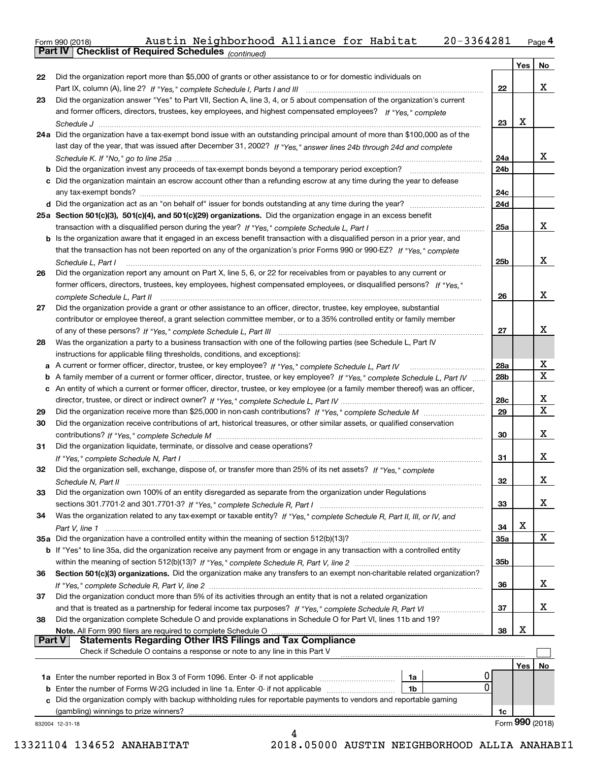Form 990 (2018) Austin Neighborhood Alliance for Habitat 20-3364281 <sub>Page</sub>4<br>**Part IV | Checklist of Required Schedules** <sub>(continued)</sub>

*(continued)*

|               |                                                                                                                                                                                                                                               |                 | Yes | No              |
|---------------|-----------------------------------------------------------------------------------------------------------------------------------------------------------------------------------------------------------------------------------------------|-----------------|-----|-----------------|
| 22            | Did the organization report more than \$5,000 of grants or other assistance to or for domestic individuals on                                                                                                                                 |                 |     |                 |
|               |                                                                                                                                                                                                                                               | 22              |     | X               |
| 23            | Did the organization answer "Yes" to Part VII, Section A, line 3, 4, or 5 about compensation of the organization's current                                                                                                                    |                 |     |                 |
|               | and former officers, directors, trustees, key employees, and highest compensated employees? If "Yes." complete                                                                                                                                |                 |     |                 |
|               |                                                                                                                                                                                                                                               | 23              | X   |                 |
|               | 24a Did the organization have a tax-exempt bond issue with an outstanding principal amount of more than \$100,000 as of the                                                                                                                   |                 |     |                 |
|               | last day of the year, that was issued after December 31, 2002? If "Yes," answer lines 24b through 24d and complete                                                                                                                            |                 |     |                 |
|               |                                                                                                                                                                                                                                               | 24a             |     | x               |
|               |                                                                                                                                                                                                                                               | 24b             |     |                 |
|               | c Did the organization maintain an escrow account other than a refunding escrow at any time during the year to defease                                                                                                                        |                 |     |                 |
|               |                                                                                                                                                                                                                                               | 24c             |     |                 |
|               |                                                                                                                                                                                                                                               | 24d             |     |                 |
|               | 25a Section 501(c)(3), 501(c)(4), and 501(c)(29) organizations. Did the organization engage in an excess benefit                                                                                                                              |                 |     |                 |
|               |                                                                                                                                                                                                                                               | 25a             |     | x               |
|               | b Is the organization aware that it engaged in an excess benefit transaction with a disqualified person in a prior year, and                                                                                                                  |                 |     |                 |
|               | that the transaction has not been reported on any of the organization's prior Forms 990 or 990-EZ? If "Yes," complete                                                                                                                         |                 |     |                 |
|               | Schedule L, Part I                                                                                                                                                                                                                            | 25b             |     | X               |
| 26            | Did the organization report any amount on Part X, line 5, 6, or 22 for receivables from or payables to any current or                                                                                                                         |                 |     |                 |
|               | former officers, directors, trustees, key employees, highest compensated employees, or disqualified persons? If "Yes."                                                                                                                        |                 |     | X               |
|               | complete Schedule L, Part II                                                                                                                                                                                                                  | 26              |     |                 |
| 27            | Did the organization provide a grant or other assistance to an officer, director, trustee, key employee, substantial                                                                                                                          |                 |     |                 |
|               | contributor or employee thereof, a grant selection committee member, or to a 35% controlled entity or family member                                                                                                                           | 27              |     | X               |
| 28            | Was the organization a party to a business transaction with one of the following parties (see Schedule L, Part IV                                                                                                                             |                 |     |                 |
|               | instructions for applicable filing thresholds, conditions, and exceptions):                                                                                                                                                                   |                 |     |                 |
| а             |                                                                                                                                                                                                                                               | 28a             |     | х               |
| b             | A family member of a current or former officer, director, trustee, or key employee? If "Yes," complete Schedule L, Part IV                                                                                                                    | 28 <sub>b</sub> |     | х               |
|               | c An entity of which a current or former officer, director, trustee, or key employee (or a family member thereof) was an officer,                                                                                                             |                 |     |                 |
|               |                                                                                                                                                                                                                                               | 28c             |     | х               |
| 29            |                                                                                                                                                                                                                                               | 29              |     | х               |
| 30            | Did the organization receive contributions of art, historical treasures, or other similar assets, or qualified conservation                                                                                                                   |                 |     |                 |
|               |                                                                                                                                                                                                                                               | 30              |     | х               |
| 31            | Did the organization liquidate, terminate, or dissolve and cease operations?                                                                                                                                                                  |                 |     |                 |
|               | If "Yes," complete Schedule N, Part I                                                                                                                                                                                                         | 31              |     | х               |
| 32            | Did the organization sell, exchange, dispose of, or transfer more than 25% of its net assets? If "Yes," complete                                                                                                                              |                 |     |                 |
|               | Schedule N. Part II <u>www.marrow.communication.communication.communication.com</u>                                                                                                                                                           | 32              |     | х               |
| 33            | Did the organization own 100% of an entity disregarded as separate from the organization under Regulations                                                                                                                                    |                 |     |                 |
|               |                                                                                                                                                                                                                                               | 33              |     | х               |
| 34            | Was the organization related to any tax-exempt or taxable entity? If "Yes," complete Schedule R, Part II, III, or IV, and                                                                                                                     |                 |     |                 |
|               |                                                                                                                                                                                                                                               | 34              | х   |                 |
|               | 35a Did the organization have a controlled entity within the meaning of section 512(b)(13)?                                                                                                                                                   | <b>35a</b>      |     | X               |
|               | b If "Yes" to line 35a, did the organization receive any payment from or engage in any transaction with a controlled entity                                                                                                                   |                 |     |                 |
|               |                                                                                                                                                                                                                                               | 35b             |     |                 |
| 36            | Section 501(c)(3) organizations. Did the organization make any transfers to an exempt non-charitable related organization?                                                                                                                    |                 |     |                 |
|               |                                                                                                                                                                                                                                               | 36              |     | х               |
| 37            | Did the organization conduct more than 5% of its activities through an entity that is not a related organization                                                                                                                              |                 |     |                 |
|               |                                                                                                                                                                                                                                               | 37              |     | х               |
| 38            | Did the organization complete Schedule O and provide explanations in Schedule O for Part VI, lines 11b and 19?                                                                                                                                |                 | х   |                 |
| <b>Part V</b> | Note. All Form 990 filers are required to complete Schedule O<br>الله المعالجة المسابقة المسابقة المسابقة المسابقة المسابقة المسابقة المسابقة المسابقة المسابقة المسابقة المسابق<br>Statements Regarding Other IRS Filings and Tax Compliance | 38              |     |                 |
|               | Check if Schedule O contains a response or note to any line in this Part V                                                                                                                                                                    |                 |     |                 |
|               |                                                                                                                                                                                                                                               |                 | Yes | No              |
|               | 0<br>1a Enter the number reported in Box 3 of Form 1096. Enter -0- if not applicable<br>1a                                                                                                                                                    |                 |     |                 |
|               | 0<br>Enter the number of Forms W-2G included in line 1a. Enter -0- if not applicable<br>1b                                                                                                                                                    |                 |     |                 |
|               | Did the organization comply with backup withholding rules for reportable payments to vendors and reportable gaming                                                                                                                            |                 |     |                 |
|               | (gambling) winnings to prize winners?                                                                                                                                                                                                         | 1c              |     |                 |
|               | 832004 12-31-18                                                                                                                                                                                                                               |                 |     | Form 990 (2018) |
|               | 4                                                                                                                                                                                                                                             |                 |     |                 |
|               |                                                                                                                                                                                                                                               |                 |     |                 |

 <sup>13321104 134652</sup> ANAHABITAT 2018.05000 AUSTIN NEIGHBORHOOD ALLIA ANAHABI1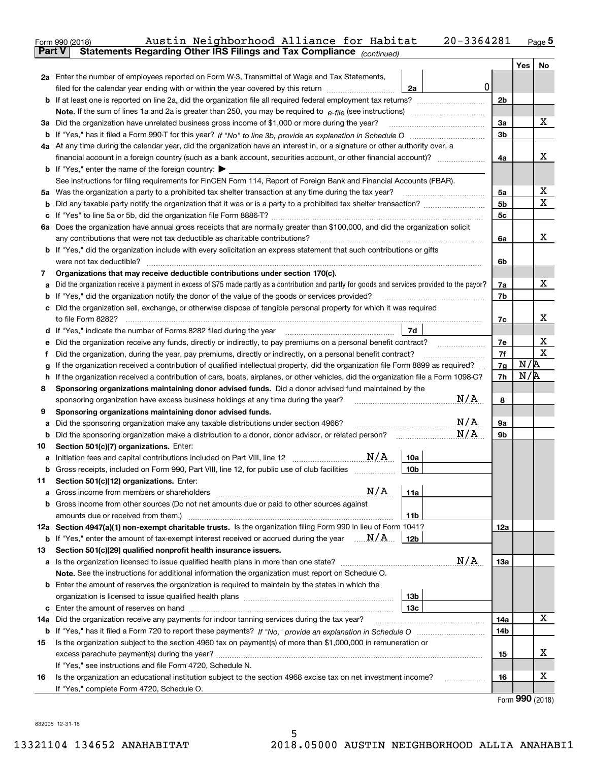|        | 20-3364281<br>Austin Neighborhood Alliance for Habitat<br>Form 990 (2018)                                                                                                                                                                    |                |     | <u>Page</u> 5               |
|--------|----------------------------------------------------------------------------------------------------------------------------------------------------------------------------------------------------------------------------------------------|----------------|-----|-----------------------------|
|        | Statements Regarding Other IRS Filings and Tax Compliance (continued)<br><b>Part V</b>                                                                                                                                                       |                |     |                             |
|        |                                                                                                                                                                                                                                              |                | Yes | No                          |
|        | 2a Enter the number of employees reported on Form W-3, Transmittal of Wage and Tax Statements,                                                                                                                                               |                |     |                             |
|        | $\mathbf 0$<br>filed for the calendar year ending with or within the year covered by this return<br>2a                                                                                                                                       |                |     |                             |
|        |                                                                                                                                                                                                                                              | 2 <sub>b</sub> |     |                             |
|        |                                                                                                                                                                                                                                              |                |     |                             |
|        | 3a Did the organization have unrelated business gross income of \$1,000 or more during the year?                                                                                                                                             | 3a             |     | х                           |
|        |                                                                                                                                                                                                                                              | 3 <sub>b</sub> |     |                             |
|        | 4a At any time during the calendar year, did the organization have an interest in, or a signature or other authority over, a                                                                                                                 |                |     |                             |
|        | financial account in a foreign country (such as a bank account, securities account, or other financial account)?                                                                                                                             | 4a             |     | х                           |
|        | <b>b</b> If "Yes," enter the name of the foreign country: $\blacktriangleright$                                                                                                                                                              |                |     |                             |
|        | See instructions for filing requirements for FinCEN Form 114, Report of Foreign Bank and Financial Accounts (FBAR).                                                                                                                          |                |     |                             |
|        |                                                                                                                                                                                                                                              | 5a             |     | x                           |
|        |                                                                                                                                                                                                                                              | 5 <sub>b</sub> |     | X                           |
|        |                                                                                                                                                                                                                                              | 5с             |     |                             |
|        | 6a Does the organization have annual gross receipts that are normally greater than \$100,000, and did the organization solicit                                                                                                               |                |     |                             |
|        |                                                                                                                                                                                                                                              | 6a             |     | х                           |
|        | <b>b</b> If "Yes," did the organization include with every solicitation an express statement that such contributions or gifts                                                                                                                |                |     |                             |
|        | were not tax deductible?                                                                                                                                                                                                                     | 6b             |     |                             |
| 7      | Organizations that may receive deductible contributions under section 170(c).                                                                                                                                                                |                |     |                             |
| а      | Did the organization receive a payment in excess of \$75 made partly as a contribution and partly for goods and services provided to the payor?                                                                                              | 7a             |     | х                           |
|        | <b>b</b> If "Yes," did the organization notify the donor of the value of the goods or services provided?                                                                                                                                     | 7b             |     |                             |
|        | c Did the organization sell, exchange, or otherwise dispose of tangible personal property for which it was required                                                                                                                          |                |     |                             |
|        |                                                                                                                                                                                                                                              | 7c             |     | x                           |
|        | 7d                                                                                                                                                                                                                                           |                |     |                             |
| е      | Did the organization receive any funds, directly or indirectly, to pay premiums on a personal benefit contract?                                                                                                                              | 7e             |     | X<br>х                      |
| f      | Did the organization, during the year, pay premiums, directly or indirectly, on a personal benefit contract?                                                                                                                                 | 7f             | N/R |                             |
| g      | If the organization received a contribution of qualified intellectual property, did the organization file Form 8899 as required?                                                                                                             | 7g             | N/R |                             |
| h<br>8 | If the organization received a contribution of cars, boats, airplanes, or other vehicles, did the organization file a Form 1098-C?<br>Sponsoring organizations maintaining donor advised funds. Did a donor advised fund maintained by the   | 7h             |     |                             |
|        | N/A<br>sponsoring organization have excess business holdings at any time during the year?                                                                                                                                                    | 8              |     |                             |
| 9      | Sponsoring organizations maintaining donor advised funds.                                                                                                                                                                                    |                |     |                             |
| а      | $\mathrm{N}/\mathrm{A}$<br>Did the sponsoring organization make any taxable distributions under section 4966?                                                                                                                                | 9а             |     |                             |
|        | N/A                                                                                                                                                                                                                                          | 9b             |     |                             |
| 10     | Section 501(c)(7) organizations. Enter:                                                                                                                                                                                                      |                |     |                             |
| а      | N/A<br>10a<br>Initiation fees and capital contributions included on Part VIII, line 12 [111] [12] [11] [12] [11] [12] [11] [                                                                                                                 |                |     |                             |
|        | Gross receipts, included on Form 990, Part VIII, line 12, for public use of club facilities<br>10 <sub>b</sub>                                                                                                                               |                |     |                             |
| 11     | Section 501(c)(12) organizations. Enter:                                                                                                                                                                                                     |                |     |                             |
| а      | N/A<br>Gross income from members or shareholders [111] [12] content in the front of the state of the state of the state of the state of the state of the state of the state of the state of the state of the state of the state of th<br>11a |                |     |                             |
|        | b Gross income from other sources (Do not net amounts due or paid to other sources against                                                                                                                                                   |                |     |                             |
|        | amounts due or received from them.)<br>11b                                                                                                                                                                                                   |                |     |                             |
|        | 12a Section 4947(a)(1) non-exempt charitable trusts. Is the organization filing Form 990 in lieu of Form 1041?                                                                                                                               | 12a            |     |                             |
|        | <b>b</b> If "Yes," enter the amount of tax-exempt interest received or accrued during the year $\ldots \mathbf{N}/\mathbf{A}$<br>12b                                                                                                         |                |     |                             |
| 13     | Section 501(c)(29) qualified nonprofit health insurance issuers.                                                                                                                                                                             |                |     |                             |
|        | N/A<br><b>a</b> Is the organization licensed to issue qualified health plans in more than one state?                                                                                                                                         | 13a            |     |                             |
|        | Note. See the instructions for additional information the organization must report on Schedule O.                                                                                                                                            |                |     |                             |
|        | <b>b</b> Enter the amount of reserves the organization is required to maintain by the states in which the                                                                                                                                    |                |     |                             |
|        | 13b                                                                                                                                                                                                                                          |                |     |                             |
|        | 13с                                                                                                                                                                                                                                          |                |     |                             |
| 14a    | Did the organization receive any payments for indoor tanning services during the tax year?                                                                                                                                                   | 14a            |     | x                           |
|        |                                                                                                                                                                                                                                              | 14b            |     |                             |
| 15     | Is the organization subject to the section 4960 tax on payment(s) of more than \$1,000,000 in remuneration or                                                                                                                                |                |     |                             |
|        |                                                                                                                                                                                                                                              | 15             |     | х                           |
|        | If "Yes," see instructions and file Form 4720, Schedule N.                                                                                                                                                                                   |                |     |                             |
| 16     | Is the organization an educational institution subject to the section 4968 excise tax on net investment income?                                                                                                                              | 16             |     | х                           |
|        | If "Yes," complete Form 4720, Schedule O.                                                                                                                                                                                                    |                |     | $F_{\text{arm}}$ 990 (2019) |

Form (2018) **990**

832005 12-31-18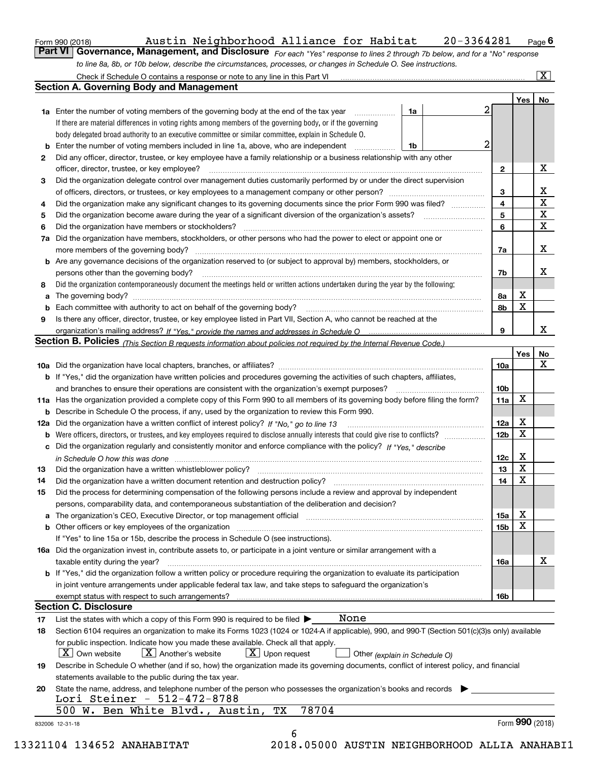| Form 990 (2018) |  |
|-----------------|--|
|                 |  |

### Form 990 (2018) Austin Neighborhood Alliance for Habitat 20-3364281 <sub>Page</sub> 6<br>**Part VI Governance, Management, and Disclosure** For each "Yes" response to lines 2 through 7b below, and for a "No" Austin Neighborhood Alliance for Habitat 20-3364281

*For each "Yes" response to lines 2 through 7b below, and for a "No" response to line 8a, 8b, or 10b below, describe the circumstances, processes, or changes in Schedule O. See instructions.*

|    |                                                                                                                                                                            |                 | Yes   No        |                         |
|----|----------------------------------------------------------------------------------------------------------------------------------------------------------------------------|-----------------|-----------------|-------------------------|
|    | 1a<br><b>1a</b> Enter the number of voting members of the governing body at the end of the tax year <i>manumum</i>                                                         |                 |                 |                         |
|    | If there are material differences in voting rights among members of the governing body, or if the governing                                                                |                 |                 |                         |
|    | body delegated broad authority to an executive committee or similar committee, explain in Schedule O.                                                                      |                 |                 |                         |
| b  | Enter the number of voting members included in line 1a, above, who are independent<br>1b                                                                                   | 2               |                 |                         |
| 2  | Did any officer, director, trustee, or key employee have a family relationship or a business relationship with any other                                                   |                 |                 |                         |
|    |                                                                                                                                                                            | $\mathbf{2}$    |                 | Х                       |
| 3  | Did the organization delegate control over management duties customarily performed by or under the direct supervision                                                      |                 |                 |                         |
|    |                                                                                                                                                                            | 3               |                 | $\underline{x}$         |
| 4  | Did the organization make any significant changes to its governing documents since the prior Form 990 was filed?                                                           | 4               |                 | $\overline{\textbf{x}}$ |
| 5  |                                                                                                                                                                            | 5               |                 | $\overline{\textbf{X}}$ |
| 6  | Did the organization have members or stockholders?                                                                                                                         | 6               |                 | $\overline{\mathbf{x}}$ |
| 7a | Did the organization have members, stockholders, or other persons who had the power to elect or appoint one or                                                             |                 |                 |                         |
|    |                                                                                                                                                                            | 7a              |                 | X                       |
|    | <b>b</b> Are any governance decisions of the organization reserved to (or subject to approval by) members, stockholders, or                                                |                 |                 |                         |
|    | persons other than the governing body?                                                                                                                                     | 7b              |                 | X                       |
| 8  | Did the organization contemporaneously document the meetings held or written actions undertaken during the year by the following:                                          |                 |                 |                         |
|    |                                                                                                                                                                            | 8a              | х               |                         |
|    |                                                                                                                                                                            | 8b              | $\mathbf X$     |                         |
| 9  | Is there any officer, director, trustee, or key employee listed in Part VII, Section A, who cannot be reached at the                                                       |                 |                 |                         |
|    |                                                                                                                                                                            | 9               |                 | x                       |
|    | Section B. Policies <i>(This Section B requests information about policies not required by the Internal Revenue Code.)</i>                                                 |                 |                 |                         |
|    |                                                                                                                                                                            |                 | Yes             | <u>No</u>               |
|    |                                                                                                                                                                            | 10a             |                 | X                       |
|    | <b>b</b> If "Yes," did the organization have written policies and procedures governing the activities of such chapters, affiliates,                                        |                 |                 |                         |
|    |                                                                                                                                                                            | 10 <sub>b</sub> |                 |                         |
|    | 11a Has the organization provided a complete copy of this Form 990 to all members of its governing body before filing the form?                                            | 11a             | X               |                         |
|    | <b>b</b> Describe in Schedule O the process, if any, used by the organization to review this Form 990.                                                                     |                 |                 |                         |
|    | 12a Did the organization have a written conflict of interest policy? If "No," go to line 13                                                                                | 12a             | X               |                         |
| b  |                                                                                                                                                                            | 12 <sub>b</sub> | X               |                         |
|    | c Did the organization regularly and consistently monitor and enforce compliance with the policy? If "Yes," describe                                                       |                 |                 |                         |
|    | in Schedule O how this was done <i>manually contained as a contained a serient</i> and the state of the state of the s                                                     | 12c             | X               |                         |
| 13 | Did the organization have a written whistleblower policy?<br>manufaction contains and contained a manufacture contained a manufacture and the original contains a manufact | 13              | X               |                         |
| 14 |                                                                                                                                                                            | 14              | X               |                         |
| 15 | Did the process for determining compensation of the following persons include a review and approval by independent                                                         |                 |                 |                         |
|    | persons, comparability data, and contemporaneous substantiation of the deliberation and decision?                                                                          |                 |                 |                         |
|    |                                                                                                                                                                            | 15a             | х               |                         |
|    | <b>b</b> Other officers or key employees of the organization <b>contained and the organization b</b> Other officers or key employees of the organization                   | 15 <sub>b</sub> | X               |                         |
|    | If "Yes" to line 15a or 15b, describe the process in Schedule O (see instructions).                                                                                        |                 |                 |                         |
|    | 16a Did the organization invest in, contribute assets to, or participate in a joint venture or similar arrangement with a                                                  |                 |                 |                         |
|    | taxable entity during the year?                                                                                                                                            | 16a             |                 | х                       |
|    | <b>b</b> If "Yes," did the organization follow a written policy or procedure requiring the organization to evaluate its participation                                      |                 |                 |                         |
|    | in joint venture arrangements under applicable federal tax law, and take steps to safeguard the organization's                                                             |                 |                 |                         |
|    |                                                                                                                                                                            | 16b             |                 |                         |
|    | <b>Section C. Disclosure</b>                                                                                                                                               |                 |                 |                         |
| 17 | None<br>List the states with which a copy of this Form 990 is required to be filed $\blacktriangleright$                                                                   |                 |                 |                         |
| 18 | Section 6104 requires an organization to make its Forms 1023 (1024 or 1024-A if applicable), 990, and 990-T (Section 501(c)(3)s only) available                            |                 |                 |                         |
|    | for public inspection. Indicate how you made these available. Check all that apply.<br>$X$ Upon request<br>$\mid$ $\rm X \mid$ Own website<br>$ X $ Another's website      |                 |                 |                         |
| 19 | Other (explain in Schedule O)<br>Describe in Schedule O whether (and if so, how) the organization made its governing documents, conflict of interest policy, and financial |                 |                 |                         |
|    | statements available to the public during the tax year.                                                                                                                    |                 |                 |                         |
|    | State the name, address, and telephone number of the person who possesses the organization's books and records                                                             |                 |                 |                         |
| 20 | Lori Steiner - 512-472-8788                                                                                                                                                |                 |                 |                         |
|    | 78704<br>500 W. Ben White Blvd., Austin,<br>ТX                                                                                                                             |                 |                 |                         |
|    |                                                                                                                                                                            |                 | Form 990 (2018) |                         |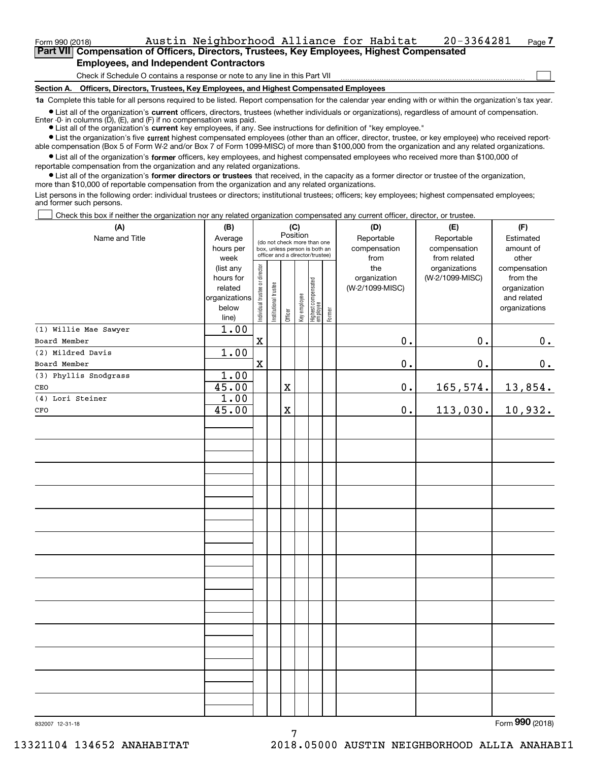#### Form 990 (2018) Austin Neighborhood Alliance for Habitat 20-3364281 Page **7Part VII Compensation of Officers, Directors, Trustees, Key Employees, Highest Compensated**

# **Employees, and Independent Contractors**

Check if Schedule O contains a response or note to any line in this Part VII

**Section A. Officers, Directors, Trustees, Key Employees, and Highest Compensated Employees**

**1a**  Complete this table for all persons required to be listed. Report compensation for the calendar year ending with or within the organization's tax year.

**•** List all of the organization's current officers, directors, trustees (whether individuals or organizations), regardless of amount of compensation. Enter -0- in columns  $(D)$ ,  $(E)$ , and  $(F)$  if no compensation was paid.

● List all of the organization's **current** key employees, if any. See instructions for definition of "key employee."

**•** List the organization's five current highest compensated employees (other than an officer, director, trustee, or key employee) who received reportable compensation (Box 5 of Form W-2 and/or Box 7 of Form 1099-MISC) of more than \$100,000 from the organization and any related organizations.

 $\bullet$  List all of the organization's **former** officers, key employees, and highest compensated employees who received more than \$100,000 of reportable compensation from the organization and any related organizations.

**•** List all of the organization's former directors or trustees that received, in the capacity as a former director or trustee of the organization, more than \$10,000 of reportable compensation from the organization and any related organizations.

List persons in the following order: individual trustees or directors; institutional trustees; officers; key employees; highest compensated employees; and former such persons.

Check this box if neither the organization nor any related organization compensated any current officer, director, or trustee.  $\mathcal{L}^{\text{max}}$ 

| (A)                          | (B)                                                                  |                                |                                                                                                 | (C)<br>Position |              |                                  |        | (D)                                    | (E)                                        | (F)                                                                      |
|------------------------------|----------------------------------------------------------------------|--------------------------------|-------------------------------------------------------------------------------------------------|-----------------|--------------|----------------------------------|--------|----------------------------------------|--------------------------------------------|--------------------------------------------------------------------------|
| Name and Title               | Average<br>hours per<br>week                                         |                                | (do not check more than one<br>box, unless person is both an<br>officer and a director/trustee) |                 |              |                                  |        | Reportable<br>compensation<br>from     | Reportable<br>compensation<br>from related | Estimated<br>amount of<br>other                                          |
|                              | (list any<br>hours for<br>related<br>organizations<br>below<br>line) | Individual trustee or director | Institutional trustee                                                                           | Officer         | Key employee | Highest compensated<br> employee | Former | the<br>organization<br>(W-2/1099-MISC) | organizations<br>(W-2/1099-MISC)           | compensation<br>from the<br>organization<br>and related<br>organizations |
| (1) Willie Mae Sawyer        | 1.00                                                                 |                                |                                                                                                 |                 |              |                                  |        |                                        |                                            |                                                                          |
| Board Member                 |                                                                      | $\mathbf X$                    |                                                                                                 |                 |              |                                  |        | $\mathbf 0$ .                          | $0$ .                                      | $0_{\cdot}$                                                              |
| (2) Mildred Davis            | 1.00                                                                 |                                |                                                                                                 |                 |              |                                  |        |                                        |                                            |                                                                          |
| Board Member                 |                                                                      | $\mathbf X$                    |                                                                                                 |                 |              |                                  |        | $\mathbf 0$ .                          | 0.                                         | 0.                                                                       |
| (3) Phyllis Snodgrass<br>CEO | 1.00<br>45.00                                                        |                                |                                                                                                 | $\mathbf X$     |              |                                  |        | $\mathbf 0$ .                          | 165,574.                                   | 13,854.                                                                  |
| (4) Lori Steiner             | 1.00                                                                 |                                |                                                                                                 |                 |              |                                  |        |                                        |                                            |                                                                          |
| $_{\mbox{\tiny CFO}}$        | 45.00                                                                |                                |                                                                                                 | $\mathbf X$     |              |                                  |        | $0$ .                                  | 113,030.                                   | 10,932.                                                                  |
|                              |                                                                      |                                |                                                                                                 |                 |              |                                  |        |                                        |                                            |                                                                          |
|                              |                                                                      |                                |                                                                                                 |                 |              |                                  |        |                                        |                                            |                                                                          |
|                              |                                                                      |                                |                                                                                                 |                 |              |                                  |        |                                        |                                            |                                                                          |
|                              |                                                                      |                                |                                                                                                 |                 |              |                                  |        |                                        |                                            |                                                                          |
|                              |                                                                      |                                |                                                                                                 |                 |              |                                  |        |                                        |                                            |                                                                          |
|                              |                                                                      |                                |                                                                                                 |                 |              |                                  |        |                                        |                                            |                                                                          |
|                              |                                                                      |                                |                                                                                                 |                 |              |                                  |        |                                        |                                            |                                                                          |
|                              |                                                                      |                                |                                                                                                 |                 |              |                                  |        |                                        |                                            |                                                                          |
|                              |                                                                      |                                |                                                                                                 |                 |              |                                  |        |                                        |                                            |                                                                          |
|                              |                                                                      |                                |                                                                                                 |                 |              |                                  |        |                                        |                                            |                                                                          |
|                              |                                                                      |                                |                                                                                                 |                 |              |                                  |        |                                        |                                            |                                                                          |
|                              |                                                                      |                                |                                                                                                 |                 |              |                                  |        |                                        |                                            |                                                                          |
|                              |                                                                      |                                |                                                                                                 |                 |              |                                  |        |                                        |                                            |                                                                          |
|                              |                                                                      |                                |                                                                                                 |                 |              |                                  |        |                                        |                                            |                                                                          |
|                              |                                                                      |                                |                                                                                                 |                 |              |                                  |        |                                        |                                            | $\overline{2}$                                                           |

7

Form (2018) **990**

 $\mathcal{L}^{\text{max}}$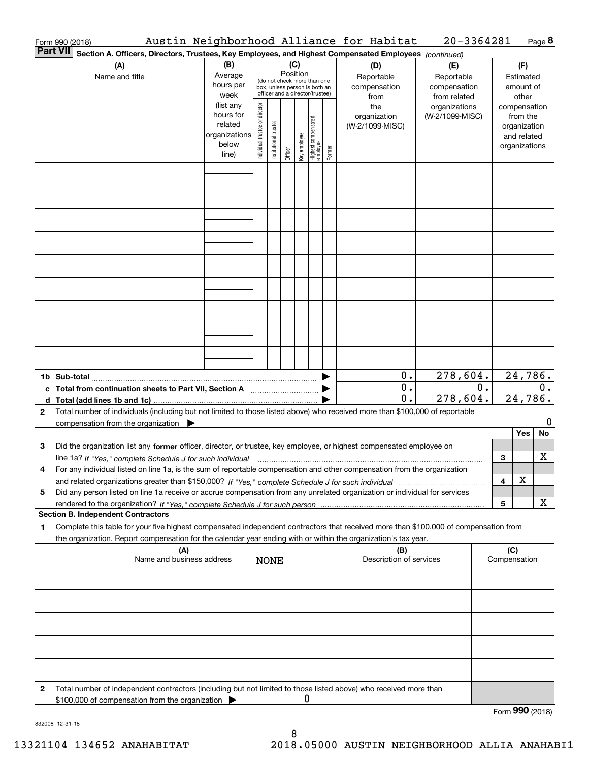|                 | Austin Neighborhood Alliance for Habitat<br>Form 990 (2018)                                                                                                                                                                                            |                                                                      |                                |                       |         |                                                                                                                    |                                   |        |                                           |                                                   |  | 20-3364281                       |                                                                          |                        |                    | Page 8  |
|-----------------|--------------------------------------------------------------------------------------------------------------------------------------------------------------------------------------------------------------------------------------------------------|----------------------------------------------------------------------|--------------------------------|-----------------------|---------|--------------------------------------------------------------------------------------------------------------------|-----------------------------------|--------|-------------------------------------------|---------------------------------------------------|--|----------------------------------|--------------------------------------------------------------------------|------------------------|--------------------|---------|
| <b>Part VII</b> | Section A. Officers, Directors, Trustees, Key Employees, and Highest Compensated Employees (continued)                                                                                                                                                 |                                                                      |                                |                       |         |                                                                                                                    |                                   |        |                                           |                                                   |  |                                  |                                                                          |                        |                    |         |
|                 | (A)<br>Name and title                                                                                                                                                                                                                                  | (B)<br>Average<br>hours per<br>week                                  |                                |                       |         | (C)<br>Position<br>(do not check more than one<br>box, unless person is both an<br>officer and a director/trustee) |                                   |        | (D)<br>Reportable<br>compensation<br>from | (E)<br>Reportable<br>compensation<br>from related |  |                                  |                                                                          | Estimated<br>amount of |                    |         |
|                 |                                                                                                                                                                                                                                                        | (list any<br>hours for<br>related<br>organizations<br>below<br>line) | Individual trustee or director | Institutional trustee | Officer | Key employee                                                                                                       | Highest compensated<br>  employee | Former | the<br>organization<br>(W-2/1099-MISC)    |                                                   |  | organizations<br>(W-2/1099-MISC) | compensation<br>from the<br>organization<br>and related<br>organizations |                        |                    |         |
|                 |                                                                                                                                                                                                                                                        |                                                                      |                                |                       |         |                                                                                                                    |                                   |        |                                           |                                                   |  |                                  |                                                                          |                        |                    |         |
|                 |                                                                                                                                                                                                                                                        |                                                                      |                                |                       |         |                                                                                                                    |                                   |        |                                           |                                                   |  |                                  |                                                                          |                        |                    |         |
|                 |                                                                                                                                                                                                                                                        |                                                                      |                                |                       |         |                                                                                                                    |                                   |        |                                           |                                                   |  |                                  |                                                                          |                        |                    |         |
|                 |                                                                                                                                                                                                                                                        |                                                                      |                                |                       |         |                                                                                                                    |                                   |        |                                           |                                                   |  |                                  |                                                                          |                        |                    |         |
|                 |                                                                                                                                                                                                                                                        |                                                                      |                                |                       |         |                                                                                                                    |                                   |        |                                           |                                                   |  |                                  |                                                                          |                        |                    |         |
|                 |                                                                                                                                                                                                                                                        |                                                                      |                                |                       |         |                                                                                                                    |                                   |        |                                           |                                                   |  |                                  |                                                                          |                        |                    |         |
|                 |                                                                                                                                                                                                                                                        |                                                                      |                                |                       |         |                                                                                                                    |                                   |        |                                           |                                                   |  |                                  |                                                                          |                        |                    |         |
|                 | c Total from continuation sheets to Part VII, Section A                                                                                                                                                                                                |                                                                      |                                |                       |         |                                                                                                                    |                                   |        | 0.<br>0.<br>0.                            |                                                   |  | 278,604.<br>278,604.             | $0$ .                                                                    |                        | 24,786.<br>24,786. | 0.      |
| $\mathbf{2}$    | Total number of individuals (including but not limited to those listed above) who received more than \$100,000 of reportable<br>compensation from the organization $\blacktriangleright$                                                               |                                                                      |                                |                       |         |                                                                                                                    |                                   |        |                                           |                                                   |  |                                  |                                                                          |                        |                    | 0       |
| 3               | Did the organization list any former officer, director, or trustee, key employee, or highest compensated employee on<br>line 1a? If "Yes," complete Schedule J for such individual manumanamental contents and the numerous manumaname                 |                                                                      |                                |                       |         |                                                                                                                    |                                   |        |                                           |                                                   |  |                                  |                                                                          | 3                      | Yes                | No<br>х |
|                 | For any individual listed on line 1a, is the sum of reportable compensation and other compensation from the organization                                                                                                                               |                                                                      |                                |                       |         |                                                                                                                    |                                   |        |                                           |                                                   |  |                                  |                                                                          | 4                      | X                  |         |
| 5               | Did any person listed on line 1a receive or accrue compensation from any unrelated organization or individual for services<br><b>Section B. Independent Contractors</b>                                                                                |                                                                      |                                |                       |         |                                                                                                                    |                                   |        |                                           |                                                   |  |                                  |                                                                          | 5                      |                    | х       |
| 1               | Complete this table for your five highest compensated independent contractors that received more than \$100,000 of compensation from<br>the organization. Report compensation for the calendar year ending with or within the organization's tax year. |                                                                      |                                |                       |         |                                                                                                                    |                                   |        |                                           |                                                   |  |                                  |                                                                          |                        |                    |         |
|                 | (A)<br>Name and business address                                                                                                                                                                                                                       |                                                                      |                                | <b>NONE</b>           |         |                                                                                                                    |                                   |        | (B)<br>Description of services            |                                                   |  |                                  |                                                                          | (C)<br>Compensation    |                    |         |
|                 |                                                                                                                                                                                                                                                        |                                                                      |                                |                       |         |                                                                                                                    |                                   |        |                                           |                                                   |  |                                  |                                                                          |                        |                    |         |
|                 |                                                                                                                                                                                                                                                        |                                                                      |                                |                       |         |                                                                                                                    |                                   |        |                                           |                                                   |  |                                  |                                                                          |                        |                    |         |
|                 |                                                                                                                                                                                                                                                        |                                                                      |                                |                       |         |                                                                                                                    |                                   |        |                                           |                                                   |  |                                  |                                                                          |                        |                    |         |
| 2               | Total number of independent contractors (including but not limited to those listed above) who received more than                                                                                                                                       |                                                                      |                                |                       |         |                                                                                                                    |                                   |        |                                           |                                                   |  |                                  |                                                                          |                        |                    |         |
|                 | \$100,000 of compensation from the organization                                                                                                                                                                                                        |                                                                      |                                |                       |         | 0                                                                                                                  |                                   |        |                                           |                                                   |  |                                  |                                                                          |                        | $000 - 25$         |         |

832008 12-31-18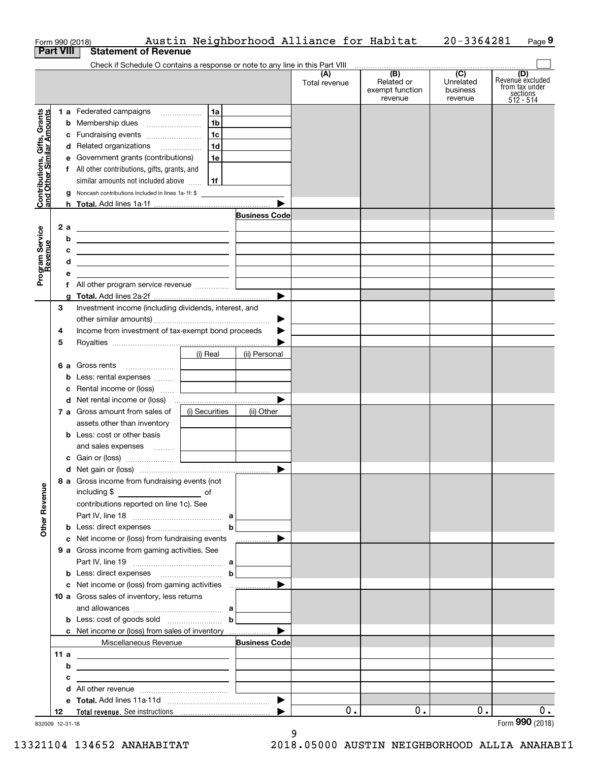| Contributions, Gifts, Grants<br>and Other Similar Amounts<br>2a<br>Program Service<br>Revenue<br>b<br>с<br>d<br>е<br>3<br>4<br>5<br><b>Other Revenue</b> | Check if Schedule O contains a response or note to any line in this Part VIII<br>1 a Federated campaigns<br>c Fundraising events<br>d Related organizations<br>e Government grants (contributions)<br>f All other contributions, gifts, grants, and<br>similar amounts not included above<br><b>g</b> Noncash contributions included in lines 1a-1f: \$<br><u> 1989 - Johann Barn, mars ann an t-Amhair an t-Amhair an t-Amhair an t-Amhair an t-Amhair an t-Amhair an t-Amh</u><br><u> 1989 - Johann John Stein, markin fizikar (</u><br><u> 1989 - Johann Barn, fransk politik (d. 1989)</u><br><u> 1989 - Johann John Stone, meil in der Stone aus der Stone aus der Stone aus der Stone aus der Stone aus der S</u><br>f All other program service revenue<br>Investment income (including dividends, interest, and<br>Income from investment of tax-exempt bond proceeds | 1a<br>1 <sub>b</sub><br>1c<br>1d<br>1e<br>  1f<br><u> 1986 - Jan Barbara Barbara, prima prima prima prima prima prima prima prima prima prima prima prima prima pr</u> | <b>Business Code</b><br>▶ | (A)<br>Total revenue | (B)<br>Related or<br>exempt function<br>revenue | $\overline{C}$<br>Unrelated<br>business<br>revenue | (D)<br>Revenue excluded<br>from tax under<br>sections<br>$512 - 514$ |
|----------------------------------------------------------------------------------------------------------------------------------------------------------|-------------------------------------------------------------------------------------------------------------------------------------------------------------------------------------------------------------------------------------------------------------------------------------------------------------------------------------------------------------------------------------------------------------------------------------------------------------------------------------------------------------------------------------------------------------------------------------------------------------------------------------------------------------------------------------------------------------------------------------------------------------------------------------------------------------------------------------------------------------------------------|------------------------------------------------------------------------------------------------------------------------------------------------------------------------|---------------------------|----------------------|-------------------------------------------------|----------------------------------------------------|----------------------------------------------------------------------|
|                                                                                                                                                          |                                                                                                                                                                                                                                                                                                                                                                                                                                                                                                                                                                                                                                                                                                                                                                                                                                                                               |                                                                                                                                                                        |                           |                      |                                                 |                                                    |                                                                      |
|                                                                                                                                                          |                                                                                                                                                                                                                                                                                                                                                                                                                                                                                                                                                                                                                                                                                                                                                                                                                                                                               |                                                                                                                                                                        |                           |                      |                                                 |                                                    |                                                                      |
|                                                                                                                                                          |                                                                                                                                                                                                                                                                                                                                                                                                                                                                                                                                                                                                                                                                                                                                                                                                                                                                               |                                                                                                                                                                        |                           |                      |                                                 |                                                    |                                                                      |
|                                                                                                                                                          |                                                                                                                                                                                                                                                                                                                                                                                                                                                                                                                                                                                                                                                                                                                                                                                                                                                                               |                                                                                                                                                                        |                           |                      |                                                 |                                                    |                                                                      |
|                                                                                                                                                          |                                                                                                                                                                                                                                                                                                                                                                                                                                                                                                                                                                                                                                                                                                                                                                                                                                                                               |                                                                                                                                                                        |                           |                      |                                                 |                                                    |                                                                      |
|                                                                                                                                                          |                                                                                                                                                                                                                                                                                                                                                                                                                                                                                                                                                                                                                                                                                                                                                                                                                                                                               |                                                                                                                                                                        |                           |                      |                                                 |                                                    |                                                                      |
|                                                                                                                                                          |                                                                                                                                                                                                                                                                                                                                                                                                                                                                                                                                                                                                                                                                                                                                                                                                                                                                               |                                                                                                                                                                        |                           |                      |                                                 |                                                    |                                                                      |
|                                                                                                                                                          |                                                                                                                                                                                                                                                                                                                                                                                                                                                                                                                                                                                                                                                                                                                                                                                                                                                                               |                                                                                                                                                                        |                           |                      |                                                 |                                                    |                                                                      |
|                                                                                                                                                          |                                                                                                                                                                                                                                                                                                                                                                                                                                                                                                                                                                                                                                                                                                                                                                                                                                                                               |                                                                                                                                                                        |                           |                      |                                                 |                                                    |                                                                      |
|                                                                                                                                                          |                                                                                                                                                                                                                                                                                                                                                                                                                                                                                                                                                                                                                                                                                                                                                                                                                                                                               |                                                                                                                                                                        |                           |                      |                                                 |                                                    |                                                                      |
|                                                                                                                                                          |                                                                                                                                                                                                                                                                                                                                                                                                                                                                                                                                                                                                                                                                                                                                                                                                                                                                               |                                                                                                                                                                        |                           |                      |                                                 |                                                    |                                                                      |
|                                                                                                                                                          |                                                                                                                                                                                                                                                                                                                                                                                                                                                                                                                                                                                                                                                                                                                                                                                                                                                                               |                                                                                                                                                                        |                           |                      |                                                 |                                                    |                                                                      |
|                                                                                                                                                          |                                                                                                                                                                                                                                                                                                                                                                                                                                                                                                                                                                                                                                                                                                                                                                                                                                                                               |                                                                                                                                                                        |                           |                      |                                                 |                                                    |                                                                      |
|                                                                                                                                                          |                                                                                                                                                                                                                                                                                                                                                                                                                                                                                                                                                                                                                                                                                                                                                                                                                                                                               |                                                                                                                                                                        |                           |                      |                                                 |                                                    |                                                                      |
|                                                                                                                                                          |                                                                                                                                                                                                                                                                                                                                                                                                                                                                                                                                                                                                                                                                                                                                                                                                                                                                               |                                                                                                                                                                        |                           |                      |                                                 |                                                    |                                                                      |
|                                                                                                                                                          |                                                                                                                                                                                                                                                                                                                                                                                                                                                                                                                                                                                                                                                                                                                                                                                                                                                                               |                                                                                                                                                                        |                           |                      |                                                 |                                                    |                                                                      |
|                                                                                                                                                          |                                                                                                                                                                                                                                                                                                                                                                                                                                                                                                                                                                                                                                                                                                                                                                                                                                                                               |                                                                                                                                                                        |                           |                      |                                                 |                                                    |                                                                      |
|                                                                                                                                                          |                                                                                                                                                                                                                                                                                                                                                                                                                                                                                                                                                                                                                                                                                                                                                                                                                                                                               |                                                                                                                                                                        |                           |                      |                                                 |                                                    |                                                                      |
|                                                                                                                                                          |                                                                                                                                                                                                                                                                                                                                                                                                                                                                                                                                                                                                                                                                                                                                                                                                                                                                               |                                                                                                                                                                        |                           |                      |                                                 |                                                    |                                                                      |
|                                                                                                                                                          |                                                                                                                                                                                                                                                                                                                                                                                                                                                                                                                                                                                                                                                                                                                                                                                                                                                                               |                                                                                                                                                                        |                           |                      |                                                 |                                                    |                                                                      |
|                                                                                                                                                          |                                                                                                                                                                                                                                                                                                                                                                                                                                                                                                                                                                                                                                                                                                                                                                                                                                                                               |                                                                                                                                                                        | ▶                         |                      |                                                 |                                                    |                                                                      |
|                                                                                                                                                          |                                                                                                                                                                                                                                                                                                                                                                                                                                                                                                                                                                                                                                                                                                                                                                                                                                                                               |                                                                                                                                                                        |                           |                      |                                                 |                                                    |                                                                      |
|                                                                                                                                                          |                                                                                                                                                                                                                                                                                                                                                                                                                                                                                                                                                                                                                                                                                                                                                                                                                                                                               |                                                                                                                                                                        |                           |                      |                                                 |                                                    |                                                                      |
|                                                                                                                                                          |                                                                                                                                                                                                                                                                                                                                                                                                                                                                                                                                                                                                                                                                                                                                                                                                                                                                               | (i) Real                                                                                                                                                               | (ii) Personal             |                      |                                                 |                                                    |                                                                      |
|                                                                                                                                                          |                                                                                                                                                                                                                                                                                                                                                                                                                                                                                                                                                                                                                                                                                                                                                                                                                                                                               |                                                                                                                                                                        |                           |                      |                                                 |                                                    |                                                                      |
|                                                                                                                                                          | <b>b</b> Less: rental expenses                                                                                                                                                                                                                                                                                                                                                                                                                                                                                                                                                                                                                                                                                                                                                                                                                                                |                                                                                                                                                                        |                           |                      |                                                 |                                                    |                                                                      |
|                                                                                                                                                          | <b>c</b> Rental income or (loss) $\ldots$                                                                                                                                                                                                                                                                                                                                                                                                                                                                                                                                                                                                                                                                                                                                                                                                                                     | the company of the company                                                                                                                                             | ▶                         |                      |                                                 |                                                    |                                                                      |
|                                                                                                                                                          | 7 a Gross amount from sales of                                                                                                                                                                                                                                                                                                                                                                                                                                                                                                                                                                                                                                                                                                                                                                                                                                                |                                                                                                                                                                        |                           |                      |                                                 |                                                    |                                                                      |
|                                                                                                                                                          | assets other than inventory                                                                                                                                                                                                                                                                                                                                                                                                                                                                                                                                                                                                                                                                                                                                                                                                                                                   | (i) Securities                                                                                                                                                         | (ii) Other                |                      |                                                 |                                                    |                                                                      |
|                                                                                                                                                          | <b>b</b> Less: cost or other basis                                                                                                                                                                                                                                                                                                                                                                                                                                                                                                                                                                                                                                                                                                                                                                                                                                            |                                                                                                                                                                        |                           |                      |                                                 |                                                    |                                                                      |
|                                                                                                                                                          | and sales expenses                                                                                                                                                                                                                                                                                                                                                                                                                                                                                                                                                                                                                                                                                                                                                                                                                                                            |                                                                                                                                                                        |                           |                      |                                                 |                                                    |                                                                      |
|                                                                                                                                                          |                                                                                                                                                                                                                                                                                                                                                                                                                                                                                                                                                                                                                                                                                                                                                                                                                                                                               |                                                                                                                                                                        |                           |                      |                                                 |                                                    |                                                                      |
|                                                                                                                                                          |                                                                                                                                                                                                                                                                                                                                                                                                                                                                                                                                                                                                                                                                                                                                                                                                                                                                               |                                                                                                                                                                        |                           |                      |                                                 |                                                    |                                                                      |
|                                                                                                                                                          | 8 a Gross income from fundraising events (not                                                                                                                                                                                                                                                                                                                                                                                                                                                                                                                                                                                                                                                                                                                                                                                                                                 |                                                                                                                                                                        |                           |                      |                                                 |                                                    |                                                                      |
|                                                                                                                                                          | including \$                                                                                                                                                                                                                                                                                                                                                                                                                                                                                                                                                                                                                                                                                                                                                                                                                                                                  |                                                                                                                                                                        |                           |                      |                                                 |                                                    |                                                                      |
|                                                                                                                                                          | contributions reported on line 1c). See                                                                                                                                                                                                                                                                                                                                                                                                                                                                                                                                                                                                                                                                                                                                                                                                                                       |                                                                                                                                                                        |                           |                      |                                                 |                                                    |                                                                      |
|                                                                                                                                                          |                                                                                                                                                                                                                                                                                                                                                                                                                                                                                                                                                                                                                                                                                                                                                                                                                                                                               | $\mathbf b$                                                                                                                                                            |                           |                      |                                                 |                                                    |                                                                      |
|                                                                                                                                                          |                                                                                                                                                                                                                                                                                                                                                                                                                                                                                                                                                                                                                                                                                                                                                                                                                                                                               |                                                                                                                                                                        | ▶                         |                      |                                                 |                                                    |                                                                      |
|                                                                                                                                                          | c Net income or (loss) from fundraising events<br>9 a Gross income from gaming activities. See                                                                                                                                                                                                                                                                                                                                                                                                                                                                                                                                                                                                                                                                                                                                                                                |                                                                                                                                                                        | .                         |                      |                                                 |                                                    |                                                                      |
|                                                                                                                                                          |                                                                                                                                                                                                                                                                                                                                                                                                                                                                                                                                                                                                                                                                                                                                                                                                                                                                               |                                                                                                                                                                        |                           |                      |                                                 |                                                    |                                                                      |
|                                                                                                                                                          |                                                                                                                                                                                                                                                                                                                                                                                                                                                                                                                                                                                                                                                                                                                                                                                                                                                                               | $\mathbf b$                                                                                                                                                            |                           |                      |                                                 |                                                    |                                                                      |
|                                                                                                                                                          | c Net income or (loss) from gaming activities                                                                                                                                                                                                                                                                                                                                                                                                                                                                                                                                                                                                                                                                                                                                                                                                                                 |                                                                                                                                                                        | ▶                         |                      |                                                 |                                                    |                                                                      |
|                                                                                                                                                          | 10 a Gross sales of inventory, less returns                                                                                                                                                                                                                                                                                                                                                                                                                                                                                                                                                                                                                                                                                                                                                                                                                                   |                                                                                                                                                                        |                           |                      |                                                 |                                                    |                                                                      |
|                                                                                                                                                          |                                                                                                                                                                                                                                                                                                                                                                                                                                                                                                                                                                                                                                                                                                                                                                                                                                                                               |                                                                                                                                                                        |                           |                      |                                                 |                                                    |                                                                      |
|                                                                                                                                                          | <b>b</b> Less: cost of goods sold $\ldots$ <b>b</b>                                                                                                                                                                                                                                                                                                                                                                                                                                                                                                                                                                                                                                                                                                                                                                                                                           |                                                                                                                                                                        |                           |                      |                                                 |                                                    |                                                                      |
|                                                                                                                                                          | <b>c</b> Net income or (loss) from sales of inventory                                                                                                                                                                                                                                                                                                                                                                                                                                                                                                                                                                                                                                                                                                                                                                                                                         |                                                                                                                                                                        | ▶                         |                      |                                                 |                                                    |                                                                      |
|                                                                                                                                                          | Miscellaneous Revenue                                                                                                                                                                                                                                                                                                                                                                                                                                                                                                                                                                                                                                                                                                                                                                                                                                                         |                                                                                                                                                                        | <b>Business Code</b>      |                      |                                                 |                                                    |                                                                      |
| 11 a                                                                                                                                                     |                                                                                                                                                                                                                                                                                                                                                                                                                                                                                                                                                                                                                                                                                                                                                                                                                                                                               |                                                                                                                                                                        |                           |                      |                                                 |                                                    |                                                                      |
| b                                                                                                                                                        | <u> 1989 - Johann Barn, fransk politik (d. 1989)</u>                                                                                                                                                                                                                                                                                                                                                                                                                                                                                                                                                                                                                                                                                                                                                                                                                          |                                                                                                                                                                        |                           |                      |                                                 |                                                    |                                                                      |
| c                                                                                                                                                        | <u> 1989 - Johann Stein, fransk politik (d. 1989)</u>                                                                                                                                                                                                                                                                                                                                                                                                                                                                                                                                                                                                                                                                                                                                                                                                                         |                                                                                                                                                                        |                           |                      |                                                 |                                                    |                                                                      |
|                                                                                                                                                          |                                                                                                                                                                                                                                                                                                                                                                                                                                                                                                                                                                                                                                                                                                                                                                                                                                                                               |                                                                                                                                                                        |                           |                      |                                                 |                                                    |                                                                      |
|                                                                                                                                                          |                                                                                                                                                                                                                                                                                                                                                                                                                                                                                                                                                                                                                                                                                                                                                                                                                                                                               |                                                                                                                                                                        |                           |                      |                                                 |                                                    |                                                                      |
| 12                                                                                                                                                       |                                                                                                                                                                                                                                                                                                                                                                                                                                                                                                                                                                                                                                                                                                                                                                                                                                                                               |                                                                                                                                                                        |                           | 0.                   | 0.                                              | 0.                                                 | 0.                                                                   |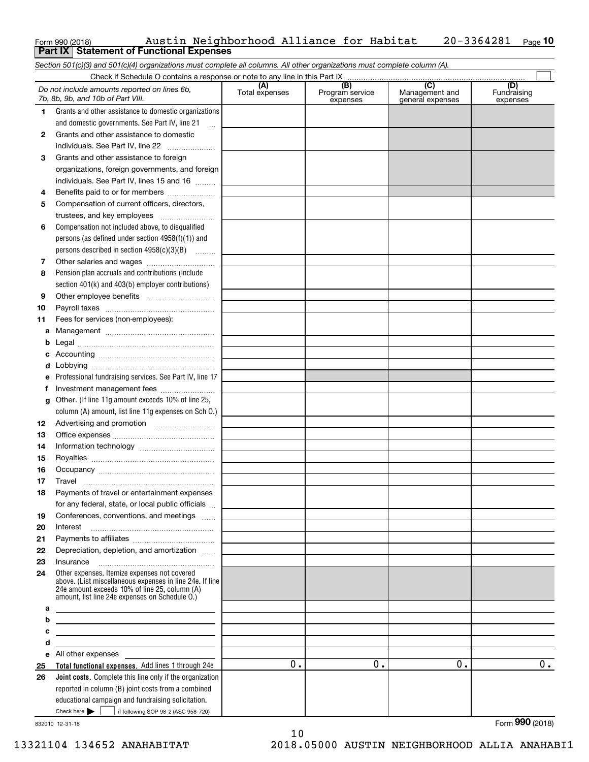| Form 990 (2018) |                                                   | Austin Neighborhood Alliance for Habitat |  | $20 - 3364281$ Page 10 |  |
|-----------------|---------------------------------------------------|------------------------------------------|--|------------------------|--|
|                 | <b>Part IX   Statement of Functional Expenses</b> |                                          |  |                        |  |

*Section 501(c)(3) and 501(c)(4) organizations must complete all columns. All other organizations must complete column (A).*

|          | Do not include amounts reported on lines 6b.<br>7b, 8b, 9b, and 10b of Part VIII.                                                                                                                           | (A)<br>Total expenses | (B)<br>Program service<br>expenses | $\overline{C}$<br>Management and<br>general expenses | (D)<br>Fundraising<br>expenses |
|----------|-------------------------------------------------------------------------------------------------------------------------------------------------------------------------------------------------------------|-----------------------|------------------------------------|------------------------------------------------------|--------------------------------|
| 1.       | Grants and other assistance to domestic organizations                                                                                                                                                       |                       |                                    |                                                      |                                |
|          | and domestic governments. See Part IV, line 21                                                                                                                                                              |                       |                                    |                                                      |                                |
| 2        | Grants and other assistance to domestic                                                                                                                                                                     |                       |                                    |                                                      |                                |
|          | individuals. See Part IV, line 22                                                                                                                                                                           |                       |                                    |                                                      |                                |
| 3        | Grants and other assistance to foreign                                                                                                                                                                      |                       |                                    |                                                      |                                |
|          | organizations, foreign governments, and foreign                                                                                                                                                             |                       |                                    |                                                      |                                |
|          | individuals. See Part IV, lines 15 and 16                                                                                                                                                                   |                       |                                    |                                                      |                                |
| 4        | Benefits paid to or for members                                                                                                                                                                             |                       |                                    |                                                      |                                |
| 5        | Compensation of current officers, directors,                                                                                                                                                                |                       |                                    |                                                      |                                |
|          | trustees, and key employees                                                                                                                                                                                 |                       |                                    |                                                      |                                |
| 6        | Compensation not included above, to disqualified                                                                                                                                                            |                       |                                    |                                                      |                                |
|          | persons (as defined under section $4958(f)(1)$ ) and                                                                                                                                                        |                       |                                    |                                                      |                                |
|          | persons described in section 4958(c)(3)(B)                                                                                                                                                                  |                       |                                    |                                                      |                                |
| 7        |                                                                                                                                                                                                             |                       |                                    |                                                      |                                |
| 8        | Pension plan accruals and contributions (include                                                                                                                                                            |                       |                                    |                                                      |                                |
|          | section 401(k) and 403(b) employer contributions)                                                                                                                                                           |                       |                                    |                                                      |                                |
| 9        |                                                                                                                                                                                                             |                       |                                    |                                                      |                                |
| 10       |                                                                                                                                                                                                             |                       |                                    |                                                      |                                |
| 11       | Fees for services (non-employees):                                                                                                                                                                          |                       |                                    |                                                      |                                |
| а        |                                                                                                                                                                                                             |                       |                                    |                                                      |                                |
| b        |                                                                                                                                                                                                             |                       |                                    |                                                      |                                |
| c        |                                                                                                                                                                                                             |                       |                                    |                                                      |                                |
| d        |                                                                                                                                                                                                             |                       |                                    |                                                      |                                |
| e        | Professional fundraising services. See Part IV, line 17                                                                                                                                                     |                       |                                    |                                                      |                                |
| f        | Investment management fees                                                                                                                                                                                  |                       |                                    |                                                      |                                |
| g        | Other. (If line 11g amount exceeds 10% of line 25,                                                                                                                                                          |                       |                                    |                                                      |                                |
|          | column (A) amount, list line 11g expenses on Sch 0.)                                                                                                                                                        |                       |                                    |                                                      |                                |
| 12       |                                                                                                                                                                                                             |                       |                                    |                                                      |                                |
| 13       |                                                                                                                                                                                                             |                       |                                    |                                                      |                                |
| 14       |                                                                                                                                                                                                             |                       |                                    |                                                      |                                |
| 15       |                                                                                                                                                                                                             |                       |                                    |                                                      |                                |
| 16       |                                                                                                                                                                                                             |                       |                                    |                                                      |                                |
| 17       | Travel                                                                                                                                                                                                      |                       |                                    |                                                      |                                |
| 18       | Payments of travel or entertainment expenses                                                                                                                                                                |                       |                                    |                                                      |                                |
|          | for any federal, state, or local public officials                                                                                                                                                           |                       |                                    |                                                      |                                |
| 19       | Conferences, conventions, and meetings                                                                                                                                                                      |                       |                                    |                                                      |                                |
| 20       | Interest                                                                                                                                                                                                    |                       |                                    |                                                      |                                |
| 21       |                                                                                                                                                                                                             |                       |                                    |                                                      |                                |
| 22       | Depreciation, depletion, and amortization                                                                                                                                                                   |                       |                                    |                                                      |                                |
| 23       | Insurance                                                                                                                                                                                                   |                       |                                    |                                                      |                                |
| 24       | Other expenses. Itemize expenses not covered<br>above. (List miscellaneous expenses in line 24e. If line<br>24e amount exceeds 10% of line 25, column (A)<br>amount, list line 24e expenses on Schedule O.) |                       |                                    |                                                      |                                |
| а        | <u> 1989 - Johann John Stone, markin fizikar (</u>                                                                                                                                                          |                       |                                    |                                                      |                                |
| b        | <u> 1989 - Johann Barbara, martxa al III-lea (h. 1989).</u>                                                                                                                                                 |                       |                                    |                                                      |                                |
| c        | <u> 1989 - Johann Stein, marwolaethau a bhann an t-Amhair an t-Amhair an t-Amhair an t-Amhair an t-Amhair an t-A</u>                                                                                        |                       |                                    |                                                      |                                |
| d        | <u> 1989 - Johann Stein, mars an deus Amerikaansk kommunister (* 1958)</u>                                                                                                                                  |                       |                                    |                                                      |                                |
| е        | All other expenses and the state of the state of the state of the state of the state of the state of the state<br>Total functional expenses. Add lines 1 through 24e                                        | 0.                    | 0.                                 | 0.                                                   | 0.                             |
| 25<br>26 | Joint costs. Complete this line only if the organization                                                                                                                                                    |                       |                                    |                                                      |                                |
|          | reported in column (B) joint costs from a combined                                                                                                                                                          |                       |                                    |                                                      |                                |
|          | educational campaign and fundraising solicitation.                                                                                                                                                          |                       |                                    |                                                      |                                |
|          | Check here $\blacktriangleright$  <br>if following SOP 98-2 (ASC 958-720)                                                                                                                                   |                       |                                    |                                                      |                                |

10

832010 12-31-18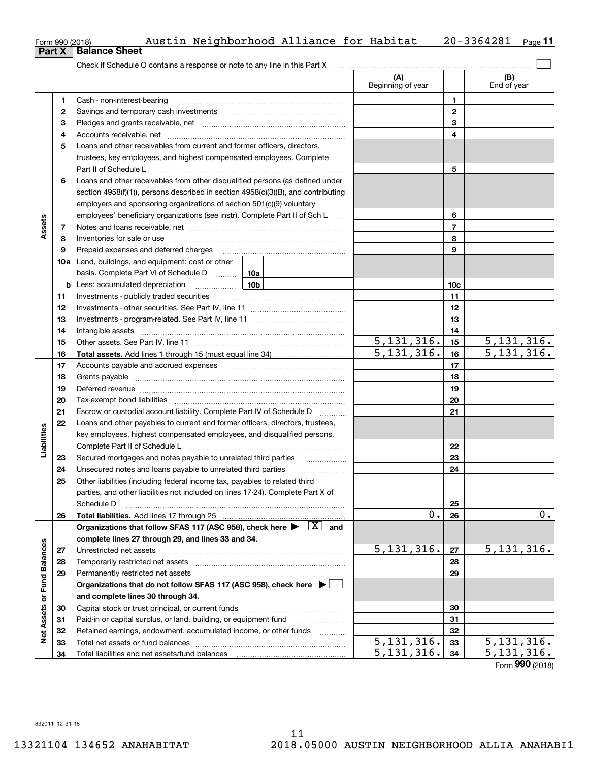**32 3334** Retained earnings, endowment, accumulated income, or other funds

Total net assets or fund balances ....... Total liabilities and net assets/fund balances

**Net Assets or Fund Balances**

Net Assets or Fund Balances

**32 3334**

 $\overline{5,131,316.}$   $\overline{33}$   $\overline{5,131,316.}$ 

|                        | Form 990 (2018)<br>Part X | Austin Neighborhood Alliance for Habitat<br><b>Balance Sheet</b>                                                                                                                                                               |                          |              |                          |    |                          | 20-3364281         | Page 11      |  |
|------------------------|---------------------------|--------------------------------------------------------------------------------------------------------------------------------------------------------------------------------------------------------------------------------|--------------------------|--------------|--------------------------|----|--------------------------|--------------------|--------------|--|
|                        |                           |                                                                                                                                                                                                                                |                          |              |                          |    |                          |                    |              |  |
|                        |                           |                                                                                                                                                                                                                                |                          |              | (A)<br>Beginning of year |    |                          | (B)<br>End of year |              |  |
|                        | 1                         |                                                                                                                                                                                                                                |                          |              |                          |    | 1                        |                    |              |  |
|                        | 2                         |                                                                                                                                                                                                                                |                          |              |                          |    | $\mathbf{2}$             |                    |              |  |
|                        | З                         |                                                                                                                                                                                                                                |                          |              |                          |    | 3                        |                    |              |  |
|                        | 4                         |                                                                                                                                                                                                                                |                          |              | 4                        |    |                          |                    |              |  |
|                        | 5                         | Loans and other receivables from current and former officers, directors,                                                                                                                                                       |                          |              |                          |    |                          |                    |              |  |
|                        |                           | trustees, key employees, and highest compensated employees. Complete                                                                                                                                                           |                          |              |                          |    |                          |                    |              |  |
|                        |                           | Part II of Schedule Landscare and Contract in the Schedule Landscare and Contract in the Schedule L                                                                                                                            |                          |              |                          |    | 5                        |                    |              |  |
|                        | 6                         | Loans and other receivables from other disqualified persons (as defined under                                                                                                                                                  |                          |              |                          |    |                          |                    |              |  |
|                        |                           | section $4958(f)(1)$ , persons described in section $4958(c)(3)(B)$ , and contributing                                                                                                                                         |                          |              |                          |    |                          |                    |              |  |
|                        |                           | employers and sponsoring organizations of section 501(c)(9) voluntary                                                                                                                                                          |                          |              |                          |    |                          |                    |              |  |
|                        |                           | employees' beneficiary organizations (see instr). Complete Part II of Sch L                                                                                                                                                    |                          |              | 6                        |    |                          |                    |              |  |
| Assets                 | 7                         |                                                                                                                                                                                                                                |                          |              |                          |    | $\overline{7}$           |                    |              |  |
|                        | 8                         |                                                                                                                                                                                                                                |                          |              |                          |    | 8                        |                    |              |  |
|                        | 9                         |                                                                                                                                                                                                                                |                          |              |                          |    | 9                        |                    |              |  |
|                        |                           | 10a Land, buildings, and equipment: cost or other                                                                                                                                                                              |                          |              |                          |    |                          |                    |              |  |
|                        |                           | basis. Complete Part VI of Schedule D  10a                                                                                                                                                                                     |                          |              |                          |    |                          |                    |              |  |
|                        |                           | <u>10</u> b<br><b>b</b> Less: accumulated depreciation                                                                                                                                                                         |                          |              |                          |    | 10c                      |                    |              |  |
|                        | 11                        |                                                                                                                                                                                                                                |                          |              |                          |    |                          |                    |              |  |
|                        | 12                        |                                                                                                                                                                                                                                |                          |              |                          |    | 12                       |                    |              |  |
|                        | 13                        |                                                                                                                                                                                                                                |                          |              |                          |    | 13                       |                    |              |  |
|                        | 14                        |                                                                                                                                                                                                                                |                          |              |                          |    | 14                       |                    |              |  |
|                        | 15                        |                                                                                                                                                                                                                                |                          | 5, 131, 316. |                          | 15 |                          | 5, 131, 316.       |              |  |
|                        | 16                        |                                                                                                                                                                                                                                | $\overline{5,131,316}$ . |              | 16                       |    | $\overline{5,131,316}$ . |                    |              |  |
|                        | 17                        |                                                                                                                                                                                                                                |                          |              | 17                       |    |                          |                    |              |  |
|                        | 18                        |                                                                                                                                                                                                                                |                          |              | 18                       |    |                          |                    |              |  |
|                        | 19                        | Deferred revenue manual contracts and contracts are all the contracts and contracts are contracted and contracts are contracted and contract are contracted and contract are contracted and contract are contracted and contra |                          |              |                          |    | 19                       |                    |              |  |
|                        | 20                        |                                                                                                                                                                                                                                |                          |              |                          |    | 20                       |                    |              |  |
|                        | 21                        | Escrow or custodial account liability. Complete Part IV of Schedule D                                                                                                                                                          |                          |              |                          |    | 21                       |                    |              |  |
|                        | 22                        | Loans and other payables to current and former officers, directors, trustees,                                                                                                                                                  |                          |              |                          |    |                          |                    |              |  |
| Liabilities            |                           | key employees, highest compensated employees, and disqualified persons.                                                                                                                                                        |                          |              |                          |    | 22                       |                    |              |  |
|                        | 23                        |                                                                                                                                                                                                                                |                          |              |                          |    | 23                       |                    |              |  |
|                        | 24                        |                                                                                                                                                                                                                                |                          |              |                          |    | 24                       |                    |              |  |
|                        | 25                        | Other liabilities (including federal income tax, payables to related third                                                                                                                                                     |                          |              |                          |    |                          |                    |              |  |
|                        |                           | parties, and other liabilities not included on lines 17-24). Complete Part X of                                                                                                                                                |                          |              |                          |    |                          |                    |              |  |
|                        |                           | Schedule D                                                                                                                                                                                                                     |                          |              |                          |    | 25                       |                    |              |  |
|                        | 26                        |                                                                                                                                                                                                                                |                          |              |                          | 0. | 26                       |                    | 0.           |  |
|                        |                           | Organizations that follow SFAS 117 (ASC 958), check here $\blacktriangleright \begin{array}{c} \boxed{X} \\ \end{array}$ and                                                                                                   |                          |              |                          |    |                          |                    |              |  |
|                        |                           | complete lines 27 through 29, and lines 33 and 34.                                                                                                                                                                             |                          |              |                          |    |                          |                    |              |  |
|                        | 27                        |                                                                                                                                                                                                                                |                          |              | 5,131,316.               |    | 27                       |                    | 5, 131, 316. |  |
|                        | 28                        |                                                                                                                                                                                                                                |                          |              |                          |    | 28                       |                    |              |  |
| ssets or Fund Balances | 29                        | Permanently restricted net assets                                                                                                                                                                                              |                          |              |                          |    | 29                       |                    |              |  |
|                        |                           | Organizations that do not follow SFAS 117 (ASC 958), check here ▶ │                                                                                                                                                            |                          |              |                          |    |                          |                    |              |  |
|                        |                           | and complete lines 30 through 34.                                                                                                                                                                                              |                          |              |                          |    |                          |                    |              |  |
|                        | 30                        |                                                                                                                                                                                                                                |                          |              |                          |    | 30                       |                    |              |  |
|                        | 31                        | Paid-in or capital surplus, or land, building, or equipment fund                                                                                                                                                               |                          |              | 31                       |    |                          |                    |              |  |

 $5,131,316.$   $34$   $5,131,316.$ 

Form (2018) **990**

**Pa**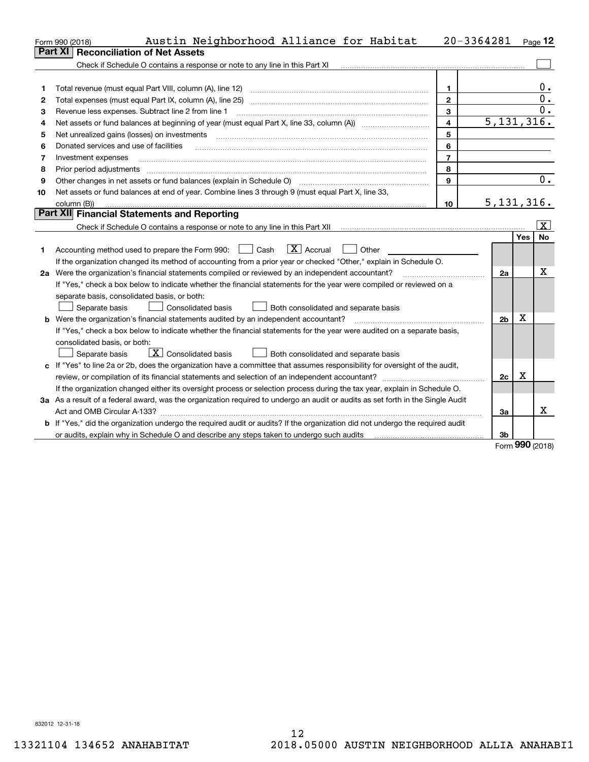|    | Austin Neighborhood Alliance for Habitat<br>Form 990 (2018)                                                                     |                | $20 - 3364281$ Page 12 |          |                         |  |  |  |  |
|----|---------------------------------------------------------------------------------------------------------------------------------|----------------|------------------------|----------|-------------------------|--|--|--|--|
|    | <b>Reconciliation of Net Assets</b><br><b>Part XI</b>                                                                           |                |                        |          |                         |  |  |  |  |
|    | Check if Schedule O contains a response or note to any line in this Part XI                                                     |                |                        |          |                         |  |  |  |  |
|    |                                                                                                                                 |                |                        |          |                         |  |  |  |  |
| 1  | Total revenue (must equal Part VIII, column (A), line 12)                                                                       | $\mathbf{1}$   |                        |          | 0.<br>$\overline{0}$ .  |  |  |  |  |
| 2  | $\mathbf{2}$<br>Total expenses (must equal Part IX, column (A), line 25)                                                        |                |                        |          |                         |  |  |  |  |
| 3  | 3<br>Revenue less expenses. Subtract line 2 from line 1                                                                         |                |                        |          |                         |  |  |  |  |
| 4  | 5, 131, 316.<br>$\overline{4}$                                                                                                  |                |                        |          |                         |  |  |  |  |
| 5  | Net unrealized gains (losses) on investments                                                                                    | 5              |                        |          |                         |  |  |  |  |
| 6  | Donated services and use of facilities                                                                                          | 6              |                        |          |                         |  |  |  |  |
| 7  | Investment expenses                                                                                                             | $\overline{7}$ |                        |          |                         |  |  |  |  |
| 8  | Prior period adjustments                                                                                                        | 8              |                        |          |                         |  |  |  |  |
| 9  |                                                                                                                                 | 9              |                        |          | 0.                      |  |  |  |  |
| 10 | Net assets or fund balances at end of year. Combine lines 3 through 9 (must equal Part X, line 33,                              |                |                        |          |                         |  |  |  |  |
|    | column (B))                                                                                                                     | 10             | 5,131,316.             |          |                         |  |  |  |  |
|    | Part XII Financial Statements and Reporting                                                                                     |                |                        |          |                         |  |  |  |  |
|    |                                                                                                                                 |                |                        |          | $\overline{\mathbf{x}}$ |  |  |  |  |
|    |                                                                                                                                 |                |                        | Yes      | <b>No</b>               |  |  |  |  |
| 1  | $\boxed{\text{X}}$ Accrual<br>Accounting method used to prepare the Form 990: <u>I</u> Cash<br>Other                            |                |                        |          |                         |  |  |  |  |
|    | If the organization changed its method of accounting from a prior year or checked "Other," explain in Schedule O.               |                |                        |          |                         |  |  |  |  |
|    | 2a Were the organization's financial statements compiled or reviewed by an independent accountant?                              |                | 2a                     |          | x                       |  |  |  |  |
|    | If "Yes," check a box below to indicate whether the financial statements for the year were compiled or reviewed on a            |                |                        |          |                         |  |  |  |  |
|    | separate basis, consolidated basis, or both:                                                                                    |                |                        |          |                         |  |  |  |  |
|    | Separate basis<br>Consolidated basis<br>Both consolidated and separate basis                                                    |                |                        |          |                         |  |  |  |  |
|    | <b>b</b> Were the organization's financial statements audited by an independent accountant?                                     |                | 2 <sub>b</sub>         | х        |                         |  |  |  |  |
|    | If "Yes," check a box below to indicate whether the financial statements for the year were audited on a separate basis,         |                |                        |          |                         |  |  |  |  |
|    | consolidated basis, or both:                                                                                                    |                |                        |          |                         |  |  |  |  |
|    | $\mathbf{X}$ Consolidated basis<br>Separate basis<br>Both consolidated and separate basis                                       |                |                        |          |                         |  |  |  |  |
|    | c If "Yes" to line 2a or 2b, does the organization have a committee that assumes responsibility for oversight of the audit,     |                |                        |          |                         |  |  |  |  |
|    |                                                                                                                                 |                | 2c                     | X        |                         |  |  |  |  |
|    | If the organization changed either its oversight process or selection process during the tax year, explain in Schedule O.       |                |                        |          |                         |  |  |  |  |
|    | 3a As a result of a federal award, was the organization required to undergo an audit or audits as set forth in the Single Audit |                |                        |          |                         |  |  |  |  |
|    |                                                                                                                                 |                | За                     |          | х                       |  |  |  |  |
|    | b If "Yes," did the organization undergo the required audit or audits? If the organization did not undergo the required audit   |                |                        |          |                         |  |  |  |  |
|    | or audits, explain why in Schedule O and describe any steps taken to undergo such audits matures and the matur                  |                | 3b                     | $\Omega$ |                         |  |  |  |  |

Form (2018) **990**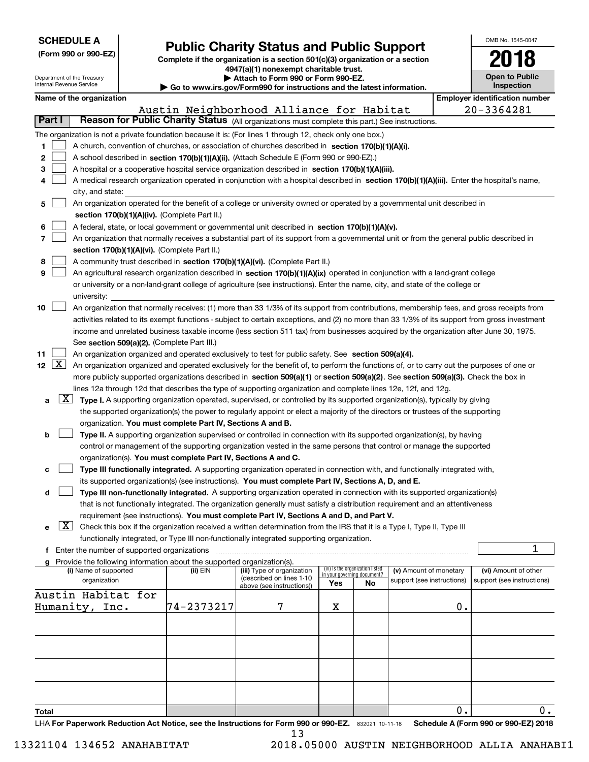Department of the Treasury Internal Revenue Service

| (Form 990 or 990-EZ) |  |
|----------------------|--|

# **Public Charity Status and Public Support**

**Complete if the organization is a section 501(c)(3) organization or a section 4947(a)(1) nonexempt charitable trust. | Attach to Form 990 or Form 990-EZ.** 

| ▶ Go to www.irs.gov/Form990 for instructions and the latest information. |  |  |  |  |
|--------------------------------------------------------------------------|--|--|--|--|

| OMB No 1545-0047             |
|------------------------------|
| 2018                         |
| Open to Public<br>Inspection |

|  | Name of the organization |
|--|--------------------------|
|  |                          |

|                                     |                                                                                                                                                                                                                                                                | Name of the organization                                                                                                                                                                                                                                                         |            |                                                       |     |                                                                |                            |    | <b>Employer identification number</b> |  |  |  |
|-------------------------------------|----------------------------------------------------------------------------------------------------------------------------------------------------------------------------------------------------------------------------------------------------------------|----------------------------------------------------------------------------------------------------------------------------------------------------------------------------------------------------------------------------------------------------------------------------------|------------|-------------------------------------------------------|-----|----------------------------------------------------------------|----------------------------|----|---------------------------------------|--|--|--|
|                                     |                                                                                                                                                                                                                                                                |                                                                                                                                                                                                                                                                                  |            | Austin Neighborhood Alliance for Habitat              |     |                                                                |                            |    | 20-3364281                            |  |  |  |
| Part I                              |                                                                                                                                                                                                                                                                | Reason for Public Charity Status (All organizations must complete this part.) See instructions.                                                                                                                                                                                  |            |                                                       |     |                                                                |                            |    |                                       |  |  |  |
|                                     |                                                                                                                                                                                                                                                                | The organization is not a private foundation because it is: (For lines 1 through 12, check only one box.)                                                                                                                                                                        |            |                                                       |     |                                                                |                            |    |                                       |  |  |  |
| 1.                                  |                                                                                                                                                                                                                                                                | A church, convention of churches, or association of churches described in section 170(b)(1)(A)(i).                                                                                                                                                                               |            |                                                       |     |                                                                |                            |    |                                       |  |  |  |
| 2                                   |                                                                                                                                                                                                                                                                | A school described in section 170(b)(1)(A)(ii). (Attach Schedule E (Form 990 or 990-EZ).)                                                                                                                                                                                        |            |                                                       |     |                                                                |                            |    |                                       |  |  |  |
| 3                                   |                                                                                                                                                                                                                                                                | A hospital or a cooperative hospital service organization described in section 170(b)(1)(A)(iii).                                                                                                                                                                                |            |                                                       |     |                                                                |                            |    |                                       |  |  |  |
|                                     |                                                                                                                                                                                                                                                                | A medical research organization operated in conjunction with a hospital described in section 170(b)(1)(A)(iii). Enter the hospital's name,                                                                                                                                       |            |                                                       |     |                                                                |                            |    |                                       |  |  |  |
|                                     |                                                                                                                                                                                                                                                                | city, and state:                                                                                                                                                                                                                                                                 |            |                                                       |     |                                                                |                            |    |                                       |  |  |  |
| 5                                   |                                                                                                                                                                                                                                                                | An organization operated for the benefit of a college or university owned or operated by a governmental unit described in                                                                                                                                                        |            |                                                       |     |                                                                |                            |    |                                       |  |  |  |
|                                     |                                                                                                                                                                                                                                                                | section 170(b)(1)(A)(iv). (Complete Part II.)                                                                                                                                                                                                                                    |            |                                                       |     |                                                                |                            |    |                                       |  |  |  |
| 6                                   |                                                                                                                                                                                                                                                                | A federal, state, or local government or governmental unit described in section 170(b)(1)(A)(v).                                                                                                                                                                                 |            |                                                       |     |                                                                |                            |    |                                       |  |  |  |
| 7                                   |                                                                                                                                                                                                                                                                | An organization that normally receives a substantial part of its support from a governmental unit or from the general public described in                                                                                                                                        |            |                                                       |     |                                                                |                            |    |                                       |  |  |  |
|                                     |                                                                                                                                                                                                                                                                | section 170(b)(1)(A)(vi). (Complete Part II.)                                                                                                                                                                                                                                    |            |                                                       |     |                                                                |                            |    |                                       |  |  |  |
| 8                                   |                                                                                                                                                                                                                                                                | A community trust described in section 170(b)(1)(A)(vi). (Complete Part II.)                                                                                                                                                                                                     |            |                                                       |     |                                                                |                            |    |                                       |  |  |  |
| 9                                   |                                                                                                                                                                                                                                                                | An agricultural research organization described in section 170(b)(1)(A)(ix) operated in conjunction with a land-grant college                                                                                                                                                    |            |                                                       |     |                                                                |                            |    |                                       |  |  |  |
|                                     |                                                                                                                                                                                                                                                                | or university or a non-land-grant college of agriculture (see instructions). Enter the name, city, and state of the college or                                                                                                                                                   |            |                                                       |     |                                                                |                            |    |                                       |  |  |  |
|                                     |                                                                                                                                                                                                                                                                | university:                                                                                                                                                                                                                                                                      |            |                                                       |     |                                                                |                            |    |                                       |  |  |  |
| 10                                  |                                                                                                                                                                                                                                                                | An organization that normally receives: (1) more than 33 1/3% of its support from contributions, membership fees, and gross receipts from                                                                                                                                        |            |                                                       |     |                                                                |                            |    |                                       |  |  |  |
|                                     |                                                                                                                                                                                                                                                                | activities related to its exempt functions - subject to certain exceptions, and (2) no more than 33 1/3% of its support from gross investment                                                                                                                                    |            |                                                       |     |                                                                |                            |    |                                       |  |  |  |
|                                     |                                                                                                                                                                                                                                                                |                                                                                                                                                                                                                                                                                  |            |                                                       |     |                                                                |                            |    |                                       |  |  |  |
|                                     |                                                                                                                                                                                                                                                                | income and unrelated business taxable income (less section 511 tax) from businesses acquired by the organization after June 30, 1975.<br>See section 509(a)(2). (Complete Part III.)                                                                                             |            |                                                       |     |                                                                |                            |    |                                       |  |  |  |
| 11                                  |                                                                                                                                                                                                                                                                | An organization organized and operated exclusively to test for public safety. See section 509(a)(4).                                                                                                                                                                             |            |                                                       |     |                                                                |                            |    |                                       |  |  |  |
| 12 $\lfloor$ $\mathbf{X}$ $\rfloor$ |                                                                                                                                                                                                                                                                |                                                                                                                                                                                                                                                                                  |            |                                                       |     |                                                                |                            |    |                                       |  |  |  |
|                                     |                                                                                                                                                                                                                                                                | An organization organized and operated exclusively for the benefit of, to perform the functions of, or to carry out the purposes of one or<br>more publicly supported organizations described in section 509(a)(1) or section 509(a)(2). See section 509(a)(3). Check the box in |            |                                                       |     |                                                                |                            |    |                                       |  |  |  |
|                                     | lines 12a through 12d that describes the type of supporting organization and complete lines 12e, 12f, and 12g.                                                                                                                                                 |                                                                                                                                                                                                                                                                                  |            |                                                       |     |                                                                |                            |    |                                       |  |  |  |
| a                                   | $\lfloor x \rfloor$                                                                                                                                                                                                                                            |                                                                                                                                                                                                                                                                                  |            |                                                       |     |                                                                |                            |    |                                       |  |  |  |
|                                     | Type I. A supporting organization operated, supervised, or controlled by its supported organization(s), typically by giving<br>the supported organization(s) the power to regularly appoint or elect a majority of the directors or trustees of the supporting |                                                                                                                                                                                                                                                                                  |            |                                                       |     |                                                                |                            |    |                                       |  |  |  |
|                                     | organization. You must complete Part IV, Sections A and B.                                                                                                                                                                                                     |                                                                                                                                                                                                                                                                                  |            |                                                       |     |                                                                |                            |    |                                       |  |  |  |
| b                                   |                                                                                                                                                                                                                                                                | Type II. A supporting organization supervised or controlled in connection with its supported organization(s), by having                                                                                                                                                          |            |                                                       |     |                                                                |                            |    |                                       |  |  |  |
|                                     |                                                                                                                                                                                                                                                                | control or management of the supporting organization vested in the same persons that control or manage the supported                                                                                                                                                             |            |                                                       |     |                                                                |                            |    |                                       |  |  |  |
|                                     |                                                                                                                                                                                                                                                                | organization(s). You must complete Part IV, Sections A and C.                                                                                                                                                                                                                    |            |                                                       |     |                                                                |                            |    |                                       |  |  |  |
| c                                   |                                                                                                                                                                                                                                                                | Type III functionally integrated. A supporting organization operated in connection with, and functionally integrated with,                                                                                                                                                       |            |                                                       |     |                                                                |                            |    |                                       |  |  |  |
|                                     |                                                                                                                                                                                                                                                                | its supported organization(s) (see instructions). You must complete Part IV, Sections A, D, and E.                                                                                                                                                                               |            |                                                       |     |                                                                |                            |    |                                       |  |  |  |
| d                                   |                                                                                                                                                                                                                                                                | Type III non-functionally integrated. A supporting organization operated in connection with its supported organization(s)                                                                                                                                                        |            |                                                       |     |                                                                |                            |    |                                       |  |  |  |
|                                     |                                                                                                                                                                                                                                                                | that is not functionally integrated. The organization generally must satisfy a distribution requirement and an attentiveness                                                                                                                                                     |            |                                                       |     |                                                                |                            |    |                                       |  |  |  |
|                                     |                                                                                                                                                                                                                                                                | requirement (see instructions). You must complete Part IV, Sections A and D, and Part V.                                                                                                                                                                                         |            |                                                       |     |                                                                |                            |    |                                       |  |  |  |
|                                     | $\lfloor x \rfloor$                                                                                                                                                                                                                                            | Check this box if the organization received a written determination from the IRS that it is a Type I, Type II, Type III                                                                                                                                                          |            |                                                       |     |                                                                |                            |    |                                       |  |  |  |
|                                     |                                                                                                                                                                                                                                                                | functionally integrated, or Type III non-functionally integrated supporting organization.                                                                                                                                                                                        |            |                                                       |     |                                                                |                            |    |                                       |  |  |  |
|                                     |                                                                                                                                                                                                                                                                | f Enter the number of supported organizations                                                                                                                                                                                                                                    |            |                                                       |     |                                                                |                            |    | 1                                     |  |  |  |
|                                     |                                                                                                                                                                                                                                                                | g Provide the following information about the supported organization(s).                                                                                                                                                                                                         |            |                                                       |     |                                                                |                            |    |                                       |  |  |  |
|                                     |                                                                                                                                                                                                                                                                | (i) Name of supported                                                                                                                                                                                                                                                            | (ii) EIN   | (iii) Type of organization                            |     | (iv) Is the organization listed<br>in your governing document? | (v) Amount of monetary     |    | (vi) Amount of other                  |  |  |  |
|                                     |                                                                                                                                                                                                                                                                | organization                                                                                                                                                                                                                                                                     |            | (described on lines 1-10<br>above (see instructions)) | Yes | No                                                             | support (see instructions) |    | support (see instructions)            |  |  |  |
|                                     |                                                                                                                                                                                                                                                                | Austin Habitat for                                                                                                                                                                                                                                                               |            |                                                       |     |                                                                |                            |    |                                       |  |  |  |
|                                     |                                                                                                                                                                                                                                                                | Humanity, Inc.                                                                                                                                                                                                                                                                   | 74-2373217 | 7                                                     | х   |                                                                |                            | 0. |                                       |  |  |  |
|                                     |                                                                                                                                                                                                                                                                |                                                                                                                                                                                                                                                                                  |            |                                                       |     |                                                                |                            |    |                                       |  |  |  |
|                                     |                                                                                                                                                                                                                                                                |                                                                                                                                                                                                                                                                                  |            |                                                       |     |                                                                |                            |    |                                       |  |  |  |
|                                     |                                                                                                                                                                                                                                                                |                                                                                                                                                                                                                                                                                  |            |                                                       |     |                                                                |                            |    |                                       |  |  |  |
|                                     |                                                                                                                                                                                                                                                                |                                                                                                                                                                                                                                                                                  |            |                                                       |     |                                                                |                            |    |                                       |  |  |  |
|                                     |                                                                                                                                                                                                                                                                |                                                                                                                                                                                                                                                                                  |            |                                                       |     |                                                                |                            |    |                                       |  |  |  |
|                                     |                                                                                                                                                                                                                                                                |                                                                                                                                                                                                                                                                                  |            |                                                       |     |                                                                |                            |    |                                       |  |  |  |
|                                     |                                                                                                                                                                                                                                                                |                                                                                                                                                                                                                                                                                  |            |                                                       |     |                                                                |                            |    |                                       |  |  |  |
|                                     |                                                                                                                                                                                                                                                                |                                                                                                                                                                                                                                                                                  |            |                                                       |     |                                                                |                            |    |                                       |  |  |  |
| Total                               |                                                                                                                                                                                                                                                                |                                                                                                                                                                                                                                                                                  |            |                                                       |     |                                                                |                            | 0. | 0.                                    |  |  |  |
|                                     |                                                                                                                                                                                                                                                                | LHA For Paperwork Reduction Act Notice, see the Instructions for Form 990 or 990-EZ. 832021 10-11-18                                                                                                                                                                             |            |                                                       |     |                                                                |                            |    | Schedule A (Form 990 or 990-EZ) 2018  |  |  |  |

13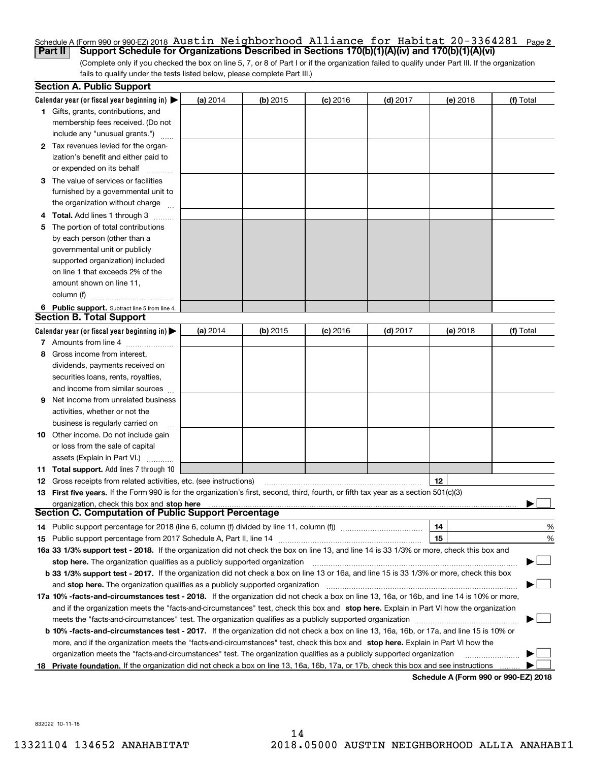#### <u>Schedule A (Form 990 or 990-EZ) 2018 <code>Austin Neighborhood</code> <code>Alliance for Habltat 20–3364281 Page 2</code></u> **Part II Support Schedule for Organizations Described in Sections 170(b)(1)(A)(iv) and 170(b)(1)(A)(vi)** Austin Neighborhood Alliance for Habitat 20-3364281

(Complete only if you checked the box on line 5, 7, or 8 of Part I or if the organization failed to qualify under Part III. If the organization fails to qualify under the tests listed below, please complete Part III.)

|    | <b>Section A. Public Support</b>                                                                                                           |          |            |            |            |                                             |           |
|----|--------------------------------------------------------------------------------------------------------------------------------------------|----------|------------|------------|------------|---------------------------------------------|-----------|
|    | Calendar year (or fiscal year beginning in) $\blacktriangleright$                                                                          | (a) 2014 | $(b)$ 2015 | $(c)$ 2016 | $(d)$ 2017 | (e) 2018                                    | (f) Total |
|    | <b>1</b> Gifts, grants, contributions, and                                                                                                 |          |            |            |            |                                             |           |
|    | membership fees received. (Do not                                                                                                          |          |            |            |            |                                             |           |
|    | include any "unusual grants.")                                                                                                             |          |            |            |            |                                             |           |
|    | 2 Tax revenues levied for the organ-                                                                                                       |          |            |            |            |                                             |           |
|    | ization's benefit and either paid to                                                                                                       |          |            |            |            |                                             |           |
|    | or expended on its behalf                                                                                                                  |          |            |            |            |                                             |           |
|    | 3 The value of services or facilities                                                                                                      |          |            |            |            |                                             |           |
|    | furnished by a governmental unit to                                                                                                        |          |            |            |            |                                             |           |
|    | the organization without charge                                                                                                            |          |            |            |            |                                             |           |
|    | 4 Total. Add lines 1 through 3                                                                                                             |          |            |            |            |                                             |           |
| 5  | The portion of total contributions                                                                                                         |          |            |            |            |                                             |           |
|    | by each person (other than a                                                                                                               |          |            |            |            |                                             |           |
|    | governmental unit or publicly                                                                                                              |          |            |            |            |                                             |           |
|    | supported organization) included                                                                                                           |          |            |            |            |                                             |           |
|    | on line 1 that exceeds 2% of the                                                                                                           |          |            |            |            |                                             |           |
|    | amount shown on line 11,                                                                                                                   |          |            |            |            |                                             |           |
|    | column (f)                                                                                                                                 |          |            |            |            |                                             |           |
|    | 6 Public support. Subtract line 5 from line 4.                                                                                             |          |            |            |            |                                             |           |
|    | Section B. Total Support                                                                                                                   |          |            |            |            |                                             |           |
|    | Calendar year (or fiscal year beginning in) $\blacktriangleright$                                                                          | (a) 2014 | $(b)$ 2015 | $(c)$ 2016 | $(d)$ 2017 | (e) 2018                                    | (f) Total |
|    | 7 Amounts from line 4                                                                                                                      |          |            |            |            |                                             |           |
|    | 8 Gross income from interest,                                                                                                              |          |            |            |            |                                             |           |
|    | dividends, payments received on                                                                                                            |          |            |            |            |                                             |           |
|    | securities loans, rents, royalties,                                                                                                        |          |            |            |            |                                             |           |
|    | and income from similar sources                                                                                                            |          |            |            |            |                                             |           |
| 9. | Net income from unrelated business                                                                                                         |          |            |            |            |                                             |           |
|    | activities, whether or not the                                                                                                             |          |            |            |            |                                             |           |
|    | business is regularly carried on                                                                                                           |          |            |            |            |                                             |           |
|    | <b>10</b> Other income. Do not include gain                                                                                                |          |            |            |            |                                             |           |
|    | or loss from the sale of capital                                                                                                           |          |            |            |            |                                             |           |
|    | assets (Explain in Part VI.)                                                                                                               |          |            |            |            |                                             |           |
|    | 11 Total support. Add lines 7 through 10                                                                                                   |          |            |            |            |                                             |           |
|    | <b>12</b> Gross receipts from related activities, etc. (see instructions)                                                                  |          |            |            |            | 12                                          |           |
|    | 13 First five years. If the Form 990 is for the organization's first, second, third, fourth, or fifth tax year as a section 501(c)(3)      |          |            |            |            |                                             |           |
|    | organization, check this box and stop here                                                                                                 |          |            |            |            |                                             |           |
|    | Section C. Computation of Public Support Percentage                                                                                        |          |            |            |            |                                             |           |
|    | 14 Public support percentage for 2018 (line 6, column (f) divided by line 11, column (f) <i>manumumumumum</i>                              |          |            |            |            | 14                                          | %         |
|    |                                                                                                                                            |          |            |            |            | 15                                          | %         |
|    | 16a 33 1/3% support test - 2018. If the organization did not check the box on line 13, and line 14 is 33 1/3% or more, check this box and  |          |            |            |            |                                             |           |
|    | stop here. The organization qualifies as a publicly supported organization                                                                 |          |            |            |            |                                             |           |
|    | b 33 1/3% support test - 2017. If the organization did not check a box on line 13 or 16a, and line 15 is 33 1/3% or more, check this box   |          |            |            |            |                                             |           |
|    | and stop here. The organization qualifies as a publicly supported organization                                                             |          |            |            |            |                                             |           |
|    | 17a 10% -facts-and-circumstances test - 2018. If the organization did not check a box on line 13, 16a, or 16b, and line 14 is 10% or more, |          |            |            |            |                                             |           |
|    | and if the organization meets the "facts-and-circumstances" test, check this box and stop here. Explain in Part VI how the organization    |          |            |            |            |                                             |           |
|    | meets the "facts-and-circumstances" test. The organization qualifies as a publicly supported organization                                  |          |            |            |            |                                             |           |
|    | b 10% -facts-and-circumstances test - 2017. If the organization did not check a box on line 13, 16a, 16b, or 17a, and line 15 is 10% or    |          |            |            |            |                                             |           |
|    | more, and if the organization meets the "facts-and-circumstances" test, check this box and stop here. Explain in Part VI how the           |          |            |            |            |                                             |           |
|    | organization meets the "facts-and-circumstances" test. The organization qualifies as a publicly supported organization                     |          |            |            |            |                                             |           |
|    | 18 Private foundation. If the organization did not check a box on line 13, 16a, 16b, 17a, or 17b, check this box and see instructions      |          |            |            |            | <b>Cohodulo A (Form 000 or 000 EZ) 2010</b> |           |

**Schedule A (Form 990 or 990-EZ) 2018**

832022 10-11-18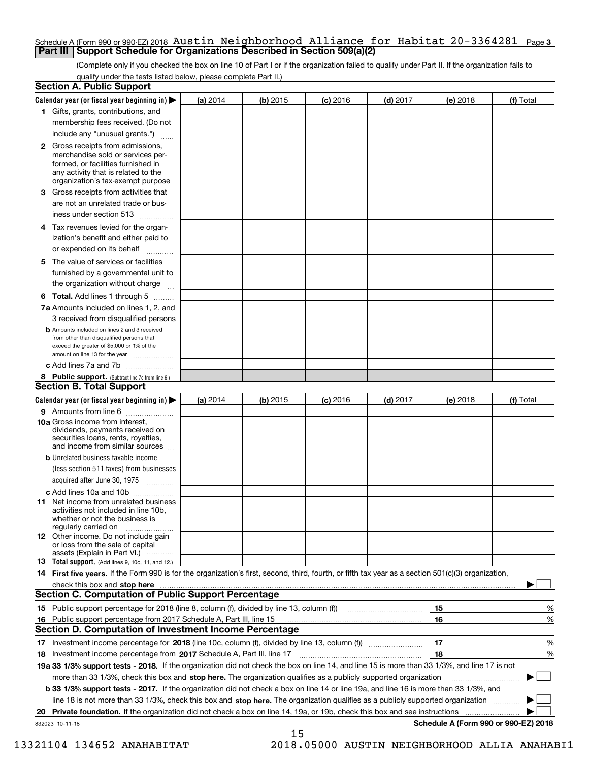#### Schedule A (Form 990 or 990-EZ) 2018  $\,$  <code>Austin Neighborhood Alliance for Habitat 20-3364281  $\,$  Page 3</code> **Part III Support Schedule for Organizations Described in Section 509(a)(2)**

(Complete only if you checked the box on line 10 of Part I or if the organization failed to qualify under Part II. If the organization fails to qualify under the tests listed below, please complete Part II.)

|    | <b>Section A. Public Support</b>                                                                                                                                                                                                                      |            |            |            |            |          |                                      |
|----|-------------------------------------------------------------------------------------------------------------------------------------------------------------------------------------------------------------------------------------------------------|------------|------------|------------|------------|----------|--------------------------------------|
|    | Calendar year (or fiscal year beginning in) $\blacktriangleright$                                                                                                                                                                                     | (a) 2014   | $(b)$ 2015 | $(c)$ 2016 | $(d)$ 2017 | (e) 2018 | (f) Total                            |
|    | 1 Gifts, grants, contributions, and                                                                                                                                                                                                                   |            |            |            |            |          |                                      |
|    | membership fees received. (Do not                                                                                                                                                                                                                     |            |            |            |            |          |                                      |
|    | include any "unusual grants.")                                                                                                                                                                                                                        |            |            |            |            |          |                                      |
|    | 2 Gross receipts from admissions,<br>merchandise sold or services per-<br>formed, or facilities furnished in<br>any activity that is related to the<br>organization's tax-exempt purpose                                                              |            |            |            |            |          |                                      |
|    | 3 Gross receipts from activities that<br>are not an unrelated trade or bus-                                                                                                                                                                           |            |            |            |            |          |                                      |
|    | iness under section 513                                                                                                                                                                                                                               |            |            |            |            |          |                                      |
|    | 4 Tax revenues levied for the organ-                                                                                                                                                                                                                  |            |            |            |            |          |                                      |
|    | ization's benefit and either paid to<br>or expended on its behalf<br>.                                                                                                                                                                                |            |            |            |            |          |                                      |
|    | 5 The value of services or facilities                                                                                                                                                                                                                 |            |            |            |            |          |                                      |
|    | furnished by a governmental unit to                                                                                                                                                                                                                   |            |            |            |            |          |                                      |
|    | the organization without charge                                                                                                                                                                                                                       |            |            |            |            |          |                                      |
|    | <b>6 Total.</b> Add lines 1 through 5                                                                                                                                                                                                                 |            |            |            |            |          |                                      |
|    | 7a Amounts included on lines 1, 2, and<br>3 received from disqualified persons                                                                                                                                                                        |            |            |            |            |          |                                      |
|    | <b>b</b> Amounts included on lines 2 and 3 received<br>from other than disqualified persons that<br>exceed the greater of \$5,000 or 1% of the<br>amount on line 13 for the year                                                                      |            |            |            |            |          |                                      |
|    | c Add lines 7a and 7b                                                                                                                                                                                                                                 |            |            |            |            |          |                                      |
|    | 8 Public support. (Subtract line 7c from line 6.)                                                                                                                                                                                                     |            |            |            |            |          |                                      |
|    | <b>Section B. Total Support</b>                                                                                                                                                                                                                       |            |            |            |            |          |                                      |
|    | Calendar year (or fiscal year beginning in) $\blacktriangleright$                                                                                                                                                                                     | (a) $2014$ | $(b)$ 2015 | $(c)$ 2016 | $(d)$ 2017 | (e) 2018 | (f) Total                            |
|    | 9 Amounts from line 6                                                                                                                                                                                                                                 |            |            |            |            |          |                                      |
|    | 10a Gross income from interest,<br>dividends, payments received on<br>securities loans, rents, royalties,<br>and income from similar sources                                                                                                          |            |            |            |            |          |                                      |
|    | <b>b</b> Unrelated business taxable income<br>(less section 511 taxes) from businesses                                                                                                                                                                |            |            |            |            |          |                                      |
|    | acquired after June 30, 1975                                                                                                                                                                                                                          |            |            |            |            |          |                                      |
|    | c Add lines 10a and 10b<br>11 Net income from unrelated business<br>activities not included in line 10b,<br>whether or not the business is<br>regularly carried on                                                                                    |            |            |            |            |          |                                      |
|    | 12 Other income. Do not include gain<br>or loss from the sale of capital<br>assets (Explain in Part VI.)                                                                                                                                              |            |            |            |            |          |                                      |
|    | <b>13</b> Total support. (Add lines 9, 10c, 11, and 12.)                                                                                                                                                                                              |            |            |            |            |          |                                      |
|    | 14 First five years. If the Form 990 is for the organization's first, second, third, fourth, or fifth tax year as a section 501(c)(3) organization,                                                                                                   |            |            |            |            |          |                                      |
|    | check this box and stop here <i>machine and content and stop</i> here <i>manufacture and stop</i> here <i>manufacture</i> and <b>stop here</b> <i>manufacture manufacture and stop</i> here <i>manufacture manufacture manufacture manufacture ma</i> |            |            |            |            |          |                                      |
|    | <b>Section C. Computation of Public Support Percentage</b>                                                                                                                                                                                            |            |            |            |            |          |                                      |
|    | 15 Public support percentage for 2018 (line 8, column (f), divided by line 13, column (f))                                                                                                                                                            |            |            |            |            | 15       | %                                    |
|    | 16 Public support percentage from 2017 Schedule A, Part III, line 15                                                                                                                                                                                  |            |            |            |            | 16       | %                                    |
|    | <b>Section D. Computation of Investment Income Percentage</b>                                                                                                                                                                                         |            |            |            |            |          |                                      |
|    | 17 Investment income percentage for 2018 (line 10c, column (f), divided by line 13, column (f))                                                                                                                                                       |            |            |            |            | 17       | %                                    |
|    | <b>18</b> Investment income percentage from <b>2017</b> Schedule A, Part III, line 17                                                                                                                                                                 |            |            |            |            | 18       | %                                    |
|    | 19a 33 1/3% support tests - 2018. If the organization did not check the box on line 14, and line 15 is more than 33 1/3%, and line 17 is not                                                                                                          |            |            |            |            |          |                                      |
|    | more than 33 1/3%, check this box and stop here. The organization qualifies as a publicly supported organization                                                                                                                                      |            |            |            |            |          | ▶                                    |
|    | b 33 1/3% support tests - 2017. If the organization did not check a box on line 14 or line 19a, and line 16 is more than 33 1/3%, and                                                                                                                 |            |            |            |            |          |                                      |
|    | line 18 is not more than 33 1/3%, check this box and stop here. The organization qualifies as a publicly supported organization                                                                                                                       |            |            |            |            |          |                                      |
| 20 | <b>Private foundation.</b> If the organization did not check a box on line 14, 19a, or 19b, check this box and see instructions                                                                                                                       |            |            |            |            |          |                                      |
|    | 832023 10-11-18                                                                                                                                                                                                                                       |            | 15         |            |            |          | Schedule A (Form 990 or 990-EZ) 2018 |

 <sup>13321104 134652</sup> ANAHABITAT 2018.05000 AUSTIN NEIGHBORHOOD ALLIA ANAHABI1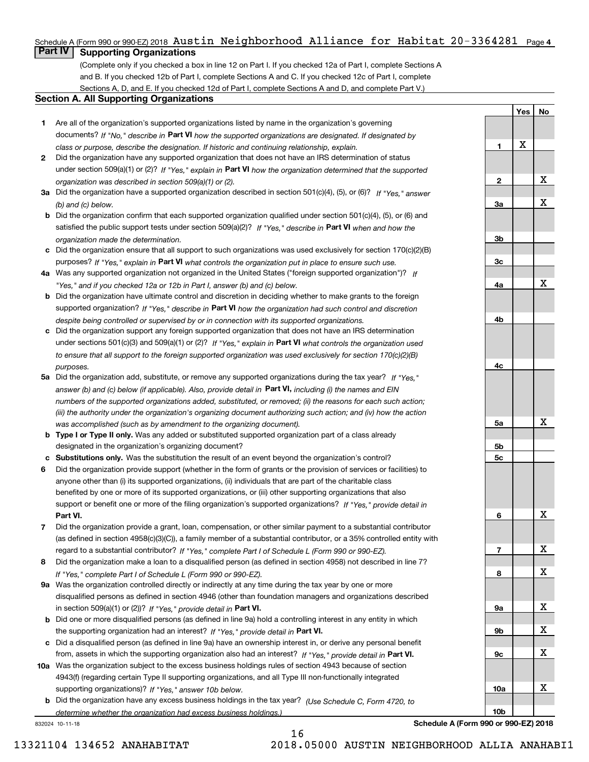# Schedule A (Form 990 or 990-EZ) 2018  $\,$  Austin  $\,$  Neighborhood  $\,$  Alliance for  $\,$  Habitat 20-3364281  $\,$  Page 4  $\,$

# **Part IV Supporting Organizations**

(Complete only if you checked a box in line 12 on Part I. If you checked 12a of Part I, complete Sections A and B. If you checked 12b of Part I, complete Sections A and C. If you checked 12c of Part I, complete Sections A, D, and E. If you checked 12d of Part I, complete Sections A and D, and complete Part V.)

#### **Section A. All Supporting Organizations**

- **1** Are all of the organization's supported organizations listed by name in the organization's governing documents? If "No," describe in **Part VI** how the supported organizations are designated. If designated by *class or purpose, describe the designation. If historic and continuing relationship, explain.*
- **2** Did the organization have any supported organization that does not have an IRS determination of status under section 509(a)(1) or (2)? If "Yes," explain in Part VI how the organization determined that the supported *organization was described in section 509(a)(1) or (2).*
- **3a** Did the organization have a supported organization described in section 501(c)(4), (5), or (6)? If "Yes," answer *(b) and (c) below.*
- **b** Did the organization confirm that each supported organization qualified under section 501(c)(4), (5), or (6) and satisfied the public support tests under section 509(a)(2)? If "Yes," describe in **Part VI** when and how the *organization made the determination.*
- **c**Did the organization ensure that all support to such organizations was used exclusively for section 170(c)(2)(B) purposes? If "Yes," explain in **Part VI** what controls the organization put in place to ensure such use.
- **4a***If* Was any supported organization not organized in the United States ("foreign supported organization")? *"Yes," and if you checked 12a or 12b in Part I, answer (b) and (c) below.*
- **b** Did the organization have ultimate control and discretion in deciding whether to make grants to the foreign supported organization? If "Yes," describe in **Part VI** how the organization had such control and discretion *despite being controlled or supervised by or in connection with its supported organizations.*
- **c** Did the organization support any foreign supported organization that does not have an IRS determination under sections 501(c)(3) and 509(a)(1) or (2)? If "Yes," explain in **Part VI** what controls the organization used *to ensure that all support to the foreign supported organization was used exclusively for section 170(c)(2)(B) purposes.*
- **5a** Did the organization add, substitute, or remove any supported organizations during the tax year? If "Yes," answer (b) and (c) below (if applicable). Also, provide detail in **Part VI,** including (i) the names and EIN *numbers of the supported organizations added, substituted, or removed; (ii) the reasons for each such action; (iii) the authority under the organization's organizing document authorizing such action; and (iv) how the action was accomplished (such as by amendment to the organizing document).*
- **b** Type I or Type II only. Was any added or substituted supported organization part of a class already designated in the organization's organizing document?
- **cSubstitutions only.**  Was the substitution the result of an event beyond the organization's control?
- **6** Did the organization provide support (whether in the form of grants or the provision of services or facilities) to **Part VI.** *If "Yes," provide detail in* support or benefit one or more of the filing organization's supported organizations? anyone other than (i) its supported organizations, (ii) individuals that are part of the charitable class benefited by one or more of its supported organizations, or (iii) other supporting organizations that also
- **7**Did the organization provide a grant, loan, compensation, or other similar payment to a substantial contributor *If "Yes," complete Part I of Schedule L (Form 990 or 990-EZ).* regard to a substantial contributor? (as defined in section 4958(c)(3)(C)), a family member of a substantial contributor, or a 35% controlled entity with
- **8** Did the organization make a loan to a disqualified person (as defined in section 4958) not described in line 7? *If "Yes," complete Part I of Schedule L (Form 990 or 990-EZ).*
- **9a** Was the organization controlled directly or indirectly at any time during the tax year by one or more in section 509(a)(1) or (2))? If "Yes," *provide detail in* <code>Part VI.</code> disqualified persons as defined in section 4946 (other than foundation managers and organizations described
- **b**the supporting organization had an interest? If "Yes," provide detail in P**art VI**. Did one or more disqualified persons (as defined in line 9a) hold a controlling interest in any entity in which
- **c**Did a disqualified person (as defined in line 9a) have an ownership interest in, or derive any personal benefit from, assets in which the supporting organization also had an interest? If "Yes," provide detail in P**art VI.**
- **10a** Was the organization subject to the excess business holdings rules of section 4943 because of section supporting organizations)? If "Yes," answer 10b below. 4943(f) (regarding certain Type II supporting organizations, and all Type III non-functionally integrated
- **b** Did the organization have any excess business holdings in the tax year? (Use Schedule C, Form 4720, to *determine whether the organization had excess business holdings.)*

16

832024 10-11-18

**Schedule A (Form 990 or 990-EZ) 2018**

**Yes**

X

**1**

**2**

**3a**

**3b**

**3c**

**4a**

**4b**

**4c**

**5a**

**5b5c**

**6**

**7**

**8**

**9a**

**9b**

**9c**

**10a**

**10b**

**No**

X

X

X

X

X

X

X

X

X

X

X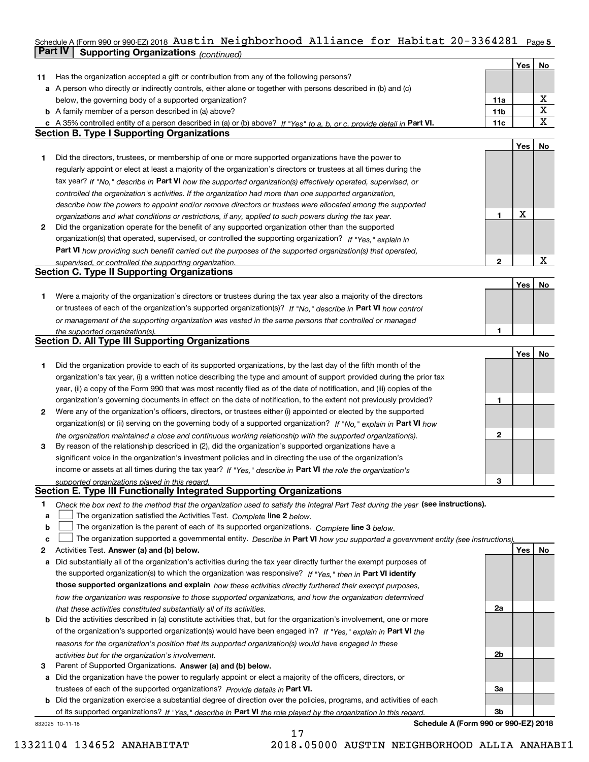#### Schedule A (Form 990 or 990-EZ) 2018 <code>Austin Neighborhood</code> <code>Alliance for Habltat 20-3364281 Page 5</code> **Part IV Supporting Organizations** *(continued)* Austin Neighborhood Alliance for Habitat 20-3364281

|    |                                                                                                                                   |                 | Yes | No          |
|----|-----------------------------------------------------------------------------------------------------------------------------------|-----------------|-----|-------------|
| 11 | Has the organization accepted a gift or contribution from any of the following persons?                                           |                 |     |             |
|    | a A person who directly or indirectly controls, either alone or together with persons described in (b) and (c)                    |                 |     |             |
|    | below, the governing body of a supported organization?                                                                            | 11a             |     | х           |
|    | <b>b</b> A family member of a person described in (a) above?                                                                      | 11 <sub>b</sub> |     | $\mathbf X$ |
|    | c A 35% controlled entity of a person described in (a) or (b) above? If "Yes" to a, b, or c, provide detail in Part VI.           | 11c             |     | $\mathbf X$ |
|    | <b>Section B. Type I Supporting Organizations</b>                                                                                 |                 |     |             |
|    |                                                                                                                                   |                 | Yes | No          |
| 1. | Did the directors, trustees, or membership of one or more supported organizations have the power to                               |                 |     |             |
|    | regularly appoint or elect at least a majority of the organization's directors or trustees at all times during the                |                 |     |             |
|    | tax year? If "No," describe in Part VI how the supported organization(s) effectively operated, supervised, or                     |                 |     |             |
|    | controlled the organization's activities. If the organization had more than one supported organization,                           |                 |     |             |
|    | describe how the powers to appoint and/or remove directors or trustees were allocated among the supported                         |                 |     |             |
|    | organizations and what conditions or restrictions, if any, applied to such powers during the tax year.                            | 1               | X   |             |
| 2  | Did the organization operate for the benefit of any supported organization other than the supported                               |                 |     |             |
|    | organization(s) that operated, supervised, or controlled the supporting organization? If "Yes," explain in                        |                 |     |             |
|    | Part VI how providing such benefit carried out the purposes of the supported organization(s) that operated,                       |                 |     |             |
|    | supervised, or controlled the supporting organization.                                                                            | 2               |     | X           |
|    | <b>Section C. Type II Supporting Organizations</b>                                                                                |                 |     |             |
|    |                                                                                                                                   |                 | Yes | No          |
| 1. | Were a majority of the organization's directors or trustees during the tax year also a majority of the directors                  |                 |     |             |
|    | or trustees of each of the organization's supported organization(s)? If "No," describe in Part VI how control                     |                 |     |             |
|    | or management of the supporting organization was vested in the same persons that controlled or managed                            |                 |     |             |
|    | the supported organization(s).                                                                                                    | 1               |     |             |
|    | <b>Section D. All Type III Supporting Organizations</b>                                                                           |                 |     |             |
|    |                                                                                                                                   |                 | Yes | No          |
| 1. | Did the organization provide to each of its supported organizations, by the last day of the fifth month of the                    |                 |     |             |
|    | organization's tax year, (i) a written notice describing the type and amount of support provided during the prior tax             |                 |     |             |
|    | year, (ii) a copy of the Form 990 that was most recently filed as of the date of notification, and (iii) copies of the            |                 |     |             |
|    | organization's governing documents in effect on the date of notification, to the extent not previously provided?                  | 1               |     |             |
| 2  | Were any of the organization's officers, directors, or trustees either (i) appointed or elected by the supported                  |                 |     |             |
|    | organization(s) or (ii) serving on the governing body of a supported organization? If "No," explain in Part VI how                |                 |     |             |
|    | the organization maintained a close and continuous working relationship with the supported organization(s).                       | 2               |     |             |
| 3  | By reason of the relationship described in (2), did the organization's supported organizations have a                             |                 |     |             |
|    | significant voice in the organization's investment policies and in directing the use of the organization's                        |                 |     |             |
|    | income or assets at all times during the tax year? If "Yes," describe in Part VI the role the organization's                      |                 |     |             |
|    | supported organizations played in this regard.                                                                                    | з               |     |             |
|    | Section E. Type III Functionally Integrated Supporting Organizations                                                              |                 |     |             |
| 1. | Check the box next to the method that the organization used to satisfy the Integral Part Test during the year (see instructions). |                 |     |             |
| a  | The organization satisfied the Activities Test. Complete line 2 below.                                                            |                 |     |             |
| b  | The organization is the parent of each of its supported organizations. Complete line 3 below.                                     |                 |     |             |
| c  | The organization supported a governmental entity. Describe in Part VI how you supported a government entity (see instructions),   |                 |     |             |
| 2  | Activities Test. Answer (a) and (b) below.                                                                                        |                 | Yes | No          |
| а  | Did substantially all of the organization's activities during the tax year directly further the exempt purposes of                |                 |     |             |
|    | the supported organization(s) to which the organization was responsive? If "Yes," then in Part VI identify                        |                 |     |             |
|    | those supported organizations and explain how these activities directly furthered their exempt purposes,                          |                 |     |             |
|    | how the organization was responsive to those supported organizations, and how the organization determined                         |                 |     |             |
|    | that these activities constituted substantially all of its activities.                                                            | 2a              |     |             |
| b  | Did the activities described in (a) constitute activities that, but for the organization's involvement, one or more               |                 |     |             |
|    | of the organization's supported organization(s) would have been engaged in? If "Yes," explain in Part VI the                      |                 |     |             |
|    | reasons for the organization's position that its supported organization(s) would have engaged in these                            |                 |     |             |
|    | activities but for the organization's involvement.                                                                                | 2b              |     |             |
| з  | Parent of Supported Organizations. Answer (a) and (b) below.                                                                      |                 |     |             |
| а  | Did the organization have the power to regularly appoint or elect a majority of the officers, directors, or                       |                 |     |             |
|    | trustees of each of the supported organizations? Provide details in Part VI.                                                      | За              |     |             |
|    | <b>b</b> Did the organization exercise a substantial degree of direction over the policies, programs, and activities of each      |                 |     |             |
|    | of its supported organizations? If "Yes," describe in Part VI the role played by the organization in this regard.                 | 3b              |     |             |
|    | Schedule A (Form 990 or 990-EZ) 2018<br>832025 10-11-18                                                                           |                 |     |             |

17 13321104 134652 ANAHABITAT 2018.05000 AUSTIN NEIGHBORHOOD ALLIA ANAHABI1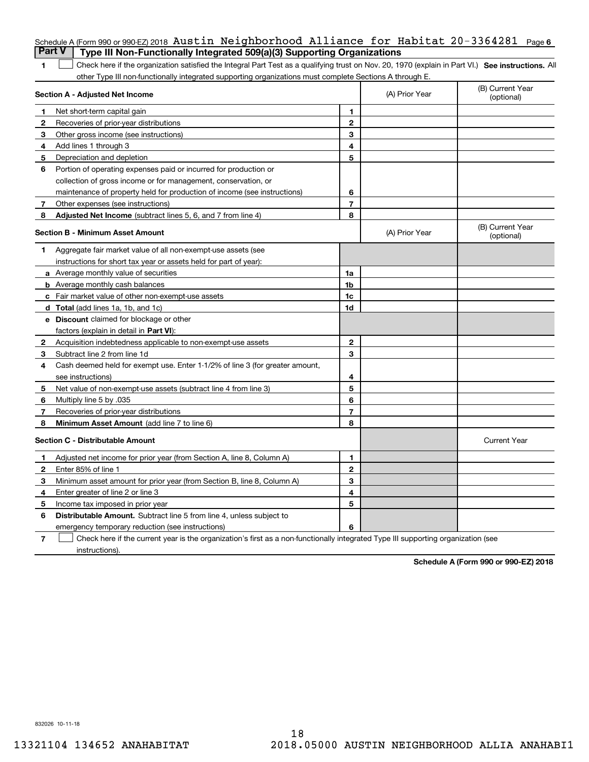| <b>Part V</b>  | Schedule A (Form 990 or 990-EZ) 2018 Austin Neighborhood Alliance for Habitat 20-3364281<br>Type III Non-Functionally Integrated 509(a)(3) Supporting Organizations |                |                | Page 6                         |
|----------------|---------------------------------------------------------------------------------------------------------------------------------------------------------------------|----------------|----------------|--------------------------------|
| 1              | Check here if the organization satisfied the Integral Part Test as a qualifying trust on Nov. 20, 1970 (explain in Part VI.) See instructions. Al                   |                |                |                                |
|                | other Type III non-functionally integrated supporting organizations must complete Sections A through E.                                                             |                |                |                                |
|                | Section A - Adjusted Net Income                                                                                                                                     |                | (A) Prior Year | (B) Current Year<br>(optional) |
| 1              | Net short-term capital gain                                                                                                                                         | 1              |                |                                |
| 2              | Recoveries of prior-year distributions                                                                                                                              | $\mathbf{2}$   |                |                                |
| 3              | Other gross income (see instructions)                                                                                                                               | 3              |                |                                |
| 4              | Add lines 1 through 3                                                                                                                                               | 4              |                |                                |
| 5              | Depreciation and depletion                                                                                                                                          | 5              |                |                                |
| 6              | Portion of operating expenses paid or incurred for production or                                                                                                    |                |                |                                |
|                | collection of gross income or for management, conservation, or                                                                                                      |                |                |                                |
|                | maintenance of property held for production of income (see instructions)                                                                                            | 6              |                |                                |
| 7              | Other expenses (see instructions)                                                                                                                                   | $\overline{7}$ |                |                                |
| 8              | Adjusted Net Income (subtract lines 5, 6, and 7 from line 4)                                                                                                        | 8              |                |                                |
|                | <b>Section B - Minimum Asset Amount</b>                                                                                                                             |                | (A) Prior Year | (B) Current Year<br>(optional) |
| 1              | Aggregate fair market value of all non-exempt-use assets (see                                                                                                       |                |                |                                |
|                | instructions for short tax year or assets held for part of year):                                                                                                   |                |                |                                |
|                | a Average monthly value of securities                                                                                                                               | 1a             |                |                                |
|                | <b>b</b> Average monthly cash balances                                                                                                                              | 1b             |                |                                |
|                | <b>c</b> Fair market value of other non-exempt-use assets                                                                                                           | 1c             |                |                                |
|                | d Total (add lines 1a, 1b, and 1c)                                                                                                                                  | 1d             |                |                                |
|                | e Discount claimed for blockage or other                                                                                                                            |                |                |                                |
|                | factors (explain in detail in Part VI):                                                                                                                             |                |                |                                |
| 2              | Acquisition indebtedness applicable to non-exempt-use assets                                                                                                        | $\mathbf{2}$   |                |                                |
| 3              | Subtract line 2 from line 1d                                                                                                                                        | 3              |                |                                |
| 4              | Cash deemed held for exempt use. Enter 1-1/2% of line 3 (for greater amount,                                                                                        |                |                |                                |
|                | see instructions)                                                                                                                                                   | 4              |                |                                |
| 5              | Net value of non-exempt-use assets (subtract line 4 from line 3)                                                                                                    | 5              |                |                                |
| 6              | Multiply line 5 by .035                                                                                                                                             | 6              |                |                                |
| 7              | Recoveries of prior-year distributions                                                                                                                              | $\overline{7}$ |                |                                |
| 8              | Minimum Asset Amount (add line 7 to line 6)                                                                                                                         | 8              |                |                                |
|                | <b>Section C - Distributable Amount</b>                                                                                                                             |                |                | <b>Current Year</b>            |
|                | Adjusted net income for prior year (from Section A, line 8, Column A)                                                                                               | 1              |                |                                |
| 2              | Enter 85% of line 1                                                                                                                                                 | 2              |                |                                |
| 3              | Minimum asset amount for prior year (from Section B, line 8, Column A)                                                                                              | 3              |                |                                |
| 4              | Enter greater of line 2 or line 3                                                                                                                                   | 4              |                |                                |
| 5              | Income tax imposed in prior year                                                                                                                                    | 5              |                |                                |
| 6              | Distributable Amount. Subtract line 5 from line 4, unless subject to                                                                                                |                |                |                                |
|                | emergency temporary reduction (see instructions)                                                                                                                    | 6              |                |                                |
| $\overline{7}$ | Check here if the current year is the organization's first as a non-functionally integrated Type III supporting organization (see                                   |                |                |                                |

instructions).

**Schedule A (Form 990 or 990-EZ) 2018**

832026 10-11-18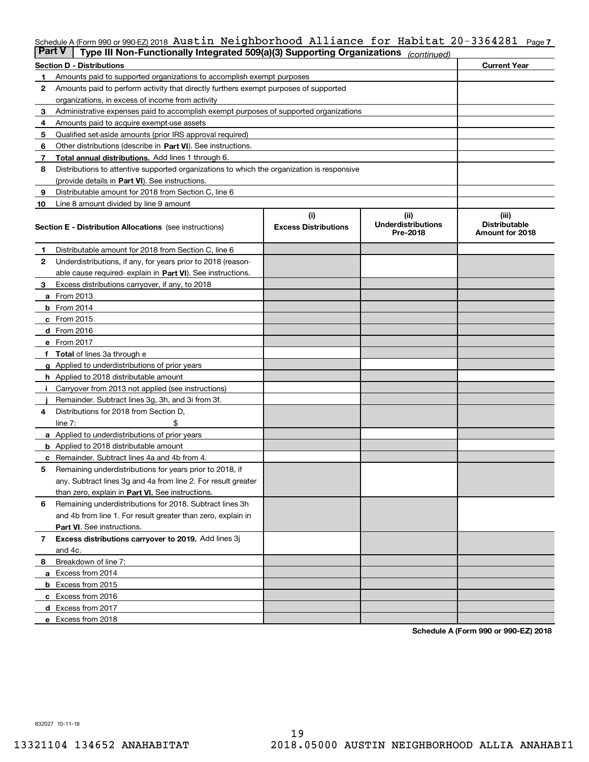### Schedule A (Form 990 or 990-EZ) 2018  $\,$  Austin <code>Neighborhood Alliance for Habitat 20-3364281  $\,$  Page 7</code>

| <b>Part V</b> | Type III Non-Functionally Integrated 509(a)(3) Supporting Organizations                    |                             | (continued)                           |                                         |
|---------------|--------------------------------------------------------------------------------------------|-----------------------------|---------------------------------------|-----------------------------------------|
|               | <b>Section D - Distributions</b>                                                           |                             |                                       | <b>Current Year</b>                     |
| 1             | Amounts paid to supported organizations to accomplish exempt purposes                      |                             |                                       |                                         |
| 2             | Amounts paid to perform activity that directly furthers exempt purposes of supported       |                             |                                       |                                         |
|               | organizations, in excess of income from activity                                           |                             |                                       |                                         |
| 3             | Administrative expenses paid to accomplish exempt purposes of supported organizations      |                             |                                       |                                         |
| 4             | Amounts paid to acquire exempt-use assets                                                  |                             |                                       |                                         |
| 5             | Qualified set-aside amounts (prior IRS approval required)                                  |                             |                                       |                                         |
| 6             | Other distributions (describe in Part VI). See instructions.                               |                             |                                       |                                         |
| 7             | <b>Total annual distributions.</b> Add lines 1 through 6.                                  |                             |                                       |                                         |
| 8             | Distributions to attentive supported organizations to which the organization is responsive |                             |                                       |                                         |
|               | (provide details in Part VI). See instructions.                                            |                             |                                       |                                         |
| 9             | Distributable amount for 2018 from Section C, line 6                                       |                             |                                       |                                         |
| 10            | Line 8 amount divided by line 9 amount                                                     |                             |                                       |                                         |
|               |                                                                                            | (i)                         | (ii)                                  | (iii)                                   |
|               | <b>Section E - Distribution Allocations</b> (see instructions)                             | <b>Excess Distributions</b> | <b>Underdistributions</b><br>Pre-2018 | <b>Distributable</b><br>Amount for 2018 |
| 1             | Distributable amount for 2018 from Section C, line 6                                       |                             |                                       |                                         |
| 2             | Underdistributions, if any, for years prior to 2018 (reason-                               |                             |                                       |                                         |
|               | able cause required- explain in Part VI). See instructions.                                |                             |                                       |                                         |
| З             | Excess distributions carryover, if any, to 2018                                            |                             |                                       |                                         |
|               | <b>a</b> From 2013                                                                         |                             |                                       |                                         |
|               | <b>b</b> From $2014$                                                                       |                             |                                       |                                         |
|               | c From 2015                                                                                |                             |                                       |                                         |
|               | <b>d</b> From 2016                                                                         |                             |                                       |                                         |
|               | e From 2017                                                                                |                             |                                       |                                         |
|               | Total of lines 3a through e                                                                |                             |                                       |                                         |
| g             | Applied to underdistributions of prior years                                               |                             |                                       |                                         |
|               | h Applied to 2018 distributable amount                                                     |                             |                                       |                                         |
|               | Carryover from 2013 not applied (see instructions)                                         |                             |                                       |                                         |
|               | Remainder. Subtract lines 3g, 3h, and 3i from 3f.                                          |                             |                                       |                                         |
| 4             | Distributions for 2018 from Section D,                                                     |                             |                                       |                                         |
|               | line $7:$                                                                                  |                             |                                       |                                         |
|               | <b>a</b> Applied to underdistributions of prior years                                      |                             |                                       |                                         |
|               | <b>b</b> Applied to 2018 distributable amount                                              |                             |                                       |                                         |
|               | c Remainder. Subtract lines 4a and 4b from 4.                                              |                             |                                       |                                         |
| 5             | Remaining underdistributions for years prior to 2018, if                                   |                             |                                       |                                         |
|               | any. Subtract lines 3g and 4a from line 2. For result greater                              |                             |                                       |                                         |
|               | than zero, explain in Part VI. See instructions.                                           |                             |                                       |                                         |
| 6             | Remaining underdistributions for 2018. Subtract lines 3h                                   |                             |                                       |                                         |
|               | and 4b from line 1. For result greater than zero, explain in                               |                             |                                       |                                         |
|               | Part VI. See instructions.                                                                 |                             |                                       |                                         |
| 7             | Excess distributions carryover to 2019. Add lines 3j                                       |                             |                                       |                                         |
|               | and 4c.                                                                                    |                             |                                       |                                         |
| 8             | Breakdown of line 7:                                                                       |                             |                                       |                                         |
|               | a Excess from 2014                                                                         |                             |                                       |                                         |
|               | <b>b</b> Excess from 2015                                                                  |                             |                                       |                                         |
|               | c Excess from 2016                                                                         |                             |                                       |                                         |
|               | d Excess from 2017                                                                         |                             |                                       |                                         |
|               |                                                                                            |                             |                                       |                                         |
|               | e Excess from 2018                                                                         |                             |                                       |                                         |

**Schedule A (Form 990 or 990-EZ) 2018**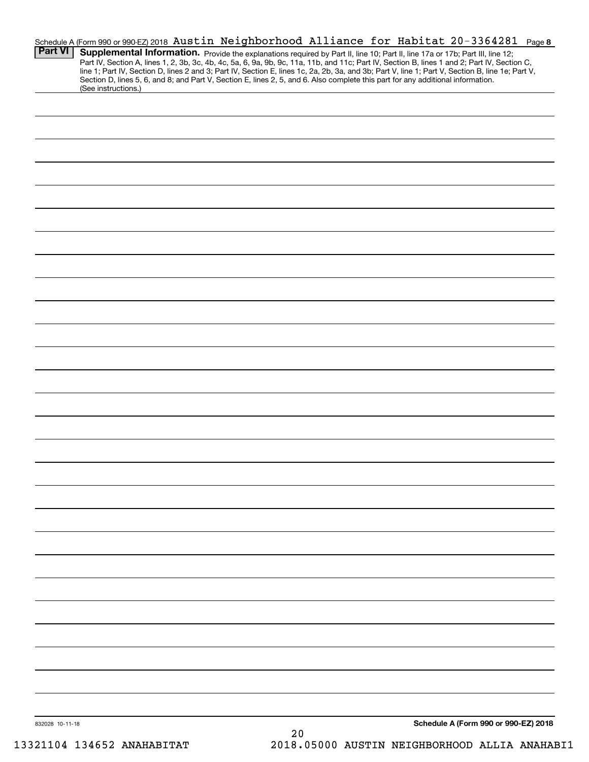| Schedule A (Form 990 or 990-EZ) 2018 Austin Neighborhood Alliance for Habitat 20-3364281 Page 8<br><b>Part VI</b><br>(See instructions.) | Supplemental Information. Provide the explanations required by Part II, line 10; Part II, line 17a or 17b; Part III, line 12;<br>Part IV, Section A, lines 1, 2, 3b, 3c, 4b, 4c, 5a, 6, 9a, 9b, 9c, 11a, 11b, and 11c; Part IV, Section B, lines 1 and 2; Part IV, Section C,<br>line 1; Part IV, Section D, lines 2 and 3; Part IV, Section E, lines 1c, 2a, 2b, 3a, and 3b; Part V, line 1; Part V, Section B, line 1e; Part V,<br>Section D, lines 5, 6, and 8; and Part V, Section E, lines 2, 5, and 6. Also complete this part for any additional information. |
|------------------------------------------------------------------------------------------------------------------------------------------|----------------------------------------------------------------------------------------------------------------------------------------------------------------------------------------------------------------------------------------------------------------------------------------------------------------------------------------------------------------------------------------------------------------------------------------------------------------------------------------------------------------------------------------------------------------------|
|                                                                                                                                          |                                                                                                                                                                                                                                                                                                                                                                                                                                                                                                                                                                      |
|                                                                                                                                          |                                                                                                                                                                                                                                                                                                                                                                                                                                                                                                                                                                      |
|                                                                                                                                          |                                                                                                                                                                                                                                                                                                                                                                                                                                                                                                                                                                      |
|                                                                                                                                          |                                                                                                                                                                                                                                                                                                                                                                                                                                                                                                                                                                      |
|                                                                                                                                          |                                                                                                                                                                                                                                                                                                                                                                                                                                                                                                                                                                      |
|                                                                                                                                          |                                                                                                                                                                                                                                                                                                                                                                                                                                                                                                                                                                      |
|                                                                                                                                          |                                                                                                                                                                                                                                                                                                                                                                                                                                                                                                                                                                      |
|                                                                                                                                          |                                                                                                                                                                                                                                                                                                                                                                                                                                                                                                                                                                      |
|                                                                                                                                          |                                                                                                                                                                                                                                                                                                                                                                                                                                                                                                                                                                      |
|                                                                                                                                          |                                                                                                                                                                                                                                                                                                                                                                                                                                                                                                                                                                      |
|                                                                                                                                          |                                                                                                                                                                                                                                                                                                                                                                                                                                                                                                                                                                      |
|                                                                                                                                          |                                                                                                                                                                                                                                                                                                                                                                                                                                                                                                                                                                      |
|                                                                                                                                          |                                                                                                                                                                                                                                                                                                                                                                                                                                                                                                                                                                      |
|                                                                                                                                          |                                                                                                                                                                                                                                                                                                                                                                                                                                                                                                                                                                      |
|                                                                                                                                          |                                                                                                                                                                                                                                                                                                                                                                                                                                                                                                                                                                      |
|                                                                                                                                          |                                                                                                                                                                                                                                                                                                                                                                                                                                                                                                                                                                      |
|                                                                                                                                          |                                                                                                                                                                                                                                                                                                                                                                                                                                                                                                                                                                      |
|                                                                                                                                          |                                                                                                                                                                                                                                                                                                                                                                                                                                                                                                                                                                      |
|                                                                                                                                          |                                                                                                                                                                                                                                                                                                                                                                                                                                                                                                                                                                      |
|                                                                                                                                          |                                                                                                                                                                                                                                                                                                                                                                                                                                                                                                                                                                      |
|                                                                                                                                          |                                                                                                                                                                                                                                                                                                                                                                                                                                                                                                                                                                      |
|                                                                                                                                          |                                                                                                                                                                                                                                                                                                                                                                                                                                                                                                                                                                      |
|                                                                                                                                          |                                                                                                                                                                                                                                                                                                                                                                                                                                                                                                                                                                      |
|                                                                                                                                          |                                                                                                                                                                                                                                                                                                                                                                                                                                                                                                                                                                      |
|                                                                                                                                          |                                                                                                                                                                                                                                                                                                                                                                                                                                                                                                                                                                      |
|                                                                                                                                          |                                                                                                                                                                                                                                                                                                                                                                                                                                                                                                                                                                      |
|                                                                                                                                          |                                                                                                                                                                                                                                                                                                                                                                                                                                                                                                                                                                      |
|                                                                                                                                          |                                                                                                                                                                                                                                                                                                                                                                                                                                                                                                                                                                      |
|                                                                                                                                          |                                                                                                                                                                                                                                                                                                                                                                                                                                                                                                                                                                      |
|                                                                                                                                          |                                                                                                                                                                                                                                                                                                                                                                                                                                                                                                                                                                      |
|                                                                                                                                          |                                                                                                                                                                                                                                                                                                                                                                                                                                                                                                                                                                      |
|                                                                                                                                          |                                                                                                                                                                                                                                                                                                                                                                                                                                                                                                                                                                      |
| 832028 10-11-18                                                                                                                          | Schedule A (Form 990 or 990-EZ) 2018<br>20                                                                                                                                                                                                                                                                                                                                                                                                                                                                                                                           |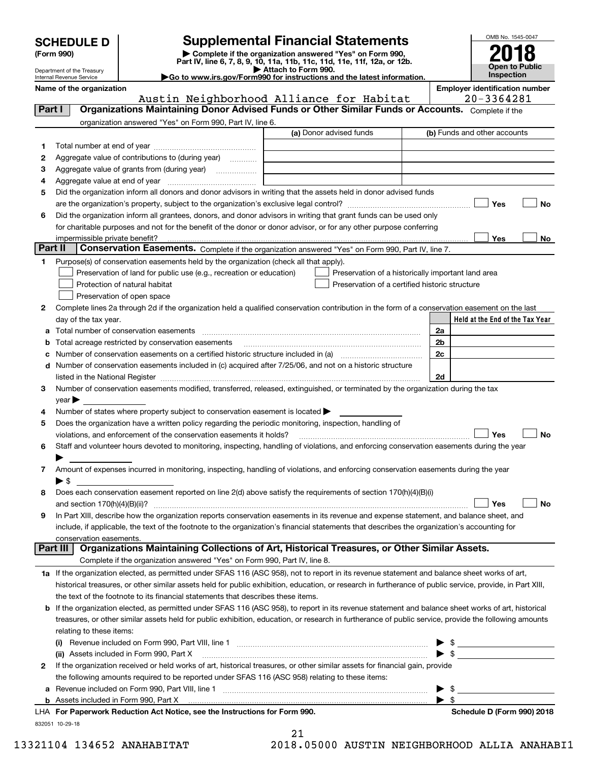| <b>SCHEDULE D</b> |  |
|-------------------|--|
|-------------------|--|

Department of the Treasury Internal Revenue Service

| (Form 990) |  |
|------------|--|
|------------|--|

# **Supplemental Financial Statements**

(Form 990)<br>
Pepartment of the Treasury<br>
Department of the Treasury<br>
Department of the Treasury<br>
Department of the Treasury<br> **Co to www.irs.gov/Form990 for instructions and the latest information.**<br> **Co to www.irs.gov/Form9** 



**Name of the organization Employer identification number**

|              | Austin Neighborhood Alliance for Habitat                                                                                                                                                                                       |                         |                                                    |                          | 20-3364281                                                                                                                                                                                                                           |
|--------------|--------------------------------------------------------------------------------------------------------------------------------------------------------------------------------------------------------------------------------|-------------------------|----------------------------------------------------|--------------------------|--------------------------------------------------------------------------------------------------------------------------------------------------------------------------------------------------------------------------------------|
| Part I       | Organizations Maintaining Donor Advised Funds or Other Similar Funds or Accounts. Complete if the                                                                                                                              |                         |                                                    |                          |                                                                                                                                                                                                                                      |
|              | organization answered "Yes" on Form 990, Part IV, line 6.                                                                                                                                                                      |                         |                                                    |                          |                                                                                                                                                                                                                                      |
|              |                                                                                                                                                                                                                                | (a) Donor advised funds |                                                    |                          | (b) Funds and other accounts                                                                                                                                                                                                         |
| 1.           |                                                                                                                                                                                                                                |                         |                                                    |                          |                                                                                                                                                                                                                                      |
| 2            | Aggregate value of contributions to (during year)                                                                                                                                                                              |                         |                                                    |                          |                                                                                                                                                                                                                                      |
| з            | Aggregate value of grants from (during year)                                                                                                                                                                                   |                         |                                                    |                          |                                                                                                                                                                                                                                      |
| 4            |                                                                                                                                                                                                                                |                         |                                                    |                          |                                                                                                                                                                                                                                      |
| 5            | Did the organization inform all donors and donor advisors in writing that the assets held in donor advised funds                                                                                                               |                         |                                                    |                          |                                                                                                                                                                                                                                      |
|              |                                                                                                                                                                                                                                |                         |                                                    |                          | Yes<br>No                                                                                                                                                                                                                            |
| 6            | Did the organization inform all grantees, donors, and donor advisors in writing that grant funds can be used only                                                                                                              |                         |                                                    |                          |                                                                                                                                                                                                                                      |
|              | for charitable purposes and not for the benefit of the donor or donor advisor, or for any other purpose conferring                                                                                                             |                         |                                                    |                          |                                                                                                                                                                                                                                      |
|              | impermissible private benefit?                                                                                                                                                                                                 |                         |                                                    |                          | Yes<br>No                                                                                                                                                                                                                            |
| Part II      | Conservation Easements. Complete if the organization answered "Yes" on Form 990, Part IV, line 7.                                                                                                                              |                         |                                                    |                          |                                                                                                                                                                                                                                      |
| 1            | Purpose(s) of conservation easements held by the organization (check all that apply).                                                                                                                                          |                         |                                                    |                          |                                                                                                                                                                                                                                      |
|              | Preservation of land for public use (e.g., recreation or education)                                                                                                                                                            |                         | Preservation of a historically important land area |                          |                                                                                                                                                                                                                                      |
|              | Protection of natural habitat                                                                                                                                                                                                  |                         | Preservation of a certified historic structure     |                          |                                                                                                                                                                                                                                      |
|              |                                                                                                                                                                                                                                |                         |                                                    |                          |                                                                                                                                                                                                                                      |
|              | Preservation of open space                                                                                                                                                                                                     |                         |                                                    |                          |                                                                                                                                                                                                                                      |
| 2            | Complete lines 2a through 2d if the organization held a qualified conservation contribution in the form of a conservation easement on the last                                                                                 |                         |                                                    |                          |                                                                                                                                                                                                                                      |
|              | day of the tax year.                                                                                                                                                                                                           |                         |                                                    |                          | Held at the End of the Tax Year                                                                                                                                                                                                      |
| a            |                                                                                                                                                                                                                                |                         |                                                    | 2a                       |                                                                                                                                                                                                                                      |
| b            | Total acreage restricted by conservation easements                                                                                                                                                                             |                         |                                                    | 2b                       |                                                                                                                                                                                                                                      |
| c            |                                                                                                                                                                                                                                |                         |                                                    | 2c                       |                                                                                                                                                                                                                                      |
| d            | Number of conservation easements included in (c) acquired after 7/25/06, and not on a historic structure                                                                                                                       |                         |                                                    |                          |                                                                                                                                                                                                                                      |
|              | listed in the National Register [111] [12] The Marian Contract in the National Property of the National Register [11] [12] Marian Contract in the National Register [11] Marian Contract in the National Property of the Natio |                         |                                                    | 2d                       |                                                                                                                                                                                                                                      |
| З.           | Number of conservation easements modified, transferred, released, extinguished, or terminated by the organization during the tax                                                                                               |                         |                                                    |                          |                                                                                                                                                                                                                                      |
|              | $year \blacktriangleright$                                                                                                                                                                                                     |                         |                                                    |                          |                                                                                                                                                                                                                                      |
| 4            | Number of states where property subject to conservation easement is located $\blacktriangleright$                                                                                                                              |                         |                                                    |                          |                                                                                                                                                                                                                                      |
| 5            | Does the organization have a written policy regarding the periodic monitoring, inspection, handling of                                                                                                                         |                         |                                                    |                          |                                                                                                                                                                                                                                      |
|              | violations, and enforcement of the conservation easements it holds?                                                                                                                                                            |                         |                                                    |                          | Yes<br><b>No</b>                                                                                                                                                                                                                     |
| 6            | Staff and volunteer hours devoted to monitoring, inspecting, handling of violations, and enforcing conservation easements during the year                                                                                      |                         |                                                    |                          |                                                                                                                                                                                                                                      |
|              |                                                                                                                                                                                                                                |                         |                                                    |                          |                                                                                                                                                                                                                                      |
| 7            | Amount of expenses incurred in monitoring, inspecting, handling of violations, and enforcing conservation easements during the year                                                                                            |                         |                                                    |                          |                                                                                                                                                                                                                                      |
|              | $\blacktriangleright$ s                                                                                                                                                                                                        |                         |                                                    |                          |                                                                                                                                                                                                                                      |
| 8            | Does each conservation easement reported on line 2(d) above satisfy the requirements of section 170(h)(4)(B)(i)                                                                                                                |                         |                                                    |                          |                                                                                                                                                                                                                                      |
|              |                                                                                                                                                                                                                                |                         |                                                    |                          | Yes<br><b>No</b>                                                                                                                                                                                                                     |
| 9            | In Part XIII, describe how the organization reports conservation easements in its revenue and expense statement, and balance sheet, and                                                                                        |                         |                                                    |                          |                                                                                                                                                                                                                                      |
|              | include, if applicable, the text of the footnote to the organization's financial statements that describes the organization's accounting for                                                                                   |                         |                                                    |                          |                                                                                                                                                                                                                                      |
|              | conservation easements.                                                                                                                                                                                                        |                         |                                                    |                          |                                                                                                                                                                                                                                      |
| Part III     | Organizations Maintaining Collections of Art, Historical Treasures, or Other Similar Assets.                                                                                                                                   |                         |                                                    |                          |                                                                                                                                                                                                                                      |
|              | Complete if the organization answered "Yes" on Form 990, Part IV, line 8.                                                                                                                                                      |                         |                                                    |                          |                                                                                                                                                                                                                                      |
|              | 1a If the organization elected, as permitted under SFAS 116 (ASC 958), not to report in its revenue statement and balance sheet works of art,                                                                                  |                         |                                                    |                          |                                                                                                                                                                                                                                      |
|              | historical treasures, or other similar assets held for public exhibition, education, or research in furtherance of public service, provide, in Part XIII,                                                                      |                         |                                                    |                          |                                                                                                                                                                                                                                      |
|              | the text of the footnote to its financial statements that describes these items.                                                                                                                                               |                         |                                                    |                          |                                                                                                                                                                                                                                      |
| b            | If the organization elected, as permitted under SFAS 116 (ASC 958), to report in its revenue statement and balance sheet works of art, historical                                                                              |                         |                                                    |                          |                                                                                                                                                                                                                                      |
|              | treasures, or other similar assets held for public exhibition, education, or research in furtherance of public service, provide the following amounts                                                                          |                         |                                                    |                          |                                                                                                                                                                                                                                      |
|              | relating to these items:                                                                                                                                                                                                       |                         |                                                    |                          |                                                                                                                                                                                                                                      |
|              |                                                                                                                                                                                                                                |                         |                                                    | ▶                        | $\frac{1}{2}$                                                                                                                                                                                                                        |
|              | (ii) Assets included in Form 990, Part X                                                                                                                                                                                       |                         |                                                    |                          | $\triangleright$ \$                                                                                                                                                                                                                  |
| $\mathbf{2}$ | If the organization received or held works of art, historical treasures, or other similar assets for financial gain, provide                                                                                                   |                         |                                                    |                          |                                                                                                                                                                                                                                      |
|              | the following amounts required to be reported under SFAS 116 (ASC 958) relating to these items:                                                                                                                                |                         |                                                    |                          |                                                                                                                                                                                                                                      |
|              |                                                                                                                                                                                                                                |                         |                                                    | \$                       |                                                                                                                                                                                                                                      |
| а            |                                                                                                                                                                                                                                |                         |                                                    | $\blacktriangleright$ \$ | <u>and the state of the state of the state of the state of the state of the state of the state of the state of the state of the state of the state of the state of the state of the state of the state of the state of the state</u> |
|              | LHA For Paperwork Reduction Act Notice, see the Instructions for Form 990.                                                                                                                                                     |                         |                                                    |                          | Schedule D (Form 990) 2018                                                                                                                                                                                                           |
|              |                                                                                                                                                                                                                                |                         |                                                    |                          |                                                                                                                                                                                                                                      |

832051 10-29-18

21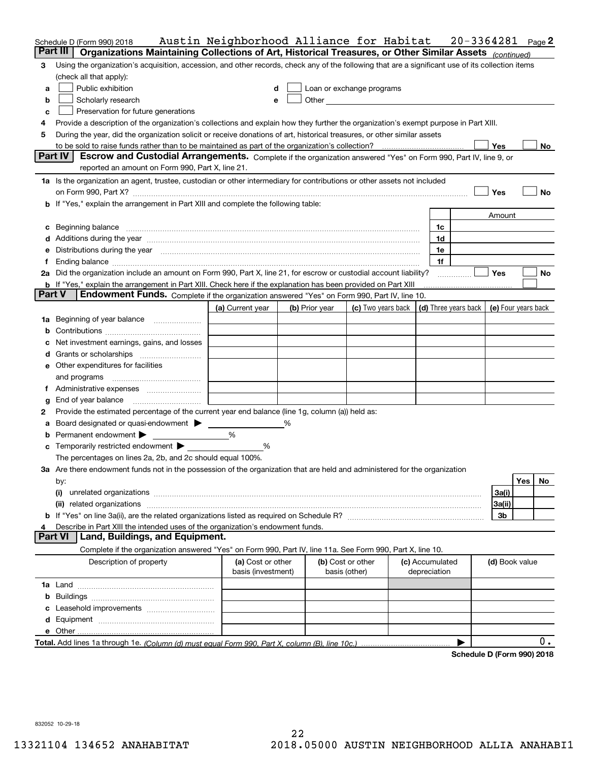|               | Schedule D (Form 990) 2018                                                                                                                                                                                                     | Austin Neighborhood Alliance for Habitat |   |                |                                                                                                                                                                                                                               |  |              |                 | $20 - 3364281$ |                     |     | $Page$ <sup>2</sup> |
|---------------|--------------------------------------------------------------------------------------------------------------------------------------------------------------------------------------------------------------------------------|------------------------------------------|---|----------------|-------------------------------------------------------------------------------------------------------------------------------------------------------------------------------------------------------------------------------|--|--------------|-----------------|----------------|---------------------|-----|---------------------|
|               | Organizations Maintaining Collections of Art, Historical Treasures, or Other Similar Assets (continued)<br>Part III                                                                                                            |                                          |   |                |                                                                                                                                                                                                                               |  |              |                 |                |                     |     |                     |
| 3             | Using the organization's acquisition, accession, and other records, check any of the following that are a significant use of its collection items                                                                              |                                          |   |                |                                                                                                                                                                                                                               |  |              |                 |                |                     |     |                     |
|               | (check all that apply):                                                                                                                                                                                                        |                                          |   |                |                                                                                                                                                                                                                               |  |              |                 |                |                     |     |                     |
| a             | Public exhibition                                                                                                                                                                                                              |                                          | d |                | Loan or exchange programs                                                                                                                                                                                                     |  |              |                 |                |                     |     |                     |
| b             | Scholarly research                                                                                                                                                                                                             |                                          | e |                | Other and the contract of the contract of the contract of the contract of the contract of the contract of the contract of the contract of the contract of the contract of the contract of the contract of the contract of the |  |              |                 |                |                     |     |                     |
| c             | Preservation for future generations                                                                                                                                                                                            |                                          |   |                |                                                                                                                                                                                                                               |  |              |                 |                |                     |     |                     |
| 4             | Provide a description of the organization's collections and explain how they further the organization's exempt purpose in Part XIII.                                                                                           |                                          |   |                |                                                                                                                                                                                                                               |  |              |                 |                |                     |     |                     |
| 5             | During the year, did the organization solicit or receive donations of art, historical treasures, or other similar assets                                                                                                       |                                          |   |                |                                                                                                                                                                                                                               |  |              |                 |                |                     |     |                     |
|               |                                                                                                                                                                                                                                |                                          |   |                |                                                                                                                                                                                                                               |  |              |                 |                | Yes                 |     | No                  |
|               | <b>Part IV</b><br>Escrow and Custodial Arrangements. Complete if the organization answered "Yes" on Form 990, Part IV, line 9, or                                                                                              |                                          |   |                |                                                                                                                                                                                                                               |  |              |                 |                |                     |     |                     |
|               | reported an amount on Form 990, Part X, line 21.                                                                                                                                                                               |                                          |   |                |                                                                                                                                                                                                                               |  |              |                 |                |                     |     |                     |
|               | 1a Is the organization an agent, trustee, custodian or other intermediary for contributions or other assets not included                                                                                                       |                                          |   |                |                                                                                                                                                                                                                               |  |              |                 |                |                     |     |                     |
|               | on Form 990, Part X? [11] matter contracts and contracts and contracts are contracted as a function of the set of the set of the set of the set of the set of the set of the set of the set of the set of the set of the set o |                                          |   |                |                                                                                                                                                                                                                               |  |              |                 |                | Yes                 |     | No                  |
|               | b If "Yes," explain the arrangement in Part XIII and complete the following table:                                                                                                                                             |                                          |   |                |                                                                                                                                                                                                                               |  |              |                 |                |                     |     |                     |
|               |                                                                                                                                                                                                                                |                                          |   |                |                                                                                                                                                                                                                               |  |              |                 |                | Amount              |     |                     |
|               | c Beginning balance measurements and the contract of the contract of the contract of the contract of the contract of the contract of the contract of the contract of the contract of the contract of the contract of the contr |                                          |   |                |                                                                                                                                                                                                                               |  |              | 1c              |                |                     |     |                     |
|               |                                                                                                                                                                                                                                |                                          |   |                |                                                                                                                                                                                                                               |  |              | 1d              |                |                     |     |                     |
|               | e Distributions during the year manufactured and contain an account of the state of the state of the state of the state of the state of the state of the state of the state of the state of the state of the state of the stat |                                          |   |                |                                                                                                                                                                                                                               |  |              | 1e              |                |                     |     |                     |
|               |                                                                                                                                                                                                                                |                                          |   |                |                                                                                                                                                                                                                               |  |              | 1f              |                |                     |     |                     |
|               | 2a Did the organization include an amount on Form 990, Part X, line 21, for escrow or custodial account liability?                                                                                                             |                                          |   |                |                                                                                                                                                                                                                               |  |              |                 |                | <b>Yes</b>          |     | No                  |
| <b>Part V</b> | <b>b</b> If "Yes," explain the arrangement in Part XIII. Check here if the explanation has been provided on Part XIII                                                                                                          |                                          |   |                |                                                                                                                                                                                                                               |  |              |                 |                |                     |     |                     |
|               | Endowment Funds. Complete if the organization answered "Yes" on Form 990, Part IV, line 10.                                                                                                                                    |                                          |   |                |                                                                                                                                                                                                                               |  |              |                 |                |                     |     |                     |
|               |                                                                                                                                                                                                                                | (a) Current year                         |   | (b) Prior year | (c) Two years back $\vert$ (d) Three years back $\vert$                                                                                                                                                                       |  |              |                 |                | (e) Four years back |     |                     |
|               | 1a Beginning of year balance                                                                                                                                                                                                   |                                          |   |                |                                                                                                                                                                                                                               |  |              |                 |                |                     |     |                     |
| b             |                                                                                                                                                                                                                                |                                          |   |                |                                                                                                                                                                                                                               |  |              |                 |                |                     |     |                     |
|               | c Net investment earnings, gains, and losses                                                                                                                                                                                   |                                          |   |                |                                                                                                                                                                                                                               |  |              |                 |                |                     |     |                     |
|               |                                                                                                                                                                                                                                |                                          |   |                |                                                                                                                                                                                                                               |  |              |                 |                |                     |     |                     |
|               | e Other expenditures for facilities                                                                                                                                                                                            |                                          |   |                |                                                                                                                                                                                                                               |  |              |                 |                |                     |     |                     |
|               |                                                                                                                                                                                                                                |                                          |   |                |                                                                                                                                                                                                                               |  |              |                 |                |                     |     |                     |
|               |                                                                                                                                                                                                                                |                                          |   |                |                                                                                                                                                                                                                               |  |              |                 |                |                     |     |                     |
| g             | End of year balance                                                                                                                                                                                                            |                                          |   |                |                                                                                                                                                                                                                               |  |              |                 |                |                     |     |                     |
| 2             | Provide the estimated percentage of the current year end balance (line 1g, column (a)) held as:<br>a Board designated or quasi-endowment > _____                                                                               |                                          | % |                |                                                                                                                                                                                                                               |  |              |                 |                |                     |     |                     |
|               | <b>b</b> Permanent endowment $\blacktriangleright$                                                                                                                                                                             | %                                        |   |                |                                                                                                                                                                                                                               |  |              |                 |                |                     |     |                     |
|               | <b>c</b> Temporarily restricted endowment $\blacktriangleright$                                                                                                                                                                | %                                        |   |                |                                                                                                                                                                                                                               |  |              |                 |                |                     |     |                     |
|               | The percentages on lines 2a, 2b, and 2c should equal 100%.                                                                                                                                                                     |                                          |   |                |                                                                                                                                                                                                                               |  |              |                 |                |                     |     |                     |
|               | 3a Are there endowment funds not in the possession of the organization that are held and administered for the organization                                                                                                     |                                          |   |                |                                                                                                                                                                                                                               |  |              |                 |                |                     |     |                     |
|               | by:                                                                                                                                                                                                                            |                                          |   |                |                                                                                                                                                                                                                               |  |              |                 |                |                     | Yes | No                  |
|               | (i)                                                                                                                                                                                                                            |                                          |   |                |                                                                                                                                                                                                                               |  |              |                 |                | 3a(i)               |     |                     |
|               |                                                                                                                                                                                                                                |                                          |   |                |                                                                                                                                                                                                                               |  |              |                 |                | 3a(ii)              |     |                     |
|               |                                                                                                                                                                                                                                |                                          |   |                |                                                                                                                                                                                                                               |  |              |                 |                | 3 <sub>b</sub>      |     |                     |
| 4             | Describe in Part XIII the intended uses of the organization's endowment funds.                                                                                                                                                 |                                          |   |                |                                                                                                                                                                                                                               |  |              |                 |                |                     |     |                     |
|               | Land, Buildings, and Equipment.<br><b>Part VI</b>                                                                                                                                                                              |                                          |   |                |                                                                                                                                                                                                                               |  |              |                 |                |                     |     |                     |
|               | Complete if the organization answered "Yes" on Form 990, Part IV, line 11a. See Form 990, Part X, line 10.                                                                                                                     |                                          |   |                |                                                                                                                                                                                                                               |  |              |                 |                |                     |     |                     |
|               | Description of property                                                                                                                                                                                                        | (a) Cost or other<br>basis (investment)  |   |                | (b) Cost or other<br>basis (other)                                                                                                                                                                                            |  | depreciation | (c) Accumulated |                | (d) Book value      |     |                     |
|               |                                                                                                                                                                                                                                |                                          |   |                |                                                                                                                                                                                                                               |  |              |                 |                |                     |     |                     |
|               |                                                                                                                                                                                                                                |                                          |   |                |                                                                                                                                                                                                                               |  |              |                 |                |                     |     |                     |
|               |                                                                                                                                                                                                                                |                                          |   |                |                                                                                                                                                                                                                               |  |              |                 |                |                     |     |                     |
|               |                                                                                                                                                                                                                                |                                          |   |                |                                                                                                                                                                                                                               |  |              |                 |                |                     |     |                     |
|               |                                                                                                                                                                                                                                |                                          |   |                |                                                                                                                                                                                                                               |  |              |                 |                |                     |     |                     |
|               |                                                                                                                                                                                                                                |                                          |   |                |                                                                                                                                                                                                                               |  |              |                 | ▶              |                     |     | 0.                  |
|               |                                                                                                                                                                                                                                |                                          |   |                |                                                                                                                                                                                                                               |  |              |                 |                |                     |     |                     |

**Schedule D (Form 990) 2018**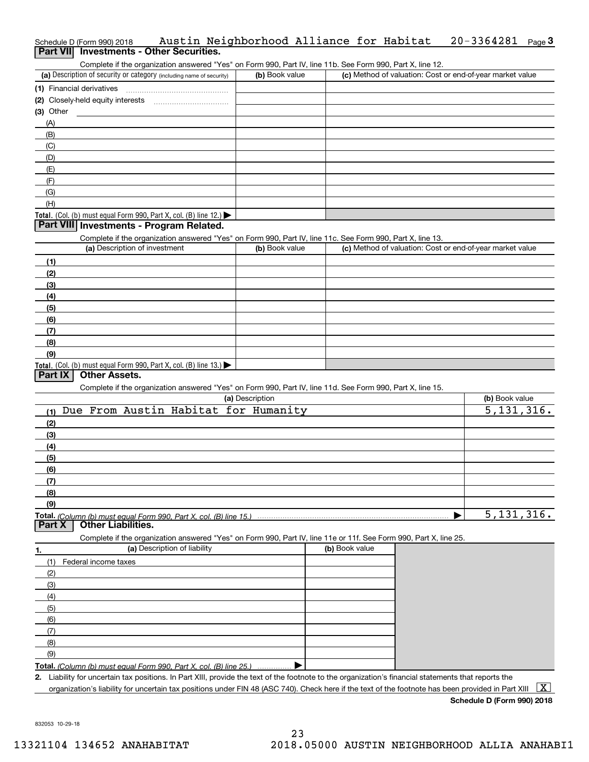# Schedule D (Form 990) 2018 Page **3Part VII Investments - Other Securities.** Austin Neighborhood Alliance for Habitat 20-3364281

Complete if the organization answered "Yes" on Form 990, Part IV, line 11b. See Form 990, Part X, line 12.

| (a) Description of security or category (including name of security)                   | (b) Book value | (c) Method of valuation: Cost or end-of-year market value |
|----------------------------------------------------------------------------------------|----------------|-----------------------------------------------------------|
| (1) Financial derivatives                                                              |                |                                                           |
| (2) Closely-held equity interests                                                      |                |                                                           |
| $(3)$ Other                                                                            |                |                                                           |
| (A)                                                                                    |                |                                                           |
| (B)                                                                                    |                |                                                           |
| (C)                                                                                    |                |                                                           |
| (D)                                                                                    |                |                                                           |
| (E)                                                                                    |                |                                                           |
| (F)                                                                                    |                |                                                           |
| (G)                                                                                    |                |                                                           |
| (H)                                                                                    |                |                                                           |
| Total. (Col. (b) must equal Form 990, Part X, col. (B) line 12.) $\blacktriangleright$ |                |                                                           |

#### **Part VIII Investments - Program Related.**

Complete if the organization answered "Yes" on Form 990, Part IV, line 11c. See Form 990, Part X, line 13.

| (a) Description of investment                                       | (b) Book value | (c) Method of valuation: Cost or end-of-year market value |
|---------------------------------------------------------------------|----------------|-----------------------------------------------------------|
| (1)                                                                 |                |                                                           |
| (2)                                                                 |                |                                                           |
| $\frac{1}{2}$                                                       |                |                                                           |
| (4)                                                                 |                |                                                           |
| (5)                                                                 |                |                                                           |
| (6)                                                                 |                |                                                           |
| (7)                                                                 |                |                                                           |
| (8)                                                                 |                |                                                           |
| (9)                                                                 |                |                                                           |
| Total. (Col. (b) must equal Form 990, Part X, col. (B) line $13.$ ) |                |                                                           |

#### **Part IX Other Assets.**

Complete if the organization answered "Yes" on Form 990, Part IV, line 11d. See Form 990, Part X, line 15.

| (a) Description                             | (b) Book value |
|---------------------------------------------|----------------|
| Due From Austin Habitat for Humanity<br>(1) | 5,131,316.     |
| (2)                                         |                |
| $\frac{1}{2}$                               |                |
| (4)                                         |                |
| $\frac{1}{2}$ (5)                           |                |
| $\frac{6}{6}$                               |                |
| (7)                                         |                |
| (8)                                         |                |
| (9)                                         |                |
|                                             | 5,131,316.     |

#### **Part X Other Liabilities.**

Complete if the organization answered "Yes" on Form 990, Part IV, line 11e or 11f. See Form 990, Part X, line 25.

|     | (a) Description of liability                                       | (b) Book value |
|-----|--------------------------------------------------------------------|----------------|
|     | Federal income taxes                                               |                |
| (2) |                                                                    |                |
| (3) |                                                                    |                |
| (4) |                                                                    |                |
| (5) |                                                                    |                |
| (6) |                                                                    |                |
|     |                                                                    |                |
| (8) |                                                                    |                |
| (9) |                                                                    |                |
|     | Total. (Column (b) must equal Form 990, Part X, col. (B) line 25.) |                |

**2.** Liability for uncertain tax positions. In Part XIII, provide the text of the footnote to the organization's financial statements that reports the

organization's liability for uncertain tax positions under FIN 48 (ASC 740). Check here if the text of the footnote has been provided in Part XIII  $~\boxed{\rm X}$ 

**Schedule D (Form 990) 2018**

832053 10-29-18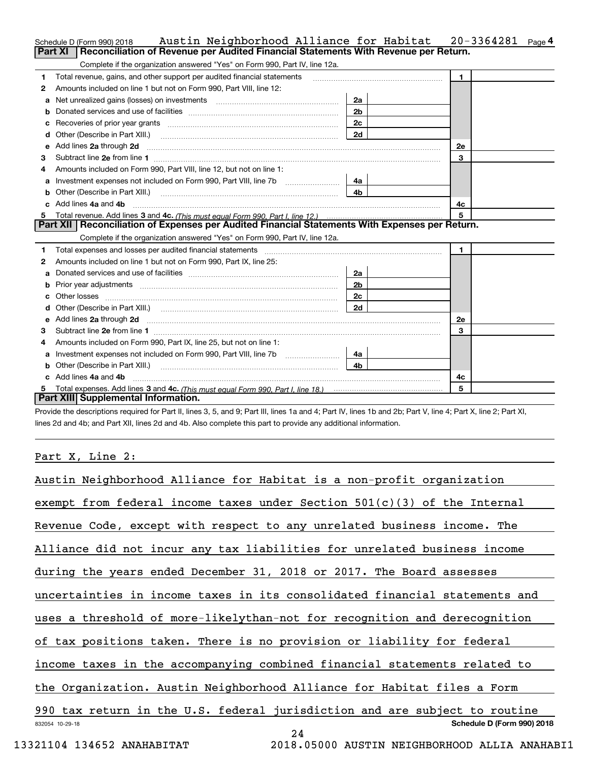|    | Austin Neighborhood Alliance for Habitat<br>Schedule D (Form 990) 2018                                                                                                                                                         |                | 20-3364281<br>Page <sup>4</sup> |  |
|----|--------------------------------------------------------------------------------------------------------------------------------------------------------------------------------------------------------------------------------|----------------|---------------------------------|--|
|    | Reconciliation of Revenue per Audited Financial Statements With Revenue per Return.<br>Part XI                                                                                                                                 |                |                                 |  |
|    | Complete if the organization answered "Yes" on Form 990, Part IV, line 12a.                                                                                                                                                    |                |                                 |  |
| 1  | Total revenue, gains, and other support per audited financial statements                                                                                                                                                       |                | $\blacksquare$                  |  |
| 2  | Amounts included on line 1 but not on Form 990, Part VIII, line 12:                                                                                                                                                            |                |                                 |  |
| a  | Net unrealized gains (losses) on investments [11] matter contracts and the unrealized gains (losses) on investments                                                                                                            | 2a             |                                 |  |
|    |                                                                                                                                                                                                                                | 2 <sub>b</sub> |                                 |  |
|    |                                                                                                                                                                                                                                | 2c             |                                 |  |
| d  | Other (Describe in Part XIII.) <b>Construction Construction</b> Chern Construction Chern Chern Chern Chern Chern Chern                                                                                                         | 2d             |                                 |  |
| е  | Add lines 2a through 2d <b>must be a constructed as the constant of the constant of the constant of the construction</b>                                                                                                       |                | <b>2e</b>                       |  |
| з  |                                                                                                                                                                                                                                |                | 3                               |  |
| 4  | Amounts included on Form 990, Part VIII, line 12, but not on line 1:                                                                                                                                                           |                |                                 |  |
|    |                                                                                                                                                                                                                                | 4a l           |                                 |  |
| b  |                                                                                                                                                                                                                                | 4 <sub>b</sub> |                                 |  |
|    | c Add lines 4a and 4b                                                                                                                                                                                                          |                | 4c                              |  |
|    |                                                                                                                                                                                                                                |                | 5                               |  |
|    | Part XII   Reconciliation of Expenses per Audited Financial Statements With Expenses per Return.                                                                                                                               |                |                                 |  |
|    | Complete if the organization answered "Yes" on Form 990, Part IV, line 12a.                                                                                                                                                    |                |                                 |  |
| 1  | Total expenses and losses per audited financial statements [11] [12] manuscription and statements [13] Total expenses and losses per audited financial statements [13] manuscription and the statements [13] manuscription and |                | $\mathbf{1}$                    |  |
| 2  | Amounts included on line 1 but not on Form 990, Part IX, line 25:                                                                                                                                                              |                |                                 |  |
| a  |                                                                                                                                                                                                                                | 2a             |                                 |  |
| b  |                                                                                                                                                                                                                                |                |                                 |  |
|    |                                                                                                                                                                                                                                | 2 <sub>b</sub> |                                 |  |
| c. |                                                                                                                                                                                                                                | 2c             |                                 |  |
|    |                                                                                                                                                                                                                                | 2d             |                                 |  |
|    |                                                                                                                                                                                                                                |                | <b>2e</b>                       |  |
| з  |                                                                                                                                                                                                                                |                | 3                               |  |
| 4  | Amounts included on Form 990, Part IX, line 25, but not on line 1:                                                                                                                                                             |                |                                 |  |
|    |                                                                                                                                                                                                                                | -4a l          |                                 |  |
| b  |                                                                                                                                                                                                                                | 4b             |                                 |  |
|    | c Add lines 4a and 4b                                                                                                                                                                                                          |                | 4c                              |  |
|    | Part XIII Supplemental Information.                                                                                                                                                                                            |                | 5                               |  |

Provide the descriptions required for Part II, lines 3, 5, and 9; Part III, lines 1a and 4; Part IV, lines 1b and 2b; Part V, line 4; Part X, line 2; Part XI, lines 2d and 4b; and Part XII, lines 2d and 4b. Also complete this part to provide any additional information.

## Part X, Line 2:

| Austin Neighborhood Alliance for Habitat is a non-profit organization                                                             |
|-----------------------------------------------------------------------------------------------------------------------------------|
| exempt from federal income taxes under Section $501(c)(3)$ of the Internal                                                        |
| Revenue Code, except with respect to any unrelated business income. The                                                           |
| Alliance did not incur any tax liabilities for unrelated business income                                                          |
| during the years ended December 31, 2018 or 2017. The Board assesses                                                              |
| uncertainties in income taxes in its consolidated financial statements and                                                        |
| uses a threshold of more-likelythan-not for recognition and derecognition                                                         |
| of tax positions taken. There is no provision or liability for federal                                                            |
| income taxes in the accompanying combined financial statements related to                                                         |
| the Organization. Austin Neighborhood Alliance for Habitat files a Form                                                           |
| 990 tax return in the U.S. federal jurisdiction and are subject to routine                                                        |
| Schedule D (Form 990) 2018<br>832054 10-29-18<br>24                                                                               |
| . . <i>.</i><br>$\bullet \bullet \bullet \bullet \bullet \bullet \bullet \bullet \bullet \bullet \bullet \bullet \bullet \bullet$ |

13321104 134652 ANAHABITAT 2018.05000 AUSTIN NEIGHBORHOOD ALLIA ANAHABI1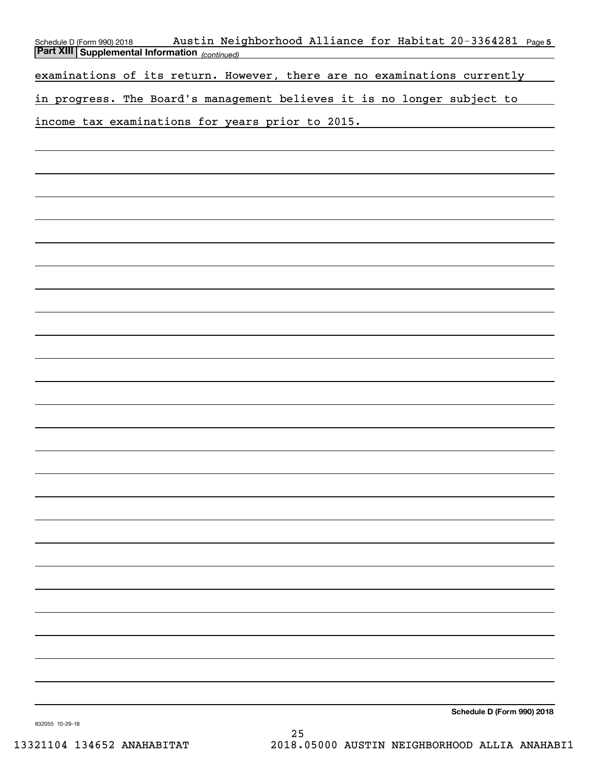| Austin Neighborhood Alliance for Habitat 20-3364281 Page 5<br>Schedule D (Form 990) 2018<br><b>Part XIII Supplemental Information</b> (continued) |
|---------------------------------------------------------------------------------------------------------------------------------------------------|
| examinations of its return. However, there are no examinations currently                                                                          |
|                                                                                                                                                   |
| in progress. The Board's management believes it is no longer subject to                                                                           |
| income tax examinations for years prior to 2015.                                                                                                  |
|                                                                                                                                                   |
|                                                                                                                                                   |
|                                                                                                                                                   |
|                                                                                                                                                   |
|                                                                                                                                                   |
|                                                                                                                                                   |
|                                                                                                                                                   |
|                                                                                                                                                   |
|                                                                                                                                                   |
|                                                                                                                                                   |
|                                                                                                                                                   |
|                                                                                                                                                   |
|                                                                                                                                                   |
|                                                                                                                                                   |
|                                                                                                                                                   |
|                                                                                                                                                   |
|                                                                                                                                                   |
|                                                                                                                                                   |
|                                                                                                                                                   |
|                                                                                                                                                   |
|                                                                                                                                                   |
|                                                                                                                                                   |
|                                                                                                                                                   |
|                                                                                                                                                   |
|                                                                                                                                                   |
|                                                                                                                                                   |
|                                                                                                                                                   |
| Schedule D (Form 990) 2018                                                                                                                        |
|                                                                                                                                                   |

832055 10-29-18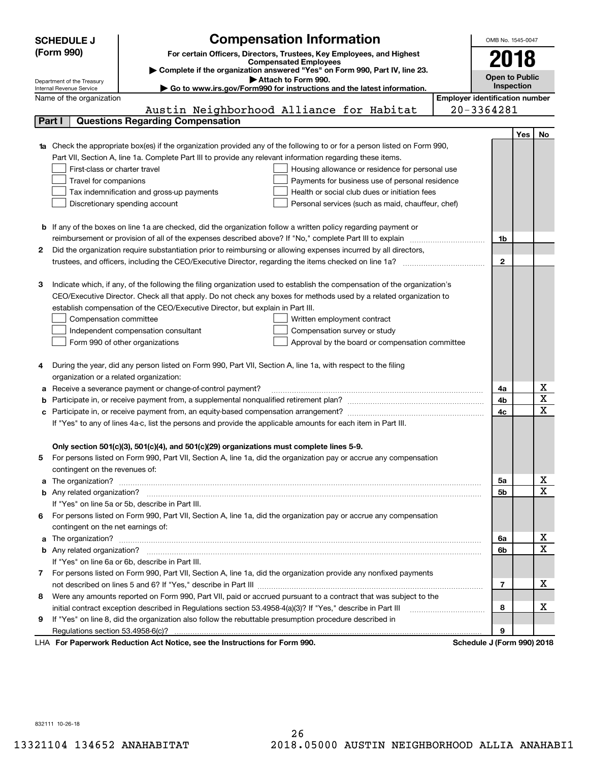|        | <b>SCHEDULE J</b>                                      | <b>Compensation Information</b>                                                                                                                                                                                                      |                                       | OMB No. 1545-0047          |     |                         |
|--------|--------------------------------------------------------|--------------------------------------------------------------------------------------------------------------------------------------------------------------------------------------------------------------------------------------|---------------------------------------|----------------------------|-----|-------------------------|
|        | (Form 990)                                             |                                                                                                                                                                                                                                      |                                       |                            |     |                         |
|        |                                                        | For certain Officers, Directors, Trustees, Key Employees, and Highest<br><b>Compensated Employees</b>                                                                                                                                |                                       | 2018                       |     |                         |
|        |                                                        | Complete if the organization answered "Yes" on Form 990, Part IV, line 23.                                                                                                                                                           |                                       | Open to Public             |     |                         |
|        | Department of the Treasury<br>Internal Revenue Service | Attach to Form 990.<br>Go to www.irs.gov/Form990 for instructions and the latest information.                                                                                                                                        |                                       | Inspection                 |     |                         |
|        | Name of the organization                               |                                                                                                                                                                                                                                      | <b>Employer identification number</b> |                            |     |                         |
|        |                                                        | Austin Neighborhood Alliance for Habitat                                                                                                                                                                                             |                                       | 20-3364281                 |     |                         |
| Part I |                                                        | <b>Questions Regarding Compensation</b>                                                                                                                                                                                              |                                       |                            |     |                         |
|        |                                                        |                                                                                                                                                                                                                                      |                                       |                            | Yes | No.                     |
|        |                                                        | <b>1a</b> Check the appropriate box(es) if the organization provided any of the following to or for a person listed on Form 990,                                                                                                     |                                       |                            |     |                         |
|        |                                                        | Part VII, Section A, line 1a. Complete Part III to provide any relevant information regarding these items.                                                                                                                           |                                       |                            |     |                         |
|        | First-class or charter travel                          | Housing allowance or residence for personal use                                                                                                                                                                                      |                                       |                            |     |                         |
|        | Travel for companions                                  | Payments for business use of personal residence                                                                                                                                                                                      |                                       |                            |     |                         |
|        |                                                        | Health or social club dues or initiation fees<br>Tax indemnification and gross-up payments                                                                                                                                           |                                       |                            |     |                         |
|        |                                                        | Discretionary spending account<br>Personal services (such as maid, chauffeur, chef)                                                                                                                                                  |                                       |                            |     |                         |
|        |                                                        |                                                                                                                                                                                                                                      |                                       |                            |     |                         |
|        |                                                        | <b>b</b> If any of the boxes on line 1a are checked, did the organization follow a written policy regarding payment or                                                                                                               |                                       |                            |     |                         |
|        |                                                        | reimbursement or provision of all of the expenses described above? If "No," complete Part III to explain                                                                                                                             |                                       | 1b                         |     |                         |
| 2      |                                                        | Did the organization require substantiation prior to reimbursing or allowing expenses incurred by all directors,                                                                                                                     |                                       |                            |     |                         |
|        |                                                        |                                                                                                                                                                                                                                      |                                       | $\mathbf{2}$               |     |                         |
|        |                                                        |                                                                                                                                                                                                                                      |                                       |                            |     |                         |
| З      |                                                        | Indicate which, if any, of the following the filing organization used to establish the compensation of the organization's                                                                                                            |                                       |                            |     |                         |
|        |                                                        | CEO/Executive Director. Check all that apply. Do not check any boxes for methods used by a related organization to                                                                                                                   |                                       |                            |     |                         |
|        |                                                        | establish compensation of the CEO/Executive Director, but explain in Part III.                                                                                                                                                       |                                       |                            |     |                         |
|        | Compensation committee                                 | Written employment contract                                                                                                                                                                                                          |                                       |                            |     |                         |
|        |                                                        | Independent compensation consultant<br>Compensation survey or study                                                                                                                                                                  |                                       |                            |     |                         |
|        |                                                        | Form 990 of other organizations<br>Approval by the board or compensation committee                                                                                                                                                   |                                       |                            |     |                         |
|        |                                                        |                                                                                                                                                                                                                                      |                                       |                            |     |                         |
|        |                                                        | During the year, did any person listed on Form 990, Part VII, Section A, line 1a, with respect to the filing                                                                                                                         |                                       |                            |     |                         |
|        | organization or a related organization:                |                                                                                                                                                                                                                                      |                                       |                            |     |                         |
|        |                                                        | Receive a severance payment or change-of-control payment?                                                                                                                                                                            |                                       | 4a                         |     | X                       |
|        |                                                        |                                                                                                                                                                                                                                      |                                       | 4b                         |     | $\overline{\textbf{x}}$ |
|        |                                                        |                                                                                                                                                                                                                                      |                                       | 4c                         |     | $\overline{\mathbf{x}}$ |
|        |                                                        | If "Yes" to any of lines 4a-c, list the persons and provide the applicable amounts for each item in Part III.                                                                                                                        |                                       |                            |     |                         |
|        |                                                        |                                                                                                                                                                                                                                      |                                       |                            |     |                         |
|        |                                                        | Only section 501(c)(3), 501(c)(4), and 501(c)(29) organizations must complete lines 5-9.                                                                                                                                             |                                       |                            |     |                         |
| 5      |                                                        | For persons listed on Form 990, Part VII, Section A, line 1a, did the organization pay or accrue any compensation                                                                                                                    |                                       |                            |     |                         |
|        | contingent on the revenues of:                         |                                                                                                                                                                                                                                      |                                       |                            |     |                         |
|        |                                                        | a The organization? <b>Entitled Strategies and Strategies and Strategies and Strategies and Strategies and Strategies and Strategies and Strategies and Strategies and Strategies and Strategies and Strategies and Strategies a</b> |                                       | 5а                         |     | x                       |
|        |                                                        |                                                                                                                                                                                                                                      |                                       | 5b                         |     | $\overline{\mathbf{x}}$ |
|        |                                                        | If "Yes" on line 5a or 5b, describe in Part III.                                                                                                                                                                                     |                                       |                            |     |                         |
|        |                                                        | 6 For persons listed on Form 990, Part VII, Section A, line 1a, did the organization pay or accrue any compensation                                                                                                                  |                                       |                            |     |                         |
|        | contingent on the net earnings of:                     |                                                                                                                                                                                                                                      |                                       |                            |     |                         |
|        |                                                        |                                                                                                                                                                                                                                      |                                       | 6a                         |     | х                       |
|        |                                                        |                                                                                                                                                                                                                                      |                                       | 6b                         |     | $\mathbf X$             |
|        |                                                        | If "Yes" on line 6a or 6b, describe in Part III.                                                                                                                                                                                     |                                       |                            |     |                         |
|        |                                                        | 7 For persons listed on Form 990, Part VII, Section A, line 1a, did the organization provide any nonfixed payments                                                                                                                   |                                       |                            |     |                         |
|        |                                                        |                                                                                                                                                                                                                                      |                                       | 7                          |     | х                       |
| 8      |                                                        | Were any amounts reported on Form 990, Part VII, paid or accrued pursuant to a contract that was subject to the                                                                                                                      |                                       |                            |     |                         |
|        |                                                        |                                                                                                                                                                                                                                      |                                       | 8                          |     | х                       |
| 9      |                                                        | If "Yes" on line 8, did the organization also follow the rebuttable presumption procedure described in                                                                                                                               |                                       |                            |     |                         |
|        |                                                        |                                                                                                                                                                                                                                      |                                       | 9                          |     |                         |
|        |                                                        | LHA For Paperwork Reduction Act Notice, see the Instructions for Form 990.                                                                                                                                                           |                                       | Schedule J (Form 990) 2018 |     |                         |

832111 10-26-18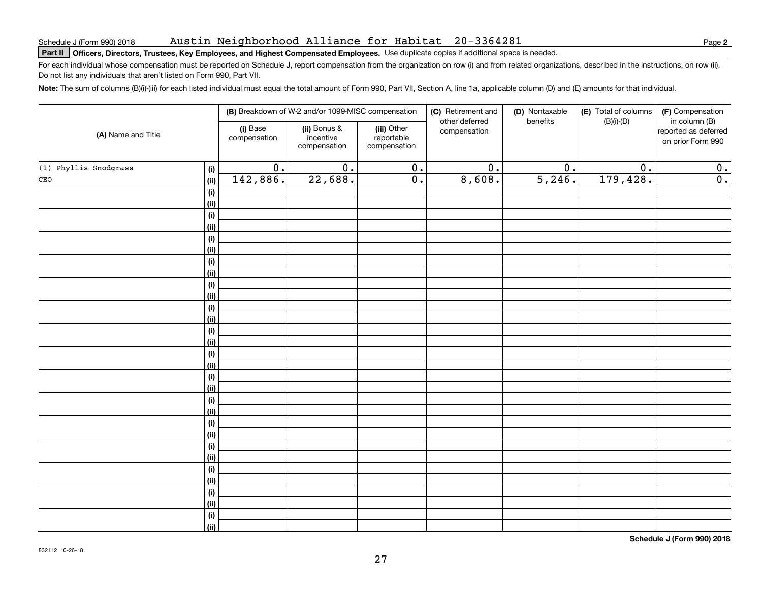#### Austin Neighborhood Alliance for Habitat 20-3364281

# Schedule J (Form 990) 2018 AUS t.1n Nelghbornood Alllance tor Habltat 20-3364281<br>Part II | Officers, Directors, Trustees, Key Employees, and Highest Compensated Employees. Use duplicate copies

For each individual whose compensation must be reported on Schedule J, report compensation from the organization on row (i) and from related organizations, described in the instructions, on row (ii). Do not list any individuals that aren't listed on Form 990, Part VII.

**Note:**  The sum of columns (B)(i)-(iii) for each listed individual must equal the total amount of Form 990, Part VII, Section A, line 1a, applicable column (D) and (E) amounts for that individual.

| (A) Name and Title    |                              |                          | (B) Breakdown of W-2 and/or 1099-MISC compensation |                                           | (C) Retirement and<br>other deferred | (D) Nontaxable<br>benefits | (E) Total of columns | (F) Compensation<br>in column (B)         |
|-----------------------|------------------------------|--------------------------|----------------------------------------------------|-------------------------------------------|--------------------------------------|----------------------------|----------------------|-------------------------------------------|
|                       |                              | (i) Base<br>compensation | (ii) Bonus &<br>incentive<br>compensation          | (iii) Other<br>reportable<br>compensation | compensation                         |                            | $(B)(i)-(D)$         | reported as deferred<br>on prior Form 990 |
| (1) Phyllis Snodgrass | (i)                          | $\overline{0}$ .         | $\overline{0}$ .                                   | $\overline{0}$ .                          | $\overline{0}$ .                     | $\overline{0}$ .           | $\overline{0}$ .     | $\overline{0}$ .                          |
| $\mathtt{CEO}$        | (ii)                         | 142,886.                 | 22,688.                                            | $\overline{0}$ .                          | 8,608.                               | 5,246.                     | 179,428.             | $\overline{\mathbf{0}}$ .                 |
|                       | (i)                          |                          |                                                    |                                           |                                      |                            |                      |                                           |
|                       | (ii)                         |                          |                                                    |                                           |                                      |                            |                      |                                           |
|                       | $(\sf{i})$                   |                          |                                                    |                                           |                                      |                            |                      |                                           |
|                       | (ii)                         |                          |                                                    |                                           |                                      |                            |                      |                                           |
|                       | $(\sf{i})$                   |                          |                                                    |                                           |                                      |                            |                      |                                           |
|                       | (ii)                         |                          |                                                    |                                           |                                      |                            |                      |                                           |
|                       | $(\sf{i})$                   |                          |                                                    |                                           |                                      |                            |                      |                                           |
|                       | (ii)                         |                          |                                                    |                                           |                                      |                            |                      |                                           |
|                       | $(\sf{i})$                   |                          |                                                    |                                           |                                      |                            |                      |                                           |
|                       | (ii)                         |                          |                                                    |                                           |                                      |                            |                      |                                           |
|                       | $(\sf{i})$                   |                          |                                                    |                                           |                                      |                            |                      |                                           |
|                       | (ii)                         |                          |                                                    |                                           |                                      |                            |                      |                                           |
|                       | (i)                          |                          |                                                    |                                           |                                      |                            |                      |                                           |
|                       | (ii)                         |                          |                                                    |                                           |                                      |                            |                      |                                           |
|                       | (i)                          |                          |                                                    |                                           |                                      |                            |                      |                                           |
|                       | (ii)<br>$(\sf{i})$           |                          |                                                    |                                           |                                      |                            |                      |                                           |
|                       | (ii)                         |                          |                                                    |                                           |                                      |                            |                      |                                           |
|                       | (i)                          |                          |                                                    |                                           |                                      |                            |                      |                                           |
|                       | (ii)                         |                          |                                                    |                                           |                                      |                            |                      |                                           |
|                       | $(\sf{i})$                   |                          |                                                    |                                           |                                      |                            |                      |                                           |
|                       | (ii)                         |                          |                                                    |                                           |                                      |                            |                      |                                           |
|                       | $(\sf{i})$                   |                          |                                                    |                                           |                                      |                            |                      |                                           |
|                       | (ii)                         |                          |                                                    |                                           |                                      |                            |                      |                                           |
|                       | $(\sf{i})$                   |                          |                                                    |                                           |                                      |                            |                      |                                           |
|                       | (ii)                         |                          |                                                    |                                           |                                      |                            |                      |                                           |
|                       | $(\sf{i})$                   |                          |                                                    |                                           |                                      |                            |                      |                                           |
|                       | (ii)                         |                          |                                                    |                                           |                                      |                            |                      |                                           |
|                       | $\qquad \qquad \textbf{(i)}$ |                          |                                                    |                                           |                                      |                            |                      |                                           |
|                       | (ii)                         |                          |                                                    |                                           |                                      |                            |                      |                                           |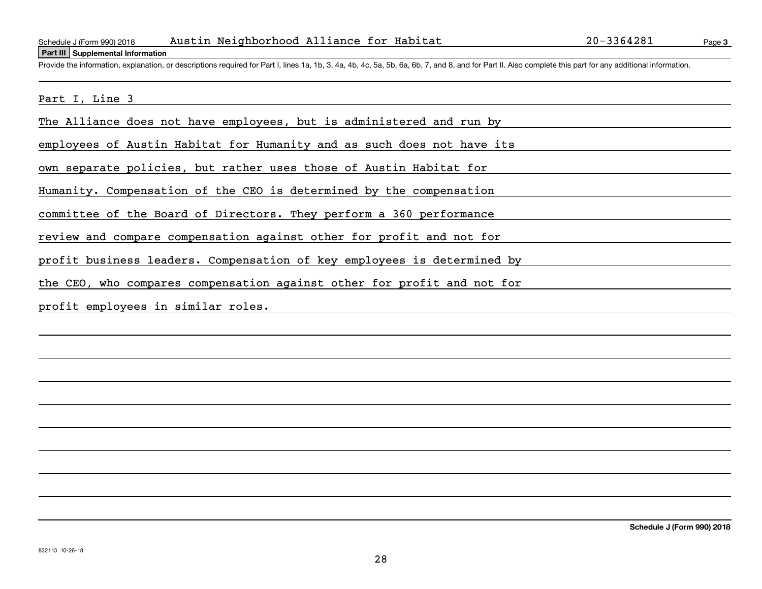#### **Part III Supplemental Information**

Page 3

Schedule J (Form 990) 2018 Austin Neighborhood Alliance for Habitat 20-3364281<br>Part III Supplemental Information<br>Provide the information, explanation, or descriptions required for Part I, lines 1a, 1b, 3, 4a, 4b, 4c, 5a, 5

Part I, Line 3

The Alliance does not have employees, but is administered and run by

employees of Austin Habitat for Humanity and as such does not have its

own separate policies, but rather uses those of Austin Habitat for

Humanity. Compensation of the CEO is determined by the compensation

committee of the Board of Directors. They perform a 360 performance

review and compare compensation against other for profit and not for

profit business leaders. Compensation of key employees is determined by

the CEO, who compares compensation against other for profit and not for

profit employees in similar roles.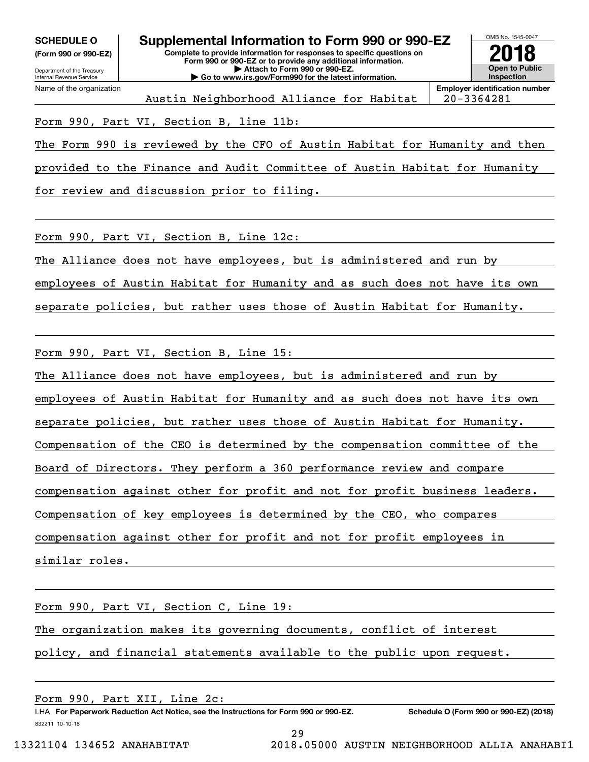**(Form 990 or 990-EZ)**



Austin Neighborhood Alliance for Habitat | 20-3364281

**Employer identification number**

### Form 990, Part VI, Section B, line 11b:

The Form 990 is reviewed by the CFO of Austin Habitat for Humanity and then

provided to the Finance and Audit Committee of Austin Habitat for Humanity

for review and discussion prior to filing.

Form 990, Part VI, Section B, Line 12c:

The Alliance does not have employees, but is administered and run by

employees of Austin Habitat for Humanity and as such does not have its own

separate policies, but rather uses those of Austin Habitat for Humanity.

Form 990, Part VI, Section B, Line 15:

The Alliance does not have employees, but is administered and run by employees of Austin Habitat for Humanity and as such does not have its own separate policies, but rather uses those of Austin Habitat for Humanity. Compensation of the CEO is determined by the compensation committee of the Board of Directors. They perform a 360 performance review and compare compensation against other for profit and not for profit business leaders. Compensation of key employees is determined by the CEO, who compares compensation against other for profit and not for profit employees in similar roles.

Form 990, Part VI, Section C, Line 19: The organization makes its governing documents, conflict of interest policy, and financial statements available to the public upon request.

832211 10-10-18 LHA For Paperwork Reduction Act Notice, see the Instructions for Form 990 or 990-EZ. Schedule O (Form 990 or 990-EZ) (2018) Form 990, Part XII, Line 2c: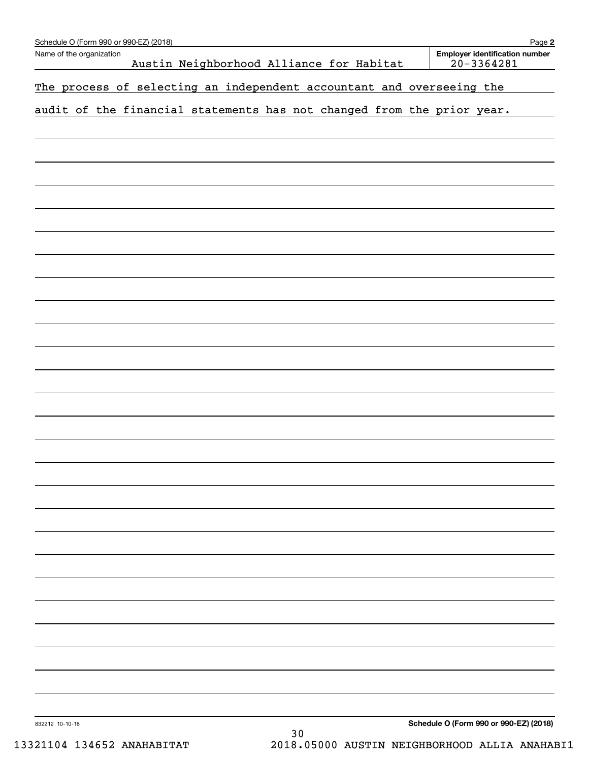| Schedule O (Form 990 or 990-EZ) (2018)                                 | Page 2                                                  |
|------------------------------------------------------------------------|---------------------------------------------------------|
| Name of the organization<br>Austin Neighborhood Alliance for Habitat   | <b>Employer identification number</b><br>$20 - 3364281$ |
|                                                                        |                                                         |
| The process of selecting an independent accountant and overseeing the  |                                                         |
| audit of the financial statements has not changed from the prior year. |                                                         |
|                                                                        |                                                         |
|                                                                        |                                                         |
|                                                                        |                                                         |
|                                                                        |                                                         |
|                                                                        |                                                         |
|                                                                        |                                                         |
|                                                                        |                                                         |
|                                                                        |                                                         |
|                                                                        |                                                         |
|                                                                        |                                                         |
|                                                                        |                                                         |
|                                                                        |                                                         |
|                                                                        |                                                         |
|                                                                        |                                                         |
|                                                                        |                                                         |
|                                                                        |                                                         |
|                                                                        |                                                         |
|                                                                        |                                                         |
|                                                                        |                                                         |
|                                                                        |                                                         |
|                                                                        |                                                         |
|                                                                        |                                                         |
|                                                                        |                                                         |
|                                                                        |                                                         |
|                                                                        |                                                         |
|                                                                        |                                                         |
|                                                                        |                                                         |
|                                                                        |                                                         |
|                                                                        |                                                         |
|                                                                        |                                                         |
|                                                                        |                                                         |
|                                                                        |                                                         |
|                                                                        |                                                         |
|                                                                        |                                                         |
| 832212 10-10-18<br>30                                                  | Schedule O (Form 990 or 990-EZ) (2018)                  |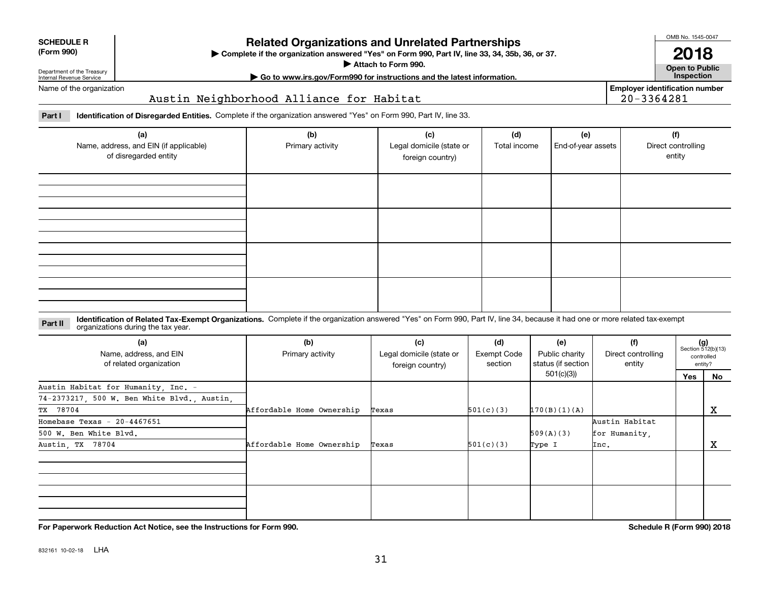| For Paperwork Reduction Act Notice, see the Instructions for Form 990. | Schedule R (Form 990) 2018 |
|------------------------------------------------------------------------|----------------------------|
|------------------------------------------------------------------------|----------------------------|

832161 10-02-18 LHA

Department of the Treasury Internal Revenue Service

Name of the organization

**SCHEDULE R (Form 990)**

# **Related Organizations and Unrelated Partnerships**

**Complete if the organization answered "Yes" on Form 990, Part IV, line 33, 34, 35b, 36, or 37.** |

**Attach to Form 990.**  |

# **Employer identification number**

**Part I Identification of Disregarded Entities.**  Complete if the organization answered "Yes" on Form 990, Part IV, line 33.

Austin Neighborhood Alliance for Habitat

| (a)<br>Name, address, and EIN (if applicable)<br>of disregarded entity | (b)<br>Primary activity | (c)<br>Legal domicile (state or<br>foreign country) | (d)<br>Total income | (e)<br>End-of-year assets | (f)<br>Direct controlling<br>entity |
|------------------------------------------------------------------------|-------------------------|-----------------------------------------------------|---------------------|---------------------------|-------------------------------------|
|                                                                        |                         |                                                     |                     |                           |                                     |
|                                                                        |                         |                                                     |                     |                           |                                     |
|                                                                        |                         |                                                     |                     |                           |                                     |
|                                                                        |                         |                                                     |                     |                           |                                     |

#### **Identification of Related Tax-Exempt Organizations.** Complete if the organization answered "Yes" on Form 990, Part IV, line 34, because it had one or more related tax-exempt **Part II** organizations during the tax year.

| (a)<br>Name, address, and EIN<br>of related organization | (b)<br>Primary activity   | (c)<br>Legal domicile (state or<br>foreign country) | (d)<br>Exempt Code<br>section | (e)<br>Public charity<br>status (if section | (f)<br>Direct controlling<br>entity |     | $(g)$<br>Section 512(b)(13)<br>controlled<br>entity? |  |
|----------------------------------------------------------|---------------------------|-----------------------------------------------------|-------------------------------|---------------------------------------------|-------------------------------------|-----|------------------------------------------------------|--|
|                                                          |                           |                                                     |                               | 501(c)(3))                                  |                                     | Yes | No                                                   |  |
| Austin Habitat for Humanity, Inc. -                      |                           |                                                     |                               |                                             |                                     |     |                                                      |  |
| 74-2373217, 500 W. Ben White Blvd., Austin,              |                           |                                                     |                               |                                             |                                     |     |                                                      |  |
| TX 78704                                                 | Affordable Home Ownership | Texas                                               | 501(c)(3)                     | 170(B)(1)(A)                                |                                     |     | x                                                    |  |
| Homebase Texas - $20-4467651$                            |                           |                                                     |                               |                                             | Austin Habitat                      |     |                                                      |  |
| 500 W. Ben White Blvd.                                   |                           |                                                     |                               | 509(A)(3)                                   | for Humanity,                       |     |                                                      |  |
| Austin, TX 78704                                         | Affordable Home Ownership | Texas                                               | 501(c)(3)                     | Type I                                      | Inc.                                |     | х                                                    |  |
|                                                          |                           |                                                     |                               |                                             |                                     |     |                                                      |  |
|                                                          |                           |                                                     |                               |                                             |                                     |     |                                                      |  |
|                                                          |                           |                                                     |                               |                                             |                                     |     |                                                      |  |
|                                                          |                           |                                                     |                               |                                             |                                     |     |                                                      |  |

**| Go to www.irs.gov/Form990 for instructions and the latest information. Inspection**

20-3364281

OMB No. 1545-0047 **2018**

**Open to Public**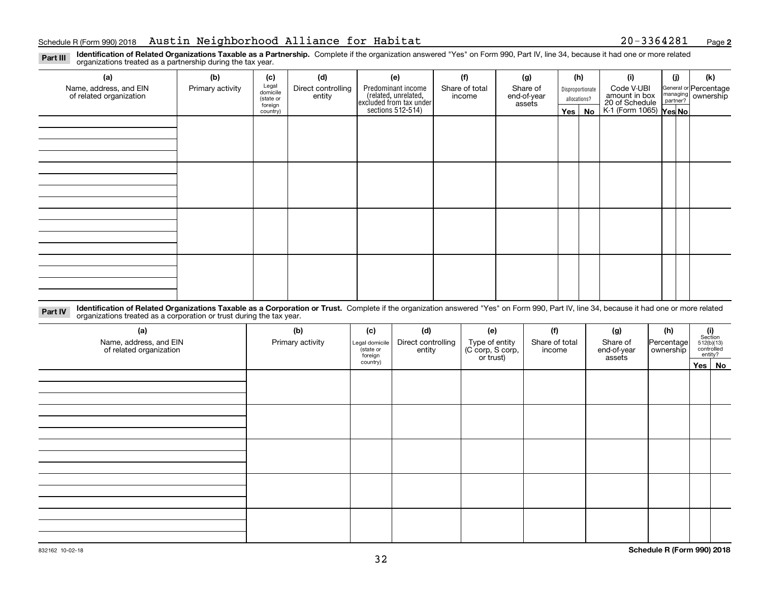**2**

**Identification of Related Organizations Taxable as a Partnership.** Complete if the organization answered "Yes" on Form 990, Part IV, line 34, because it had one or more related **Part III** organizations treated as a partnership during the tax year.

| (a)<br>Name, address, and EIN<br>of related organization | (b)<br>Primary activity | (c)<br>Legal<br>domicile<br>(state or<br>foreign<br>country) | (d)<br>Direct controlling<br>entity | (e)<br>Predominant income<br>(related, unrelated,<br>excluded from tax under<br>sections 512-514) | (f)<br>Share of total<br>income | (g)<br>Share of<br>end-of-year<br>assets | (h)<br>$Yes \mid$ | Disproportionate<br>allocations?<br>No | (i)<br>Code V-UBI<br>amount in box<br>20 of Schedule<br>K-1 (Form 1065) Yes No | (i) | (k)<br>General or Percentage<br>managing<br>partner?<br>partner? |
|----------------------------------------------------------|-------------------------|--------------------------------------------------------------|-------------------------------------|---------------------------------------------------------------------------------------------------|---------------------------------|------------------------------------------|-------------------|----------------------------------------|--------------------------------------------------------------------------------|-----|------------------------------------------------------------------|
|                                                          |                         |                                                              |                                     |                                                                                                   |                                 |                                          |                   |                                        |                                                                                |     |                                                                  |
|                                                          |                         |                                                              |                                     |                                                                                                   |                                 |                                          |                   |                                        |                                                                                |     |                                                                  |
|                                                          |                         |                                                              |                                     |                                                                                                   |                                 |                                          |                   |                                        |                                                                                |     |                                                                  |
|                                                          |                         |                                                              |                                     |                                                                                                   |                                 |                                          |                   |                                        |                                                                                |     |                                                                  |

**Identification of Related Organizations Taxable as a Corporation or Trust.** Complete if the organization answered "Yes" on Form 990, Part IV, line 34, because it had one or more related **Part IV** organizations treated as a corporation or trust during the tax year.

| (a)<br>Name, address, and EIN<br>of related organization | (b)<br>Primary activity | (c)<br>Legal domicile<br>state or<br>foreign |  | (e)<br>Type of entity<br>(C corp, S corp,<br>or trust) | (f)<br>Share of total<br>income | (g)<br>Share of<br>end-of-year<br>assets | (h)<br>Percentage<br>ownership | (i)<br>Section<br>$512(b)(13)$<br>controlled<br>entity? |        |
|----------------------------------------------------------|-------------------------|----------------------------------------------|--|--------------------------------------------------------|---------------------------------|------------------------------------------|--------------------------------|---------------------------------------------------------|--------|
|                                                          |                         | country)                                     |  |                                                        |                                 |                                          |                                |                                                         | Yes No |
|                                                          |                         |                                              |  |                                                        |                                 |                                          |                                |                                                         |        |
|                                                          |                         |                                              |  |                                                        |                                 |                                          |                                |                                                         |        |
|                                                          |                         |                                              |  |                                                        |                                 |                                          |                                |                                                         |        |
|                                                          |                         |                                              |  |                                                        |                                 |                                          |                                |                                                         |        |
|                                                          |                         |                                              |  |                                                        |                                 |                                          |                                |                                                         |        |
|                                                          |                         |                                              |  |                                                        |                                 |                                          |                                |                                                         |        |
|                                                          |                         |                                              |  |                                                        |                                 |                                          |                                |                                                         |        |
|                                                          |                         |                                              |  |                                                        |                                 |                                          |                                |                                                         |        |
|                                                          |                         |                                              |  |                                                        |                                 |                                          |                                |                                                         |        |
|                                                          |                         |                                              |  |                                                        |                                 |                                          |                                |                                                         |        |
|                                                          |                         |                                              |  |                                                        |                                 |                                          |                                |                                                         |        |
|                                                          |                         |                                              |  |                                                        |                                 |                                          |                                |                                                         |        |
|                                                          |                         |                                              |  |                                                        |                                 |                                          |                                |                                                         |        |
|                                                          |                         |                                              |  |                                                        |                                 |                                          |                                |                                                         |        |
|                                                          |                         |                                              |  |                                                        |                                 |                                          |                                |                                                         |        |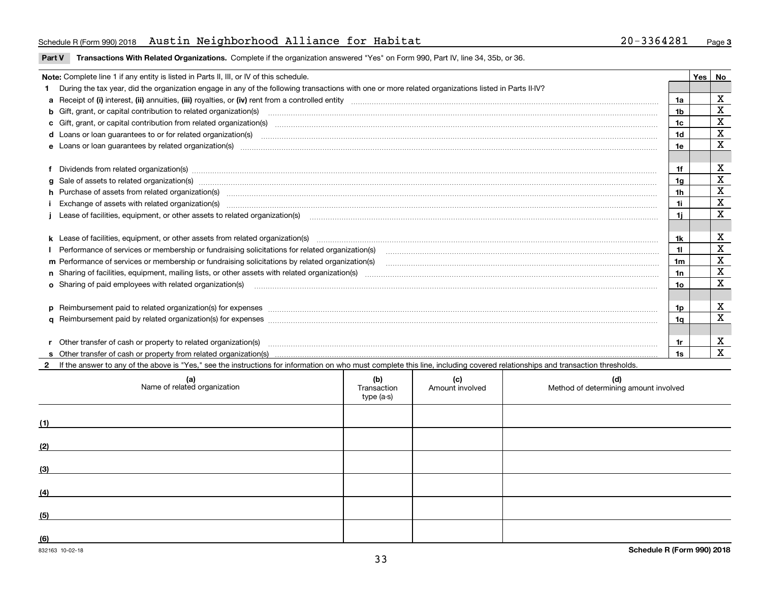#### Schedule R(Form 990)2018 Austin Neighborhood Alliance for Habitat 20-3364281 <sub>Page</sub>

**Part V** T**ransactions With Related Organizations.** Complete if the organization answered "Yes" on Form 990, Part IV, line 34, 35b, or 36.

| Note: Complete line 1 if any entity is listed in Parts II, III, or IV of this schedule. |                                                                                                                                                                                                                                                                                                      |                |  |             |  |  |
|-----------------------------------------------------------------------------------------|------------------------------------------------------------------------------------------------------------------------------------------------------------------------------------------------------------------------------------------------------------------------------------------------------|----------------|--|-------------|--|--|
|                                                                                         | 1 During the tax year, did the organization engage in any of the following transactions with one or more related organizations listed in Parts II-IV?                                                                                                                                                |                |  |             |  |  |
|                                                                                         |                                                                                                                                                                                                                                                                                                      | 1a             |  | X           |  |  |
|                                                                                         | b Gift, grant, or capital contribution to related organization(s) manufactured and contribution to related organization(s)                                                                                                                                                                           | 1b             |  | х           |  |  |
|                                                                                         | c Gift, grant, or capital contribution from related organization(s)                                                                                                                                                                                                                                  | 1c             |  | X           |  |  |
|                                                                                         |                                                                                                                                                                                                                                                                                                      | 1d             |  | $\mathbf X$ |  |  |
|                                                                                         |                                                                                                                                                                                                                                                                                                      | 1e             |  | X           |  |  |
|                                                                                         |                                                                                                                                                                                                                                                                                                      |                |  |             |  |  |
|                                                                                         | f Dividends from related organization(s) material contracts and contracts are contracted as a contract of the contract of the contract of the contract or contract or contract or contract or contract or contract or contract                                                                       | 1f             |  | х           |  |  |
|                                                                                         |                                                                                                                                                                                                                                                                                                      | 1 <sub>q</sub> |  | $\mathbf x$ |  |  |
|                                                                                         | h Purchase of assets from related organization(s) manufactured and content and content and content and content and content and content and content and content and content and content and content and content and content and                                                                       | 1 <sub>h</sub> |  | $\mathbf X$ |  |  |
|                                                                                         | Exchange of assets with related organization(s) material content and content to the content of the content of the content of the content of the content of the content of the content of the content of the content of the con                                                                       | 1i.            |  | $\mathbf X$ |  |  |
|                                                                                         | Lease of facilities, equipment, or other assets to related organization(s) contained and contained and contained and contained and contained and capacitation of the set of facilities, equipment, or other assets to related                                                                        | 11             |  | $\mathbf x$ |  |  |
|                                                                                         |                                                                                                                                                                                                                                                                                                      |                |  |             |  |  |
|                                                                                         |                                                                                                                                                                                                                                                                                                      | 1k             |  | х           |  |  |
|                                                                                         |                                                                                                                                                                                                                                                                                                      |                |  | $\mathbf X$ |  |  |
|                                                                                         | m Performance of services or membership or fundraising solicitations by related organization(s)                                                                                                                                                                                                      | 1m             |  | X           |  |  |
|                                                                                         |                                                                                                                                                                                                                                                                                                      | 1n             |  | $\mathbf X$ |  |  |
|                                                                                         | <b>o</b> Sharing of paid employees with related organization(s)                                                                                                                                                                                                                                      | 10             |  | X           |  |  |
|                                                                                         |                                                                                                                                                                                                                                                                                                      |                |  |             |  |  |
|                                                                                         | p Reimbursement paid to related organization(s) for expenses [1111] and the content of the content of the content of the content of the content of the content of the content of the content of the content of the content of                                                                        | 1p.            |  | х           |  |  |
|                                                                                         |                                                                                                                                                                                                                                                                                                      | 1q             |  | X           |  |  |
|                                                                                         |                                                                                                                                                                                                                                                                                                      |                |  |             |  |  |
|                                                                                         | r Other transfer of cash or property to related organization(s)<br>r Other transfer of cash or property to related organization(s) www.community.com/www.community.com/www.communi<br>S Other transfer of cash or property from related organization(s) www.community.community.community.community. | 1r             |  | х           |  |  |
|                                                                                         |                                                                                                                                                                                                                                                                                                      | 1s             |  | X           |  |  |
|                                                                                         | 2 If the answer to any of the above is "Yes," see the instructions for information on who must complete this line, including covered relationships and transaction thresholds.                                                                                                                       |                |  |             |  |  |

| (a)<br>Name of related organization | (b)<br>Transaction<br>type (a-s) | (c)<br>Amount involved | (d)<br>Method of determining amount involved |
|-------------------------------------|----------------------------------|------------------------|----------------------------------------------|
| (1)                                 |                                  |                        |                                              |
| (2)                                 |                                  |                        |                                              |
| (3)                                 |                                  |                        |                                              |
| (4)                                 |                                  |                        |                                              |
| (5)                                 |                                  |                        |                                              |
| (6)                                 |                                  |                        |                                              |

 $\overline{\phantom{a}}$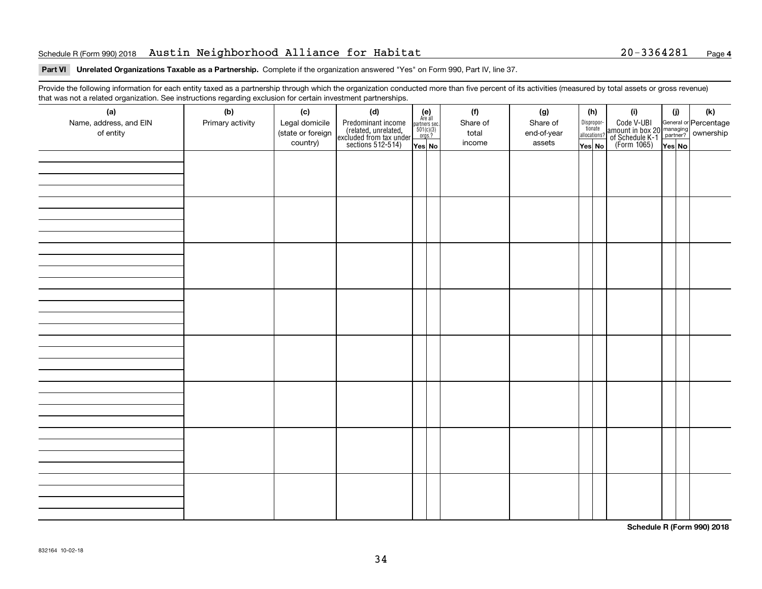#### Schedule R(Form 990)2018 Austin Neighborhood Alliance for Habitat 20-3364281 <sub>Page</sub>

# **Part VI Unrelated Organizations Taxable as a Partnership. Complete if the organization answered "Yes" on Form 990, Part IV, line 37.**

Provide the following information for each entity taxed as a partnership through which the organization conducted more than five percent of its activities (measured by total assets or gross revenue) that was not a related organization. See instructions regarding exclusion for certain investment partnerships.

| - - - - -<br>(a)<br>Name, address, and EIN<br>of entity | ----- <del>-</del> -------<br>(b)<br>Primary activity | (c)<br>Legal domicile<br>(state or foreign<br>country) | (d)<br>Predominant income<br>(related, unrelated,<br>excluded from tax under<br>sections 512-514) | (e)<br>Are all<br>partners sec.<br>$501(c)(3)$<br>orgs.?<br>Yes No | (f)<br>Share of<br>total<br>income | (g)<br>Share of<br>end-of-year<br>assets | (h)<br>Dispropor-<br>tionate<br>allocations?<br>Yes No | (i)<br>Code V-UBI<br>amount in box 20 managing<br>of Schedule K-1<br>(Form 1065)<br>$\overline{Yes}$ No | (i)<br>Yes No | (k) |
|---------------------------------------------------------|-------------------------------------------------------|--------------------------------------------------------|---------------------------------------------------------------------------------------------------|--------------------------------------------------------------------|------------------------------------|------------------------------------------|--------------------------------------------------------|---------------------------------------------------------------------------------------------------------|---------------|-----|
|                                                         |                                                       |                                                        |                                                                                                   |                                                                    |                                    |                                          |                                                        |                                                                                                         |               |     |
|                                                         |                                                       |                                                        |                                                                                                   |                                                                    |                                    |                                          |                                                        |                                                                                                         |               |     |
|                                                         |                                                       |                                                        |                                                                                                   |                                                                    |                                    |                                          |                                                        |                                                                                                         |               |     |
|                                                         |                                                       |                                                        |                                                                                                   |                                                                    |                                    |                                          |                                                        |                                                                                                         |               |     |
|                                                         |                                                       |                                                        |                                                                                                   |                                                                    |                                    |                                          |                                                        |                                                                                                         |               |     |
|                                                         |                                                       |                                                        |                                                                                                   |                                                                    |                                    |                                          |                                                        |                                                                                                         |               |     |
|                                                         |                                                       |                                                        |                                                                                                   |                                                                    |                                    |                                          |                                                        |                                                                                                         |               |     |
|                                                         |                                                       |                                                        |                                                                                                   |                                                                    |                                    |                                          |                                                        |                                                                                                         |               |     |

**Schedule R (Form 990) 2018**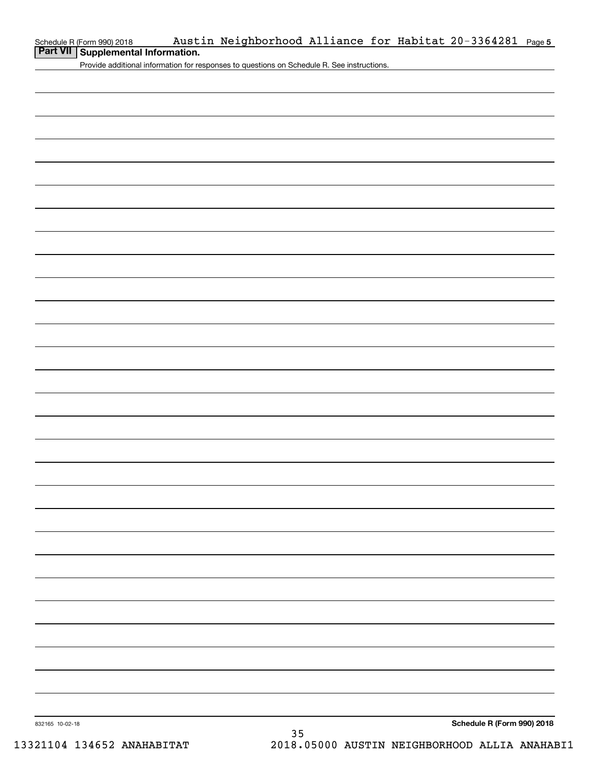| Schedule R (Form 990) 2018                  |  | Austin Neighborhood Alliance for Habitat 20-3364281 Page5 |  |  |  |  |  |  |
|---------------------------------------------|--|-----------------------------------------------------------|--|--|--|--|--|--|
| <b>Part VII   Supplemental Information.</b> |  |                                                           |  |  |  |  |  |  |

Provide additional information for responses to questions on Schedule R. See instructions.

832165 10-02-18